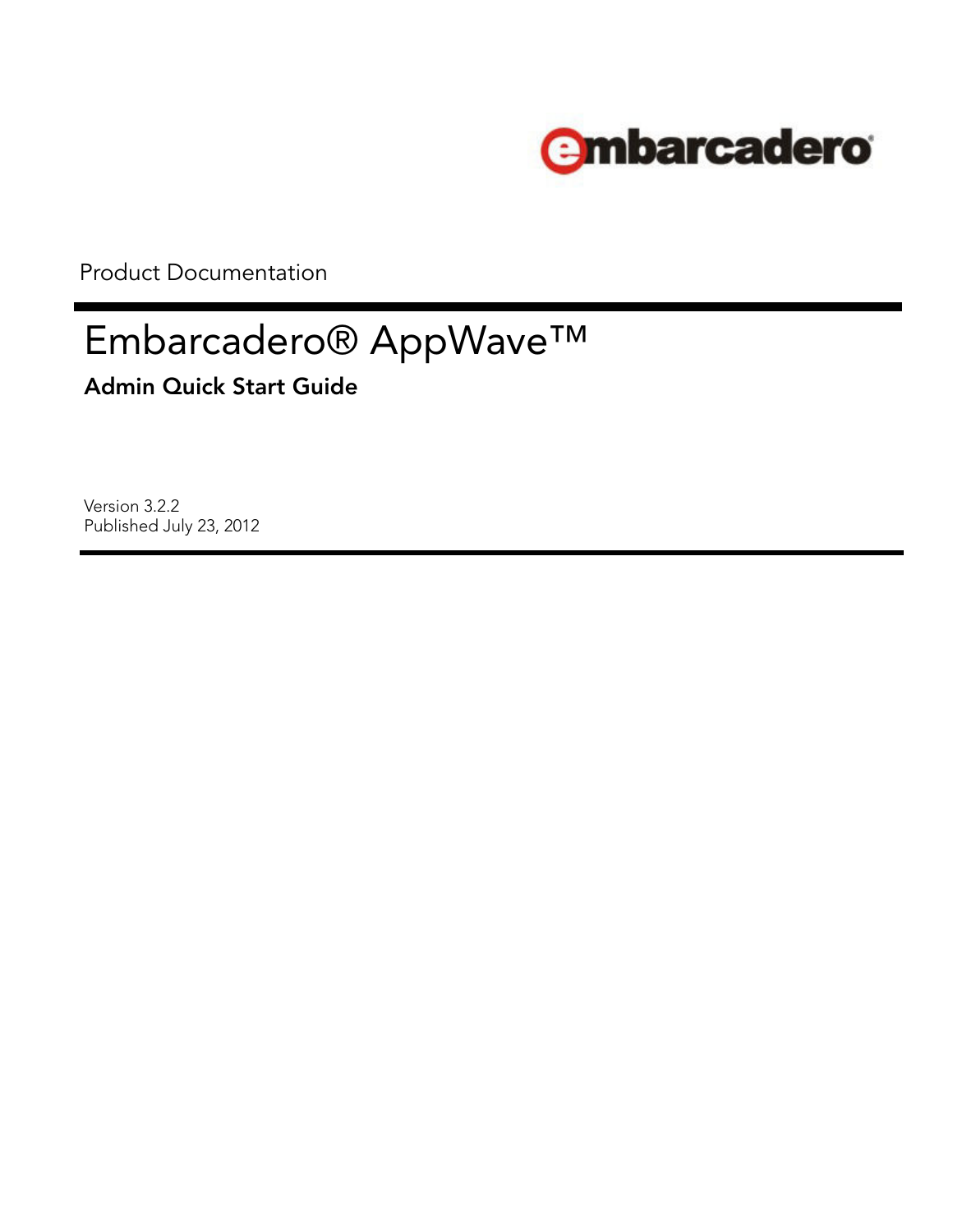

Product Documentation

# Embarcadero® AppWave™

### **Admin Quick Start Guide**

Version 3.2.2 Published July 23, 2012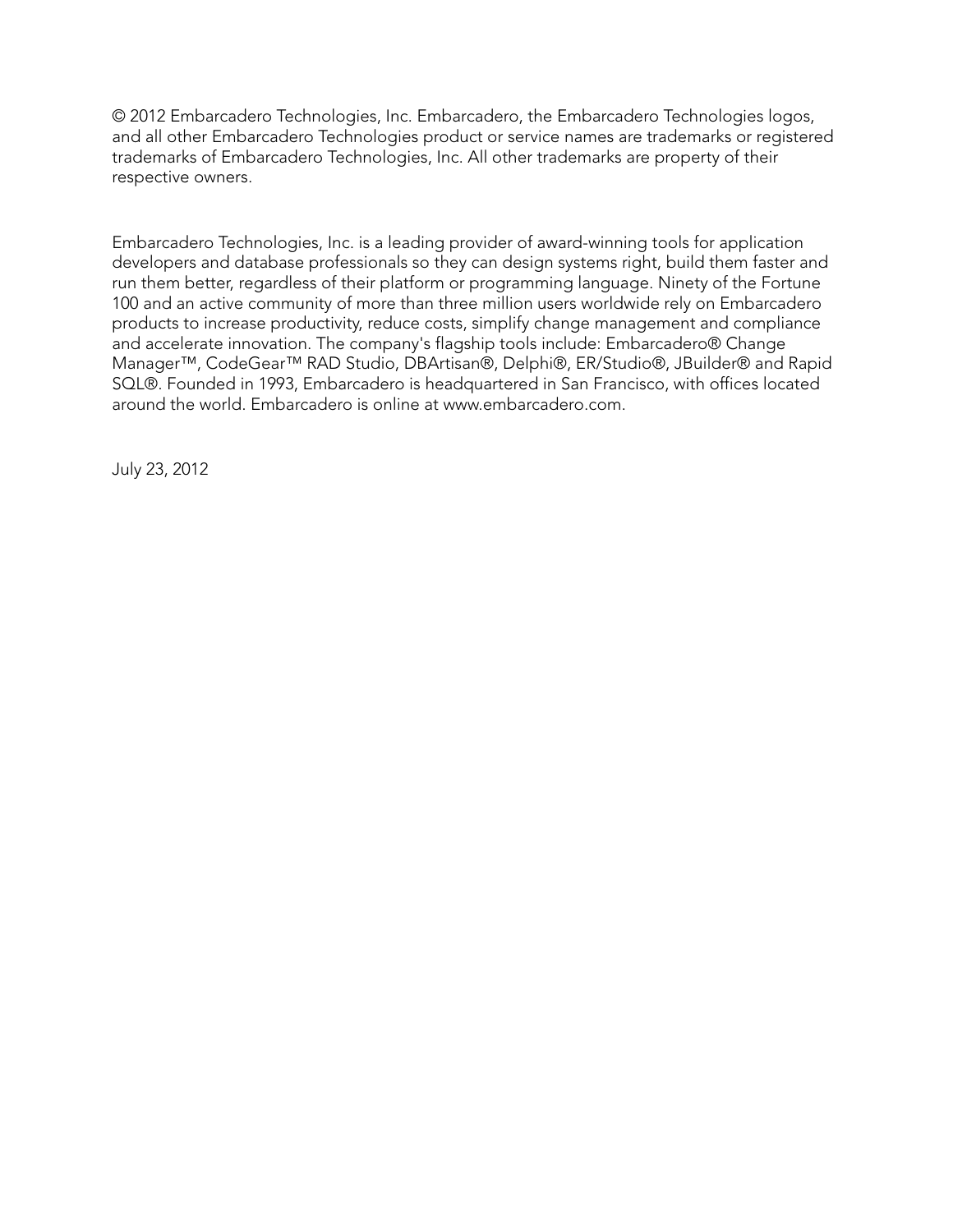© 2012 Embarcadero Technologies, Inc. Embarcadero, the Embarcadero Technologies logos, and all other Embarcadero Technologies product or service names are trademarks or registered trademarks of Embarcadero Technologies, Inc. All other trademarks are property of their respective owners.

Embarcadero Technologies, Inc. is a leading provider of award-winning tools for application developers and database professionals so they can design systems right, build them faster and run them better, regardless of their platform or programming language. Ninety of the Fortune 100 and an active community of more than three million users worldwide rely on Embarcadero products to increase productivity, reduce costs, simplify change management and compliance and accelerate innovation. The company's flagship tools include: Embarcadero® Change Manager™, CodeGear™ RAD Studio, DBArtisan®, Delphi®, ER/Studio®, JBuilder® and Rapid SQL®. Founded in 1993, Embarcadero is headquartered in San Francisco, with offices located around the world. Embarcadero is online at www.embarcadero.com.

July 23, 2012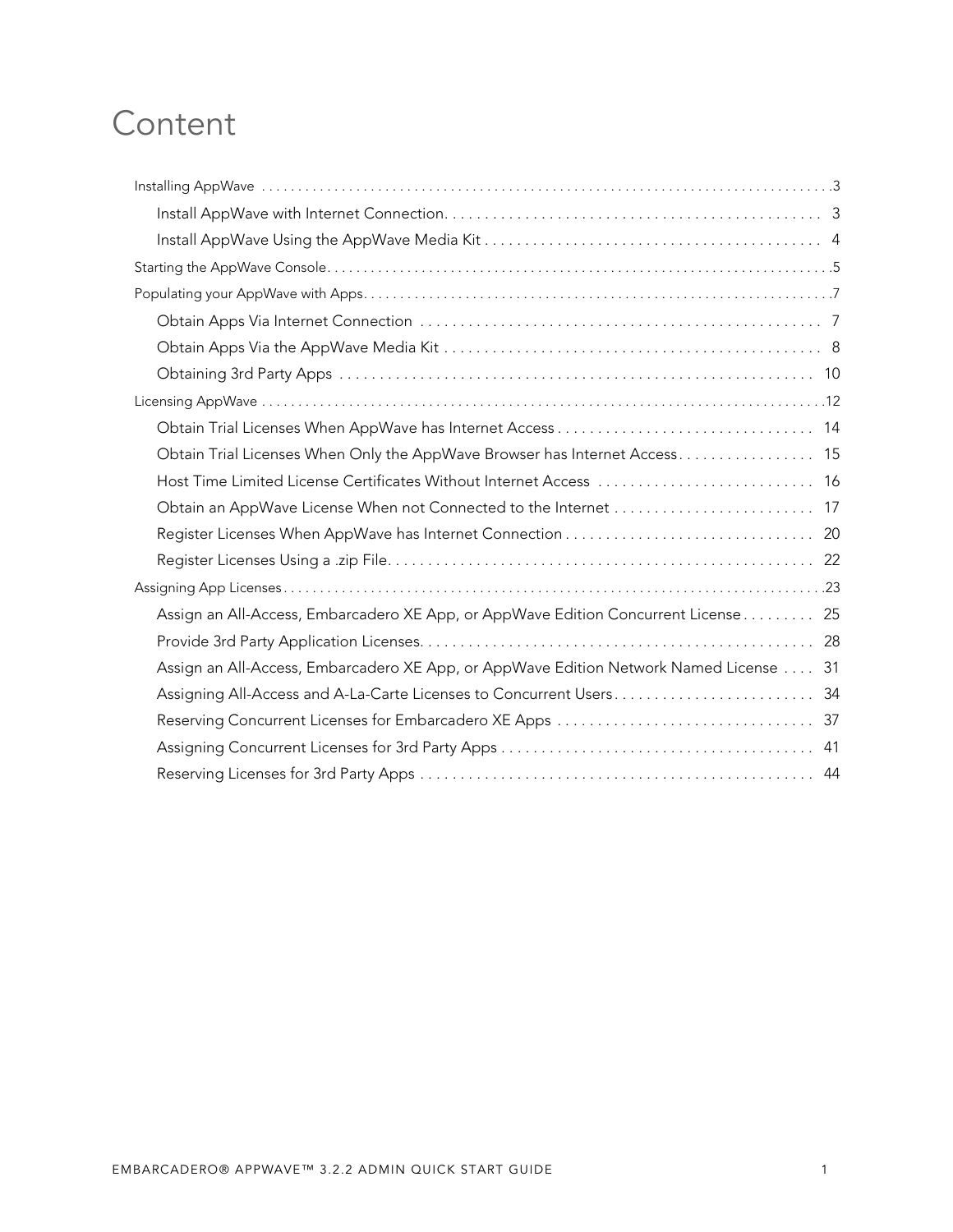# **Content**

| Obtain Trial Licenses When Only the AppWave Browser has Internet Access 15            |
|---------------------------------------------------------------------------------------|
|                                                                                       |
|                                                                                       |
|                                                                                       |
|                                                                                       |
|                                                                                       |
| Assign an All-Access, Embarcadero XE App, or AppWave Edition Concurrent License 25    |
|                                                                                       |
| Assign an All-Access, Embarcadero XE App, or AppWave Edition Network Named License 31 |
|                                                                                       |
|                                                                                       |
|                                                                                       |
|                                                                                       |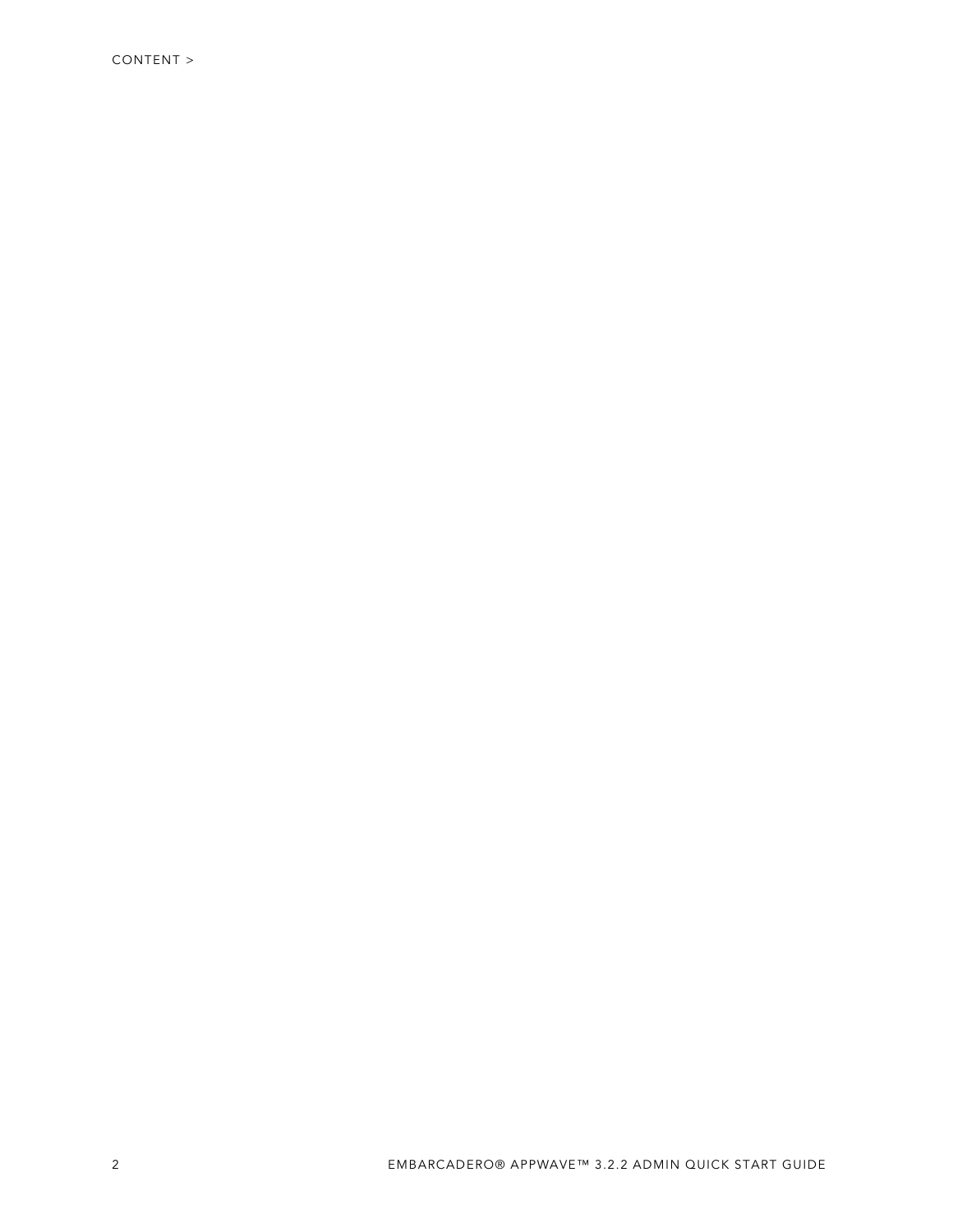CONTENT >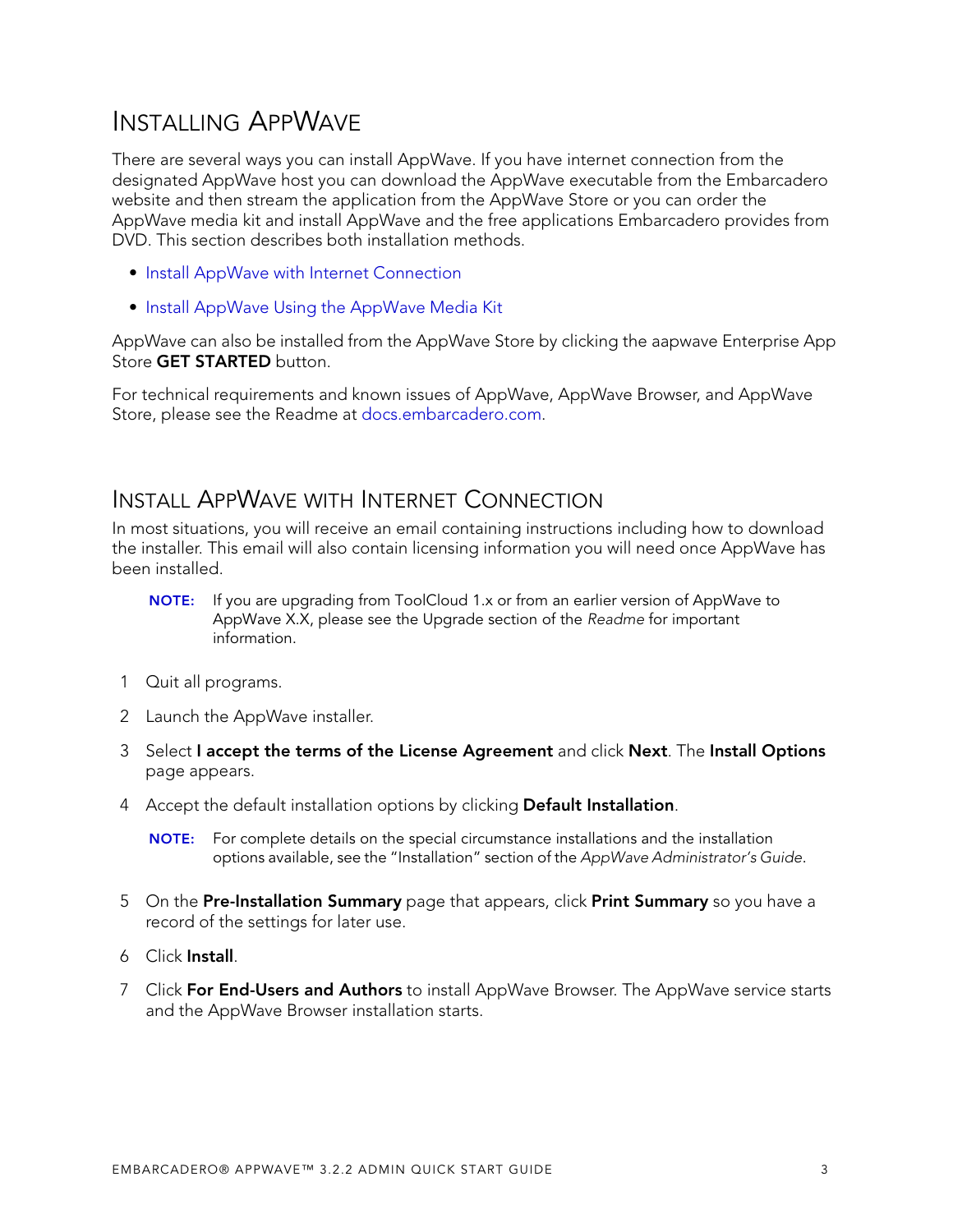### <span id="page-4-0"></span>INSTALLING APPWAVE

There are several ways you can install AppWave. If you have internet connection from the designated AppWave host you can download the AppWave executable from the Embarcadero website and then stream the application from the AppWave Store or you can order the AppWave media kit and install AppWave and the free applications Embarcadero provides from DVD. This section describes both installation methods.

- [Install AppWave with Internet Connection](#page-4-1)
- [Install AppWave Using the AppWave Media Kit](#page-5-0)

AppWave can also be installed from the AppWave Store by clicking the aapwave Enterprise App Store **GET STARTED** button.

For technical requirements and known issues of AppWave, AppWave Browser, and AppWave Store, please see the Readme at [docs.embarcadero.com](http://docs.embarcadero.com/products/appwave).

### <span id="page-4-1"></span>INSTALL APPWAVE WITH INTERNET CONNECTION

In most situations, you will receive an email containing instructions including how to download the installer. This email will also contain licensing information you will need once AppWave has been installed.

- **NOTE:** If you are upgrading from ToolCloud 1.x or from an earlier version of AppWave to AppWave X.X, please see the Upgrade section of the Readme for important information.
- 1 Quit all programs.
- 2 Launch the AppWave installer.
- 3 Select **I accept the terms of the License Agreement** and click **Next**. The **Install Options** page appears.
- 4 Accept the default installation options by clicking **Default Installation**.

- 5 On the **Pre-Installation Summary** page that appears, click **Print Summary** so you have a record of the settings for later use.
- 6 Click **Install**.
- 7 Click **For End-Users and Authors** to install AppWave Browser. The AppWave service starts and the AppWave Browser installation starts.

**NOTE:** For complete details on the special circumstance installations and the installation options available, see the "Installation" section of the AppWave Administrator's Guide.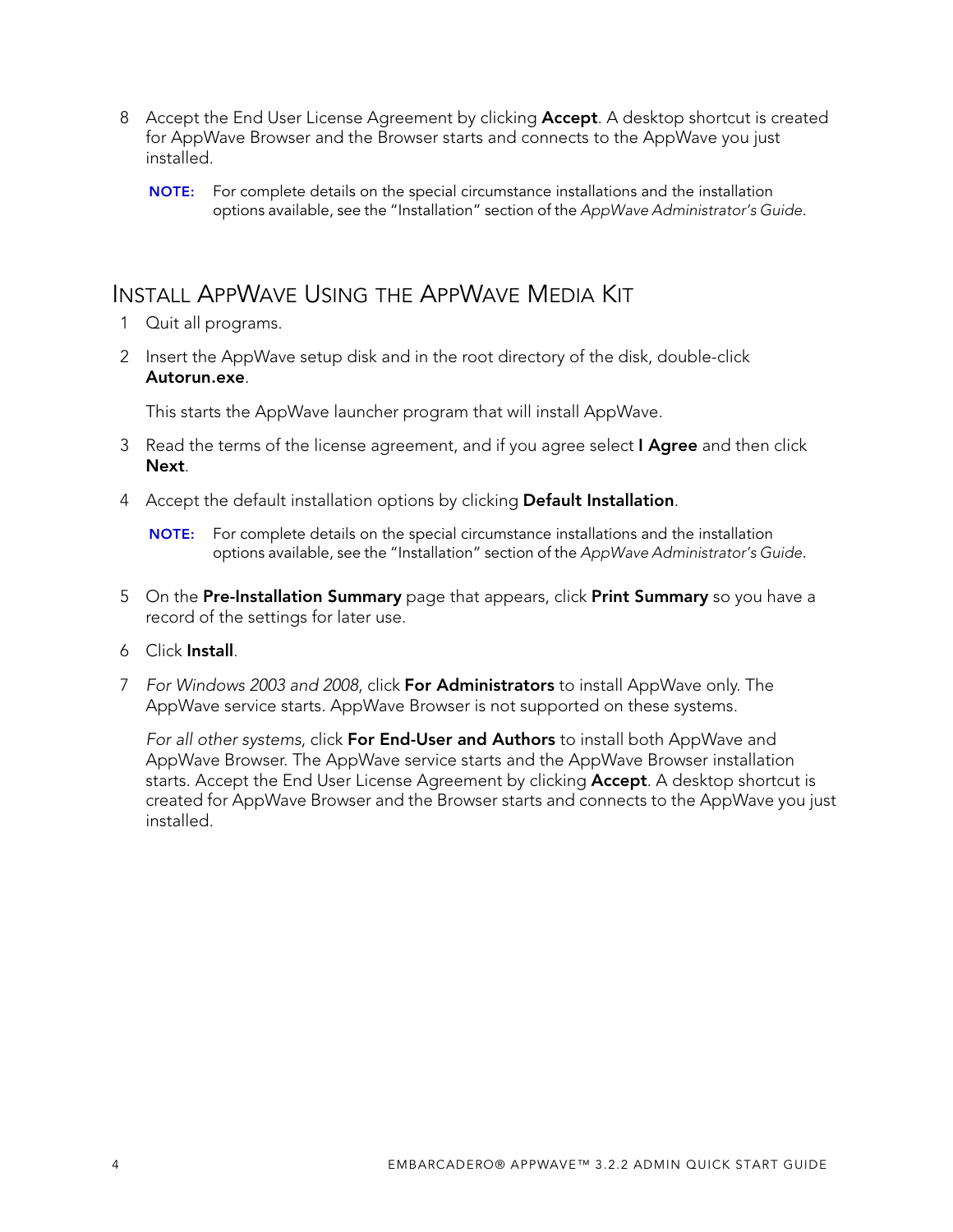- 8 Accept the End User License Agreement by clicking **Accept**. A desktop shortcut is created for AppWave Browser and the Browser starts and connects to the AppWave you just installed.
	- **NOTE:** For complete details on the special circumstance installations and the installation options available, see the "Installation" section of the AppWave Administrator's Guide.

### <span id="page-5-0"></span>INSTALL APPWAVE USING THE APPWAVE MEDIA KIT

- 1 Quit all programs.
- 2 Insert the AppWave setup disk and in the root directory of the disk, double-click **Autorun.exe**.

This starts the AppWave launcher program that will install AppWave.

- 3 Read the terms of the license agreement, and if you agree select **I Agree** and then click **Next**.
- 4 Accept the default installation options by clicking **Default Installation**.
	- **NOTE:** For complete details on the special circumstance installations and the installation options available, see the "Installation" section of the AppWave Administrator's Guide.
- 5 On the **Pre-Installation Summary** page that appears, click **Print Summary** so you have a record of the settings for later use.
- 6 Click **Install**.
- 7 For Windows 2003 and 2008, click **For Administrators** to install AppWave only. The AppWave service starts. AppWave Browser is not supported on these systems.

For all other systems, click **For End-User and Authors** to install both AppWave and AppWave Browser. The AppWave service starts and the AppWave Browser installation starts. Accept the End User License Agreement by clicking **Accept**. A desktop shortcut is created for AppWave Browser and the Browser starts and connects to the AppWave you just installed.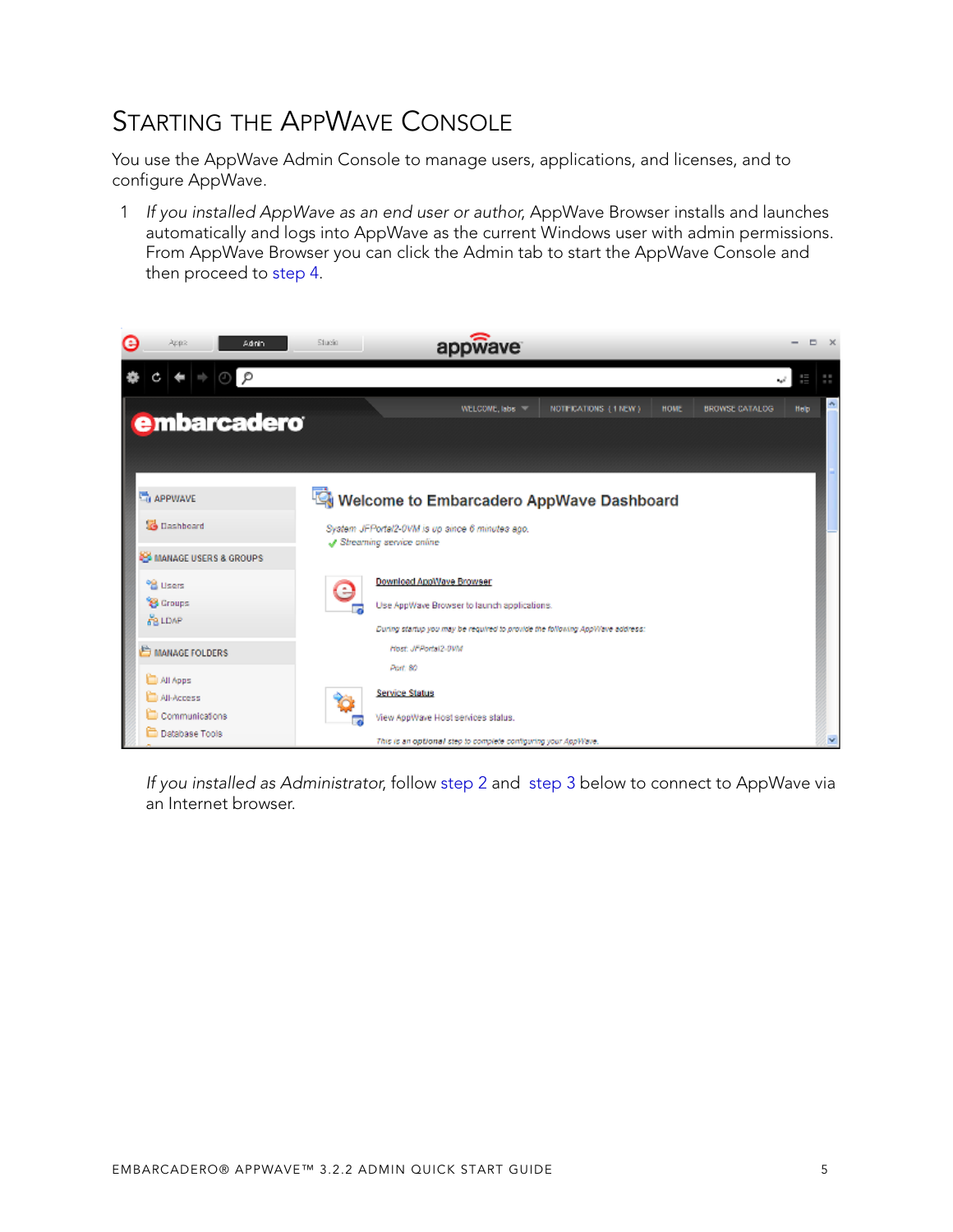# <span id="page-6-0"></span>STARTING THE APPWAVE CONSOLE

You use the AppWave Admin Console to manage users, applications, and licenses, and to configure AppWave.

1 If you installed AppWave as an end user or author, AppWave Browser installs and launches automatically and logs into AppWave as the current Windows user with admin permissions. From AppWave Browser you can click the Admin tab to start the AppWave Console and then proceed to [step](#page-7-2) 4.

| Θ<br>Appa<br>Admin                                                                       | appwave<br><b>Stucio</b>                                                                                                                                                                    |             |
|------------------------------------------------------------------------------------------|---------------------------------------------------------------------------------------------------------------------------------------------------------------------------------------------|-------------|
| م ہ                                                                                      |                                                                                                                                                                                             | 這<br>st.    |
| embarcadero                                                                              | NOTIFICATIONS (1 NEW)<br>WELCOME, labs =<br><b>HOME</b><br><b>BROWSE CATALOG</b>                                                                                                            | <b>Help</b> |
| <b>E</b> APPWAVE<br><b>B</b> Dashboard<br><b>NEW MANAGE USERS &amp; GROUPS</b>           | Welcome to Embarcadero AppWave Dashboard<br>System JFPortal2-0VM is up since 6 minutes ago.<br>J Streaming service online                                                                   |             |
| <sup>98</sup> Users<br><sup>8</sup> Groups<br>FR LDAP                                    | <b>Download AppWave Browser</b><br>e<br>Use AppWave Browser to launch applications.<br>During startup you may be required to provide the following AppWeve address:<br>Host: Jr Portal2-0VM |             |
| 凸<br><b>MANAGE FOLDERS</b><br>All Apps<br>All-Access<br>Communications<br>Database Tools | Port: 80<br><b>Service Status</b><br>View AppWave Host services status.<br>This is an optional step to complete configuring your AppWave.                                                   | ×           |

If you installed as Administrator, follow [step](#page-7-0) 2 and [step](#page-7-1) 3 below to connect to AppWave via an Internet browser.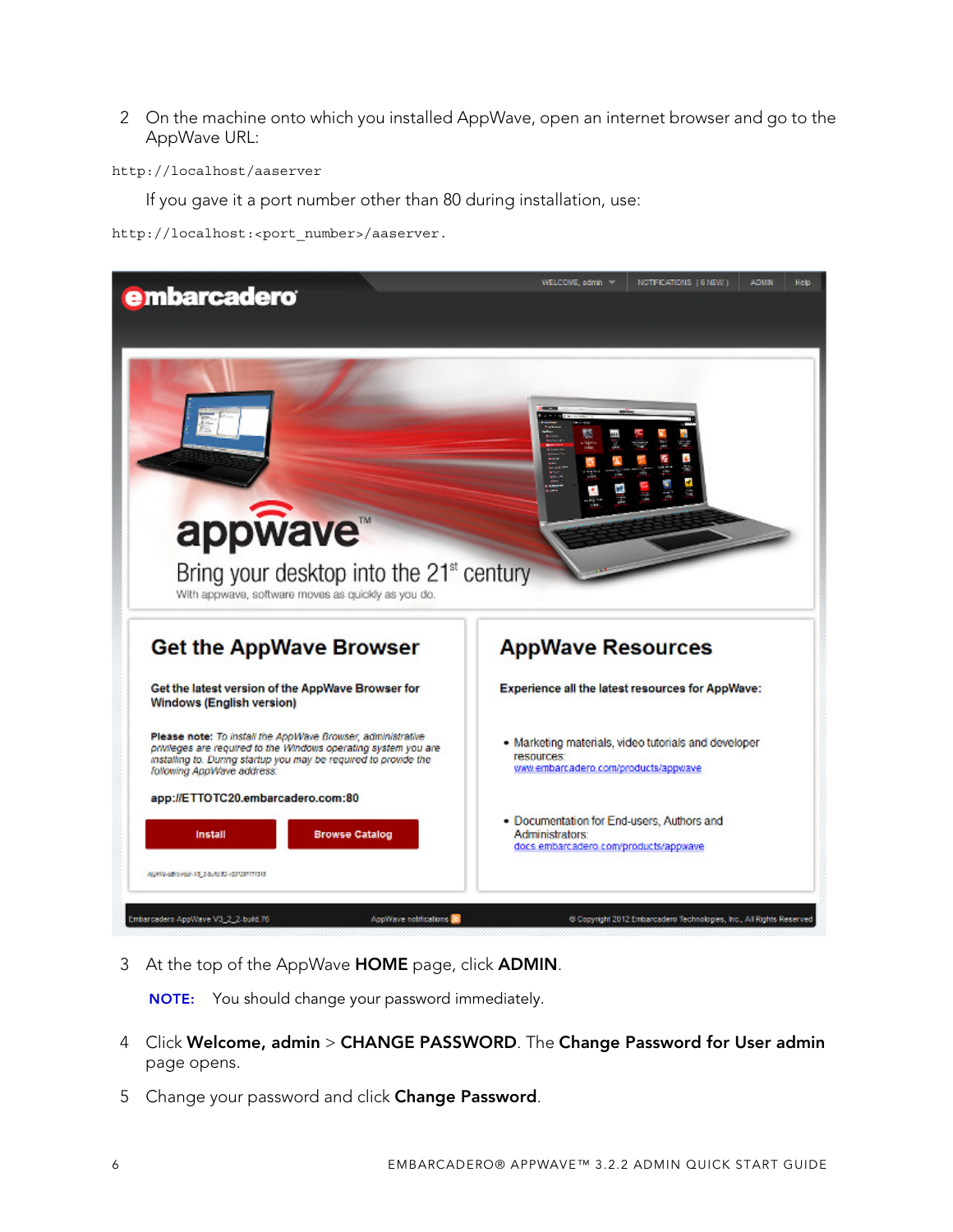<span id="page-7-0"></span>2 On the machine onto which you installed AppWave, open an internet browser and go to the AppWave URL:

http://localhost/aaserver

If you gave it a port number other than 80 during installation, use:

http://localhost:<port\_number>/aaserver.



<span id="page-7-1"></span>3 At the top of the AppWave **HOME** page, click **ADMIN**.

**NOTE:** You should change your password immediately.

- <span id="page-7-2"></span>4 Click **Welcome, admin** > **CHANGE PASSWORD**. The **Change Password for User admin** page opens.
- 5 Change your password and click **Change Password**.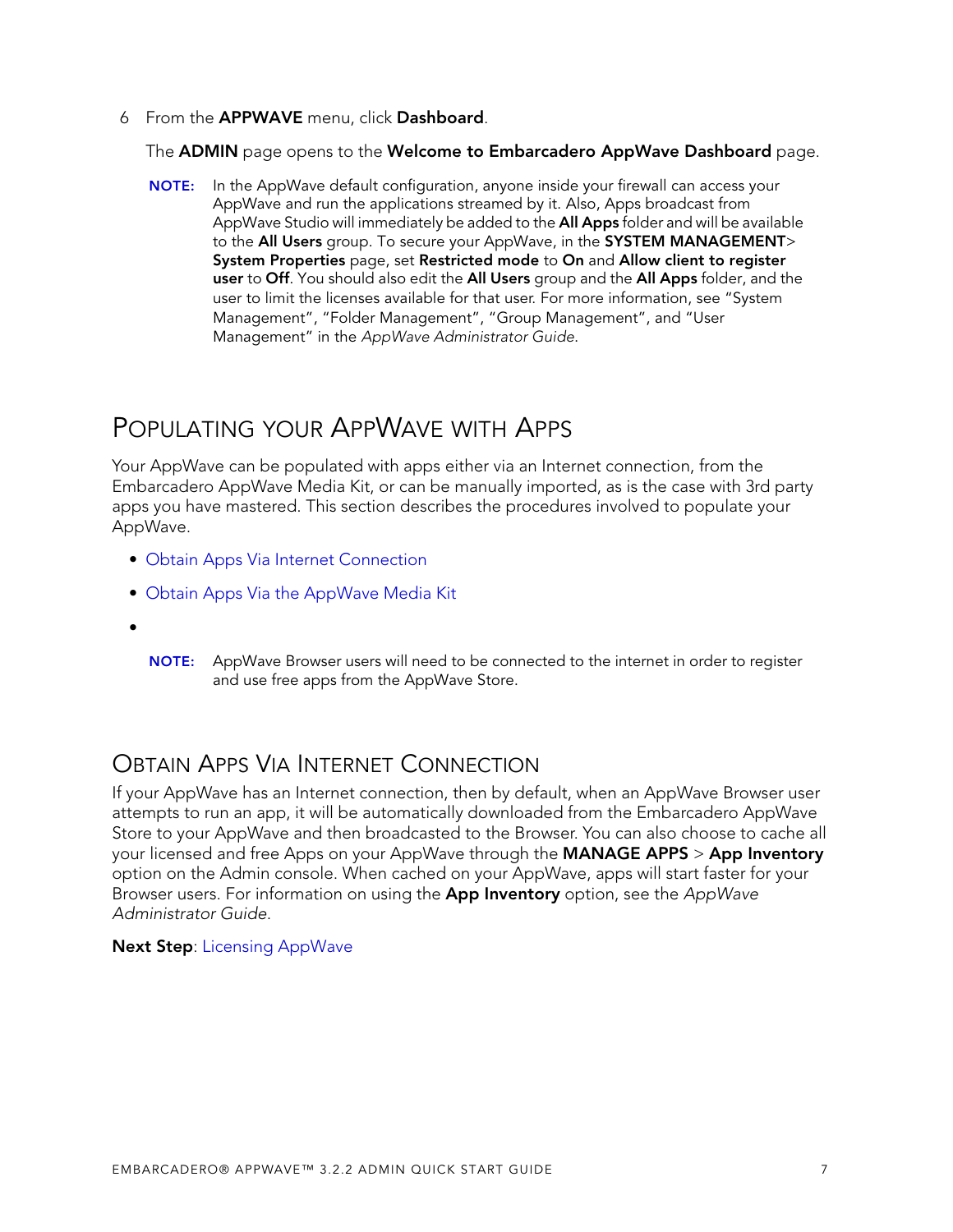6 From the **APPWAVE** menu, click **Dashboard**.

The **ADMIN** page opens to the **Welcome to Embarcadero AppWave Dashboard** page.

**NOTE:** In the AppWave default configuration, anyone inside your firewall can access your AppWave and run the applications streamed by it. Also, Apps broadcast from AppWave Studio will immediately be added to the **All Apps** folder and will be available to the **All Users** group. To secure your AppWave, in the **SYSTEM MANAGEMENT**> **System Properties** page, set **Restricted mode** to **On** and **Allow client to register user** to **Off**. You should also edit the **All Users** group and the **All Apps** folder, and the user to limit the licenses available for that user. For more information, see "System Management", "Folder Management", "Group Management", and "User Management" in the AppWave Administrator Guide.

### <span id="page-8-0"></span>POPULATING YOUR APPWAVE WITH APPS

Your AppWave can be populated with apps either via an Internet connection, from the Embarcadero AppWave Media Kit, or can be manually imported, as is the case with 3rd party apps you have mastered. This section describes the procedures involved to populate your AppWave.

- [Obtain Apps Via Internet Connection](#page-8-1)
- [Obtain Apps Via the AppWave Media Kit](#page-9-0)
- •
- **NOTE:** AppWave Browser users will need to be connected to the internet in order to register and use free apps from the AppWave Store.

### <span id="page-8-1"></span>OBTAIN APPS VIA INTERNET CONNECTION

If your AppWave has an Internet connection, then by default, when an AppWave Browser user attempts to run an app, it will be automatically downloaded from the Embarcadero AppWave Store to your AppWave and then broadcasted to the Browser. You can also choose to cache all your licensed and free Apps on your AppWave through the **MANAGE APPS** > **App Inventory** option on the Admin console. When cached on your AppWave, apps will start faster for your Browser users. For information on using the **App Inventory** option, see the AppWave Administrator Guide.

#### **Next Step**: [Licensing AppWave](#page-13-0)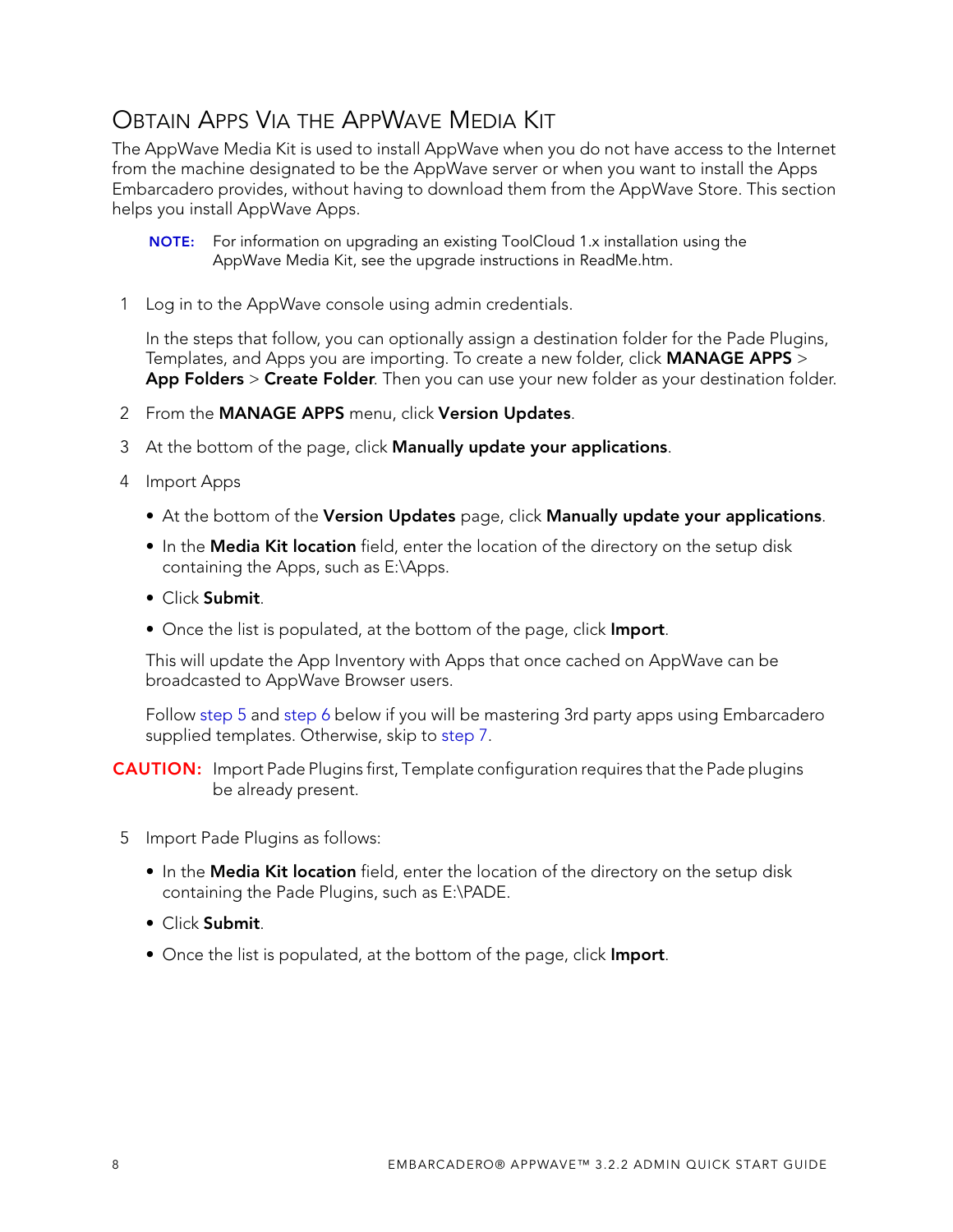### <span id="page-9-0"></span>OBTAIN APPS VIA THE APPWAVE MEDIA KIT

The AppWave Media Kit is used to install AppWave when you do not have access to the Internet from the machine designated to be the AppWave server or when you want to install the Apps Embarcadero provides, without having to download them from the AppWave Store. This section helps you install AppWave Apps.

1 Log in to the AppWave console using admin credentials.

In the steps that follow, you can optionally assign a destination folder for the Pade Plugins, Templates, and Apps you are importing. To create a new folder, click **MANAGE APPS** > **App Folders** > **Create Folder**. Then you can use your new folder as your destination folder.

- 2 From the **MANAGE APPS** menu, click **Version Updates**.
- 3 At the bottom of the page, click **Manually update your applications**.
- 4 Import Apps
	- At the bottom of the **Version Updates** page, click **Manually update your applications**.
	- In the **Media Kit location** field, enter the location of the directory on the setup disk containing the Apps, such as E:\Apps.
	- Click **Submit**.
	- Once the list is populated, at the bottom of the page, click **Import**.

This will update the App Inventory with Apps that once cached on AppWave can be broadcasted to AppWave Browser users.

Follow [step](#page-9-1) 5 and [step](#page-10-0) 6 below if you will be mastering 3rd party apps using Embarcadero supplied templates. Otherwise, skip to [step](#page-10-1) 7.

**CAUTION:** Import Pade Plugins first, Template configuration requires that the Pade plugins be already present.

- <span id="page-9-1"></span>5 Import Pade Plugins as follows:
	- In the **Media Kit location** field, enter the location of the directory on the setup disk containing the Pade Plugins, such as E:\PADE.
	- Click **Submit**.
	- Once the list is populated, at the bottom of the page, click **Import**.

**NOTE:** For information on upgrading an existing ToolCloud 1.x installation using the AppWave Media Kit, see the upgrade instructions in ReadMe.htm.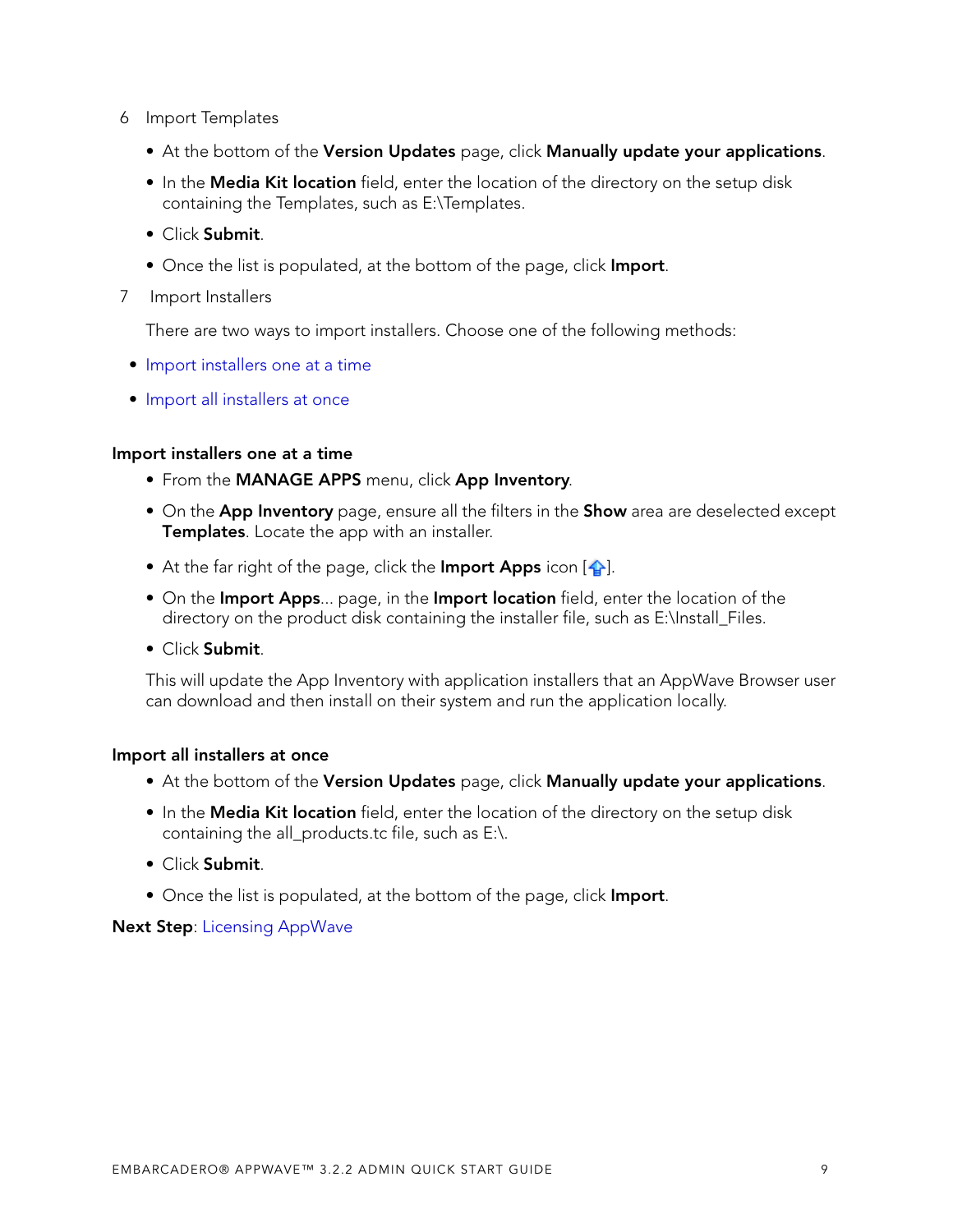- <span id="page-10-0"></span>6 Import Templates
	- At the bottom of the **Version Updates** page, click **Manually update your applications**.
	- In the **Media Kit location** field, enter the location of the directory on the setup disk containing the Templates, such as E:\Templates.
	- Click **Submit**.
	- Once the list is populated, at the bottom of the page, click **Import**.
- <span id="page-10-1"></span>7 Import Installers

There are two ways to import installers. Choose one of the following methods:

- [Import installers one at a time](#page-10-2)
- [Import all installers at once](#page-10-3)

#### <span id="page-10-2"></span>**Import installers one at a time**

- From the **MANAGE APPS** menu, click **App Inventory**.
- On the **App Inventory** page, ensure all the filters in the **Show** area are deselected except **Templates**. Locate the app with an installer.
- At the far right of the page, click the **Import Apps** icon  $\left[\frac{1}{2}\right]$ .
- On the **Import Apps**... page, in the **Import location** field, enter the location of the directory on the product disk containing the installer file, such as E:\Install\_Files.
- Click **Submit**.

This will update the App Inventory with application installers that an AppWave Browser user can download and then install on their system and run the application locally.

#### <span id="page-10-3"></span>**Import all installers at once**

- At the bottom of the **Version Updates** page, click **Manually update your applications**.
- In the **Media Kit location** field, enter the location of the directory on the setup disk containing the all products.tc file, such as  $E:\ \lambda$ .
- Click **Submit**.
- Once the list is populated, at the bottom of the page, click **Import**.

#### **Next Step**: [Licensing AppWave](#page-13-0)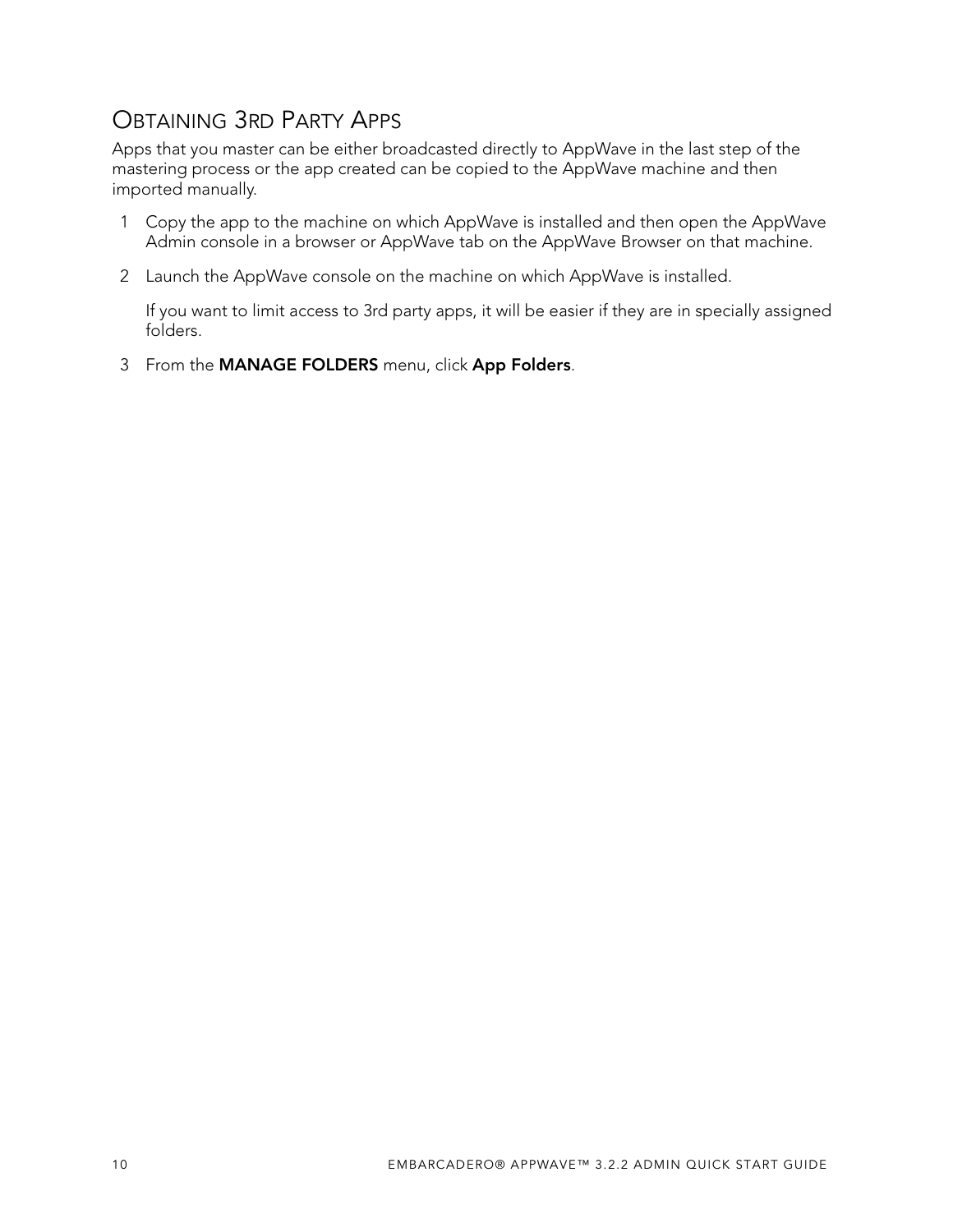### <span id="page-11-0"></span>OBTAINING 3RD PARTY APPS

Apps that you master can be either broadcasted directly to AppWave in the last step of the mastering process or the app created can be copied to the AppWave machine and then imported manually.

- 1 Copy the app to the machine on which AppWave is installed and then open the AppWave Admin console in a browser or AppWave tab on the AppWave Browser on that machine.
- 2 Launch the AppWave console on the machine on which AppWave is installed.

If you want to limit access to 3rd party apps, it will be easier if they are in specially assigned folders.

3 From the **MANAGE FOLDERS** menu, click **App Folders**.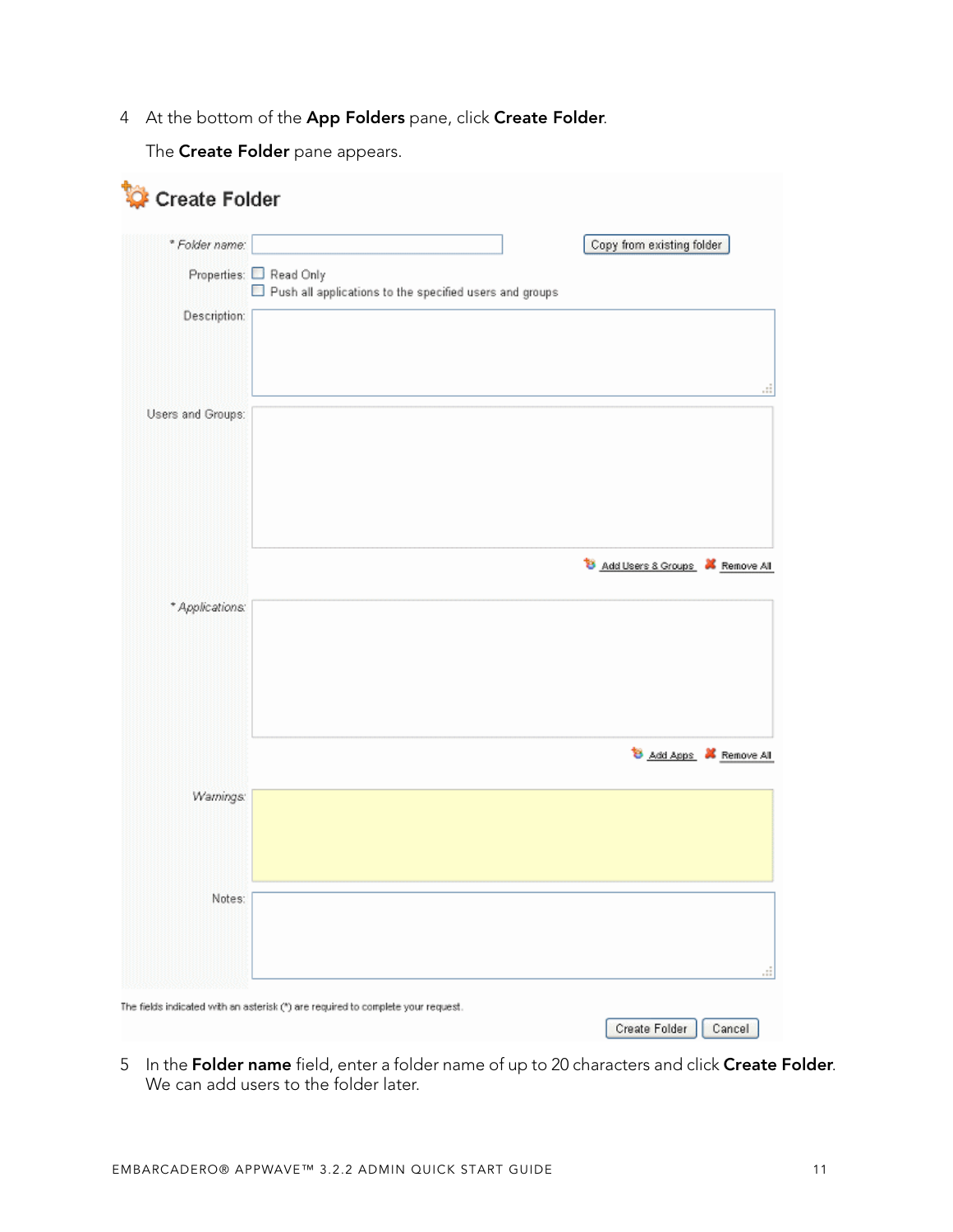4 At the bottom of the **App Folders** pane, click **Create Folder**.

The **Create Folder** pane appears.

| * Folder name:    |                                                                                  | Copy from existing folder         |  |
|-------------------|----------------------------------------------------------------------------------|-----------------------------------|--|
|                   | Properties: Read Only<br>Push all applications to the specified users and groups |                                   |  |
| Description:      |                                                                                  |                                   |  |
|                   |                                                                                  |                                   |  |
| Users and Groups: |                                                                                  |                                   |  |
|                   |                                                                                  |                                   |  |
|                   |                                                                                  | 8 Add Users & Groups X Remove All |  |
| * Applications:   |                                                                                  |                                   |  |
|                   |                                                                                  |                                   |  |
|                   |                                                                                  | 8 Add Apps & Remove All           |  |
| Warnings:         |                                                                                  |                                   |  |
| Notes:            |                                                                                  |                                   |  |
|                   |                                                                                  |                                   |  |
|                   |                                                                                  |                                   |  |

5 In the **Folder name** field, enter a folder name of up to 20 characters and click **Create Folder**. We can add users to the folder later.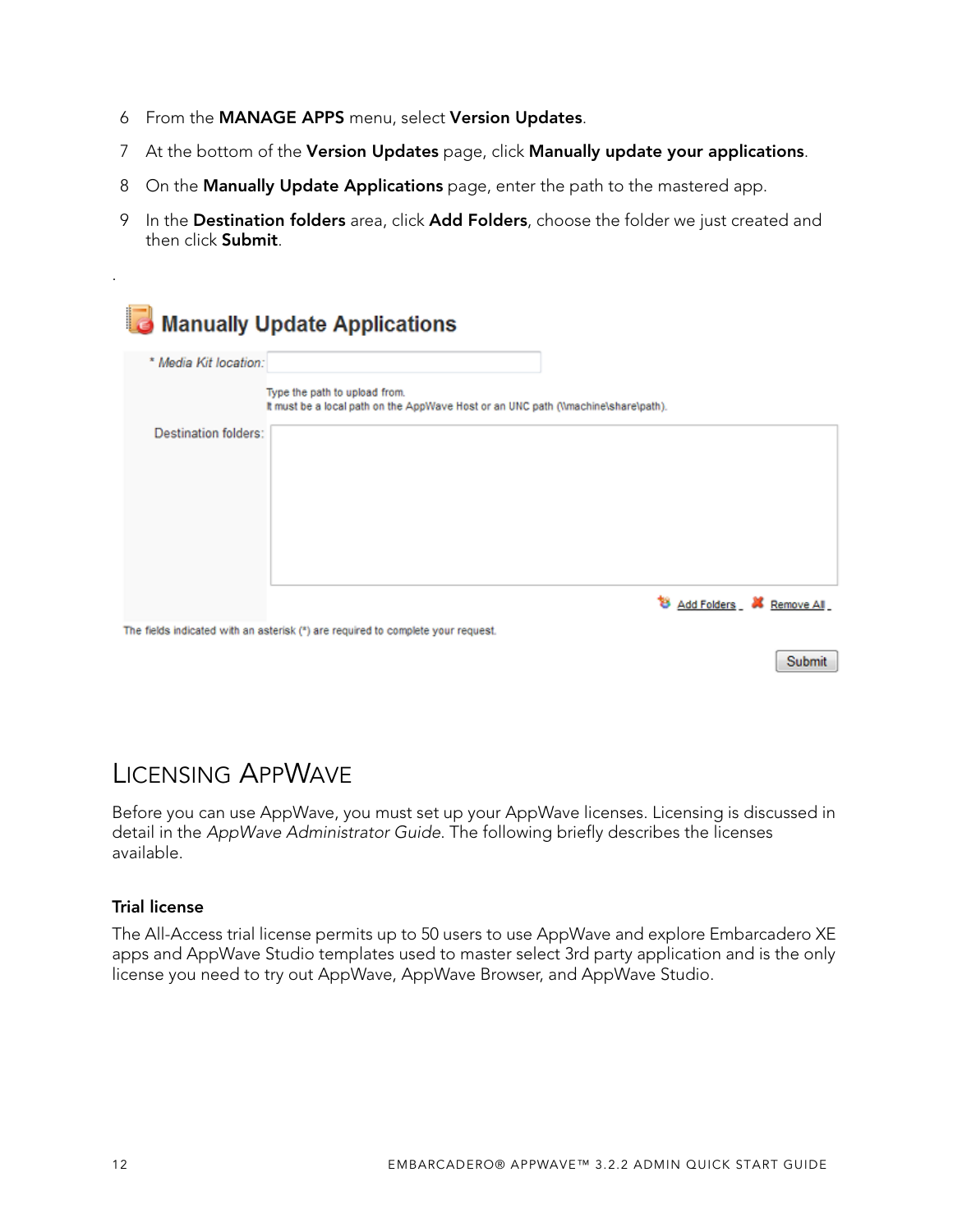- 6 From the **MANAGE APPS** menu, select **Version Updates**.
- 7 At the bottom of the **Version Updates** page, click **Manually update your applications**.
- 8 On the **Manually Update Applications** page, enter the path to the mastered app.
- 9 In the **Destination folders** area, click **Add Folders**, choose the folder we just created and then click **Submit**.

|                             | <b>Manually Update Applications</b>                                                                                 |                                   |               |
|-----------------------------|---------------------------------------------------------------------------------------------------------------------|-----------------------------------|---------------|
| * Media Kit location:       |                                                                                                                     |                                   |               |
|                             | Type the path to upload from.<br>It must be a local path on the AppWave Host or an UNC path (\\machine\share\path). |                                   |               |
| <b>Destination folders:</b> |                                                                                                                     |                                   |               |
|                             |                                                                                                                     |                                   |               |
|                             |                                                                                                                     |                                   |               |
|                             |                                                                                                                     |                                   |               |
|                             |                                                                                                                     |                                   |               |
|                             |                                                                                                                     |                                   |               |
|                             |                                                                                                                     |                                   |               |
|                             |                                                                                                                     | & Add Folders <b>X</b> Remove All |               |
|                             | The fields indicated with an asterisk (*) are required to complete your request.                                    |                                   |               |
|                             |                                                                                                                     |                                   | <b>Submit</b> |

### <span id="page-13-0"></span>LICENSING APPWAVE

Before you can use AppWave, you must set up your AppWave licenses. Licensing is discussed in detail in the AppWave Administrator Guide. The following briefly describes the licenses available.

#### **Trial license**

.

The All-Access trial license permits up to 50 users to use AppWave and explore Embarcadero XE apps and AppWave Studio templates used to master select 3rd party application and is the only license you need to try out AppWave, AppWave Browser, and AppWave Studio.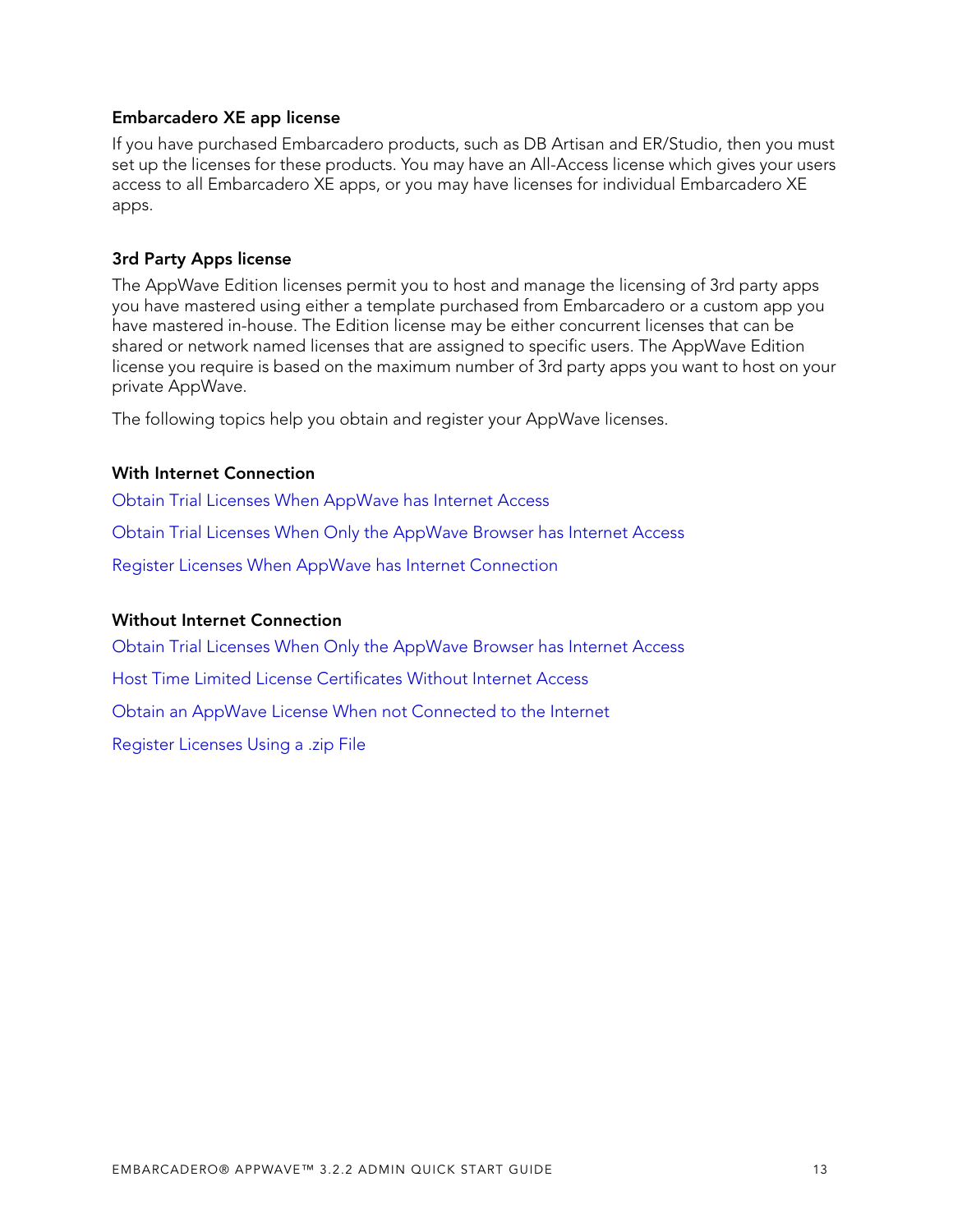#### **Embarcadero XE app license**

If you have purchased Embarcadero products, such as DB Artisan and ER/Studio, then you must set up the licenses for these products. You may have an All-Access license which gives your users access to all Embarcadero XE apps, or you may have licenses for individual Embarcadero XE apps.

#### **3rd Party Apps license**

The AppWave Edition licenses permit you to host and manage the licensing of 3rd party apps you have mastered using either a template purchased from Embarcadero or a custom app you have mastered in-house. The Edition license may be either concurrent licenses that can be shared or network named licenses that are assigned to specific users. The AppWave Edition license you require is based on the maximum number of 3rd party apps you want to host on your private AppWave.

The following topics help you obtain and register your AppWave licenses.

#### **With Internet Connection**

[Obtain Trial Licenses When AppWave has Internet Access](#page-15-0) [Obtain Trial Licenses When Only the AppWave Browser has Internet Access](#page-16-0) [Register Licenses When AppWave has Internet Connection](#page-21-0)

#### **Without Internet Connection**

[Obtain Trial Licenses When Only the AppWave Browser has Internet Access](#page-16-0) [Host Time Limited License Certificates Without Internet Access](#page-17-0) [Obtain an AppWave License When not Connected to the Internet](#page-18-0) [Register Licenses Using a .zip File](#page-23-0)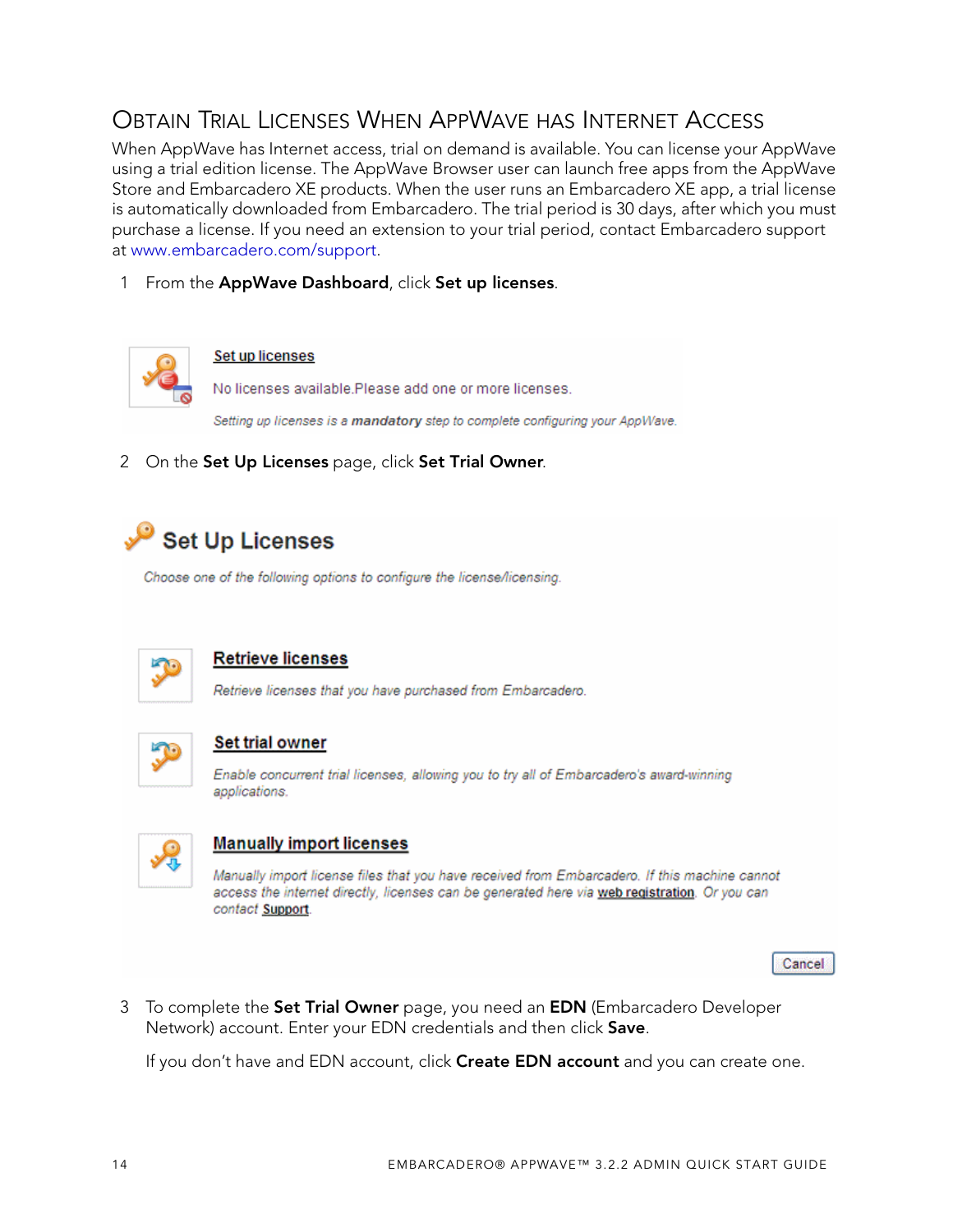### <span id="page-15-0"></span>OBTAIN TRIAL LICENSES WHEN APPWAVE HAS INTERNET ACCESS

When AppWave has Internet access, trial on demand is available. You can license your AppWave using a trial edition license. The AppWave Browser user can launch free apps from the AppWave Store and Embarcadero XE products. When the user runs an Embarcadero XE app, a trial license is automatically downloaded from Embarcadero. The trial period is 30 days, after which you must purchase a license. If you need an extension to your trial period, contact Embarcadero support at [www.embarcadero.com/support.](http://www.embarcadero.com/)

1 From the **AppWave Dashboard**, click **Set up licenses**.



#### Set up licenses

No licenses available.Please add one or more licenses.

Setting up licenses is a mandatory step to complete configuring your AppWave.

2 On the **Set Up Licenses** page, click **Set Trial Owner**.

# **Set Up Licenses**

Choose one of the following options to configure the license/licensing.



#### **Retrieve licenses**

Retrieve licenses that you have purchased from Embarcadero.

|--|--|

#### **Set trial owner**

Enable concurrent trial licenses, allowing you to try all of Embarcadero's award-winning applications.



#### **Manually import licenses**

Manually import license files that you have received from Embarcadero. If this machine cannot access the internet directly, licenses can be generated here via web registration. Or you can contact Support.

Cancel

3 To complete the **Set Trial Owner** page, you need an **EDN** (Embarcadero Developer Network) account. Enter your EDN credentials and then click **Save**.

If you don't have and EDN account, click **Create EDN account** and you can create one.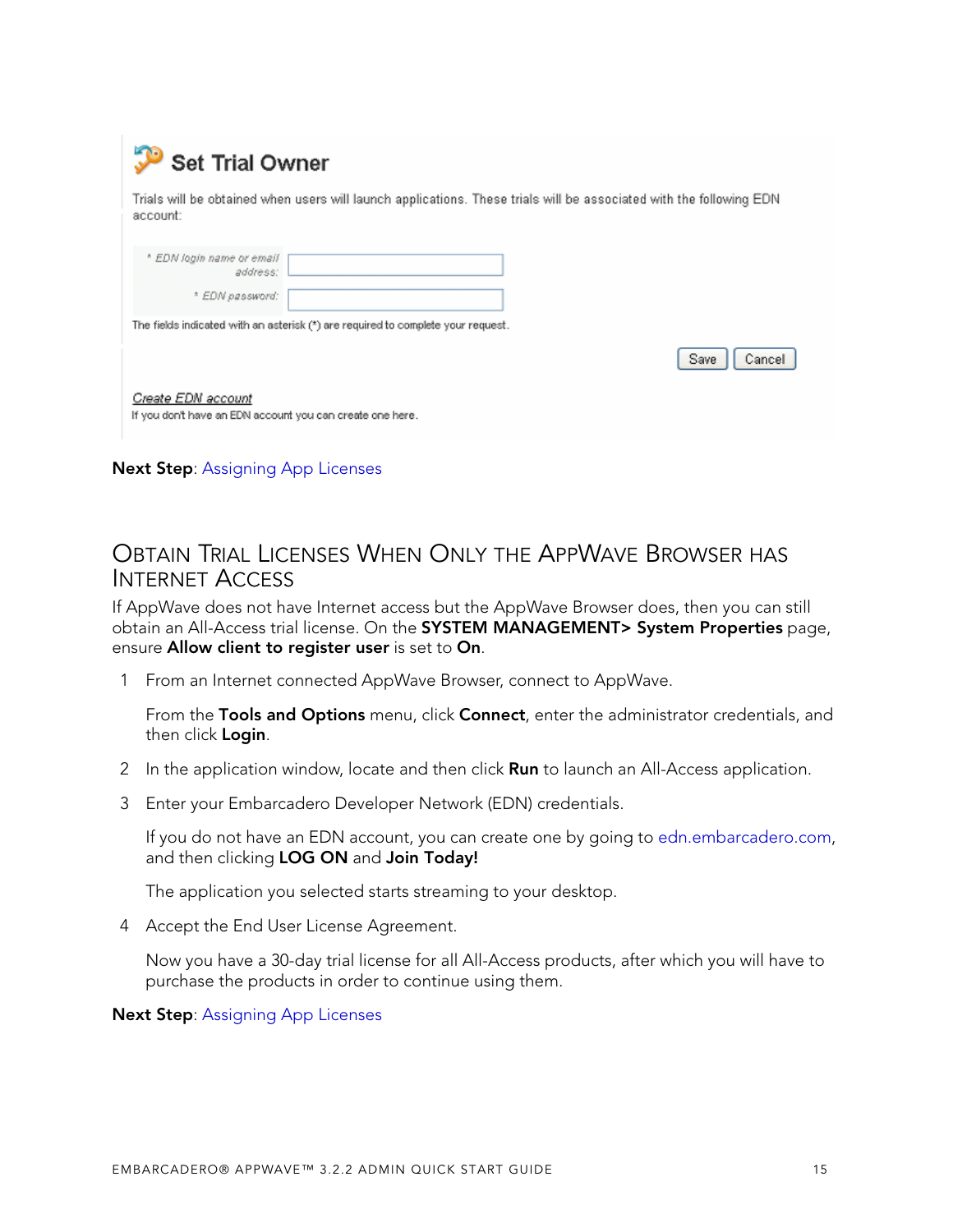|  |  |  | Set Trial Owner |
|--|--|--|-----------------|
|--|--|--|-----------------|

Trials will be obtained when users will launch applications. These trials will be associated with the following EDN account:

| * EDN login name or email<br>address:<br>* EDN password:                         |  |                |  |  |
|----------------------------------------------------------------------------------|--|----------------|--|--|
| The fields indicated with an asterisk (*) are required to complete your request. |  |                |  |  |
|                                                                                  |  | Save<br>Cancel |  |  |
| Create EDN account<br>If you don't have an EDN account you can create one here.  |  |                |  |  |

**Next Step**: [Assigning App Licenses](#page-24-0)

### <span id="page-16-0"></span>OBTAIN TRIAL LICENSES WHEN ONLY THE APPWAVE BROWSER HAS INTERNET ACCESS

If AppWave does not have Internet access but the AppWave Browser does, then you can still obtain an All-Access trial license. On the **SYSTEM MANAGEMENT> System Properties** page, ensure **Allow client to register user** is set to **On**.

1 From an Internet connected AppWave Browser, connect to AppWave.

From the **Tools and Options** menu, click **Connect**, enter the administrator credentials, and then click **Login**.

- 2 In the application window, locate and then click **Run** to launch an All-Access application.
- 3 Enter your Embarcadero Developer Network (EDN) credentials.

If you do not have an EDN account, you can create one by going to [edn.embarcadero.com](http://edn.embarcadero.com), and then clicking **LOG ON** and **Join Today!**

The application you selected starts streaming to your desktop.

4 Accept the End User License Agreement.

Now you have a 30-day trial license for all All-Access products, after which you will have to purchase the products in order to continue using them.

#### **Next Step**: [Assigning App Licenses](#page-24-0)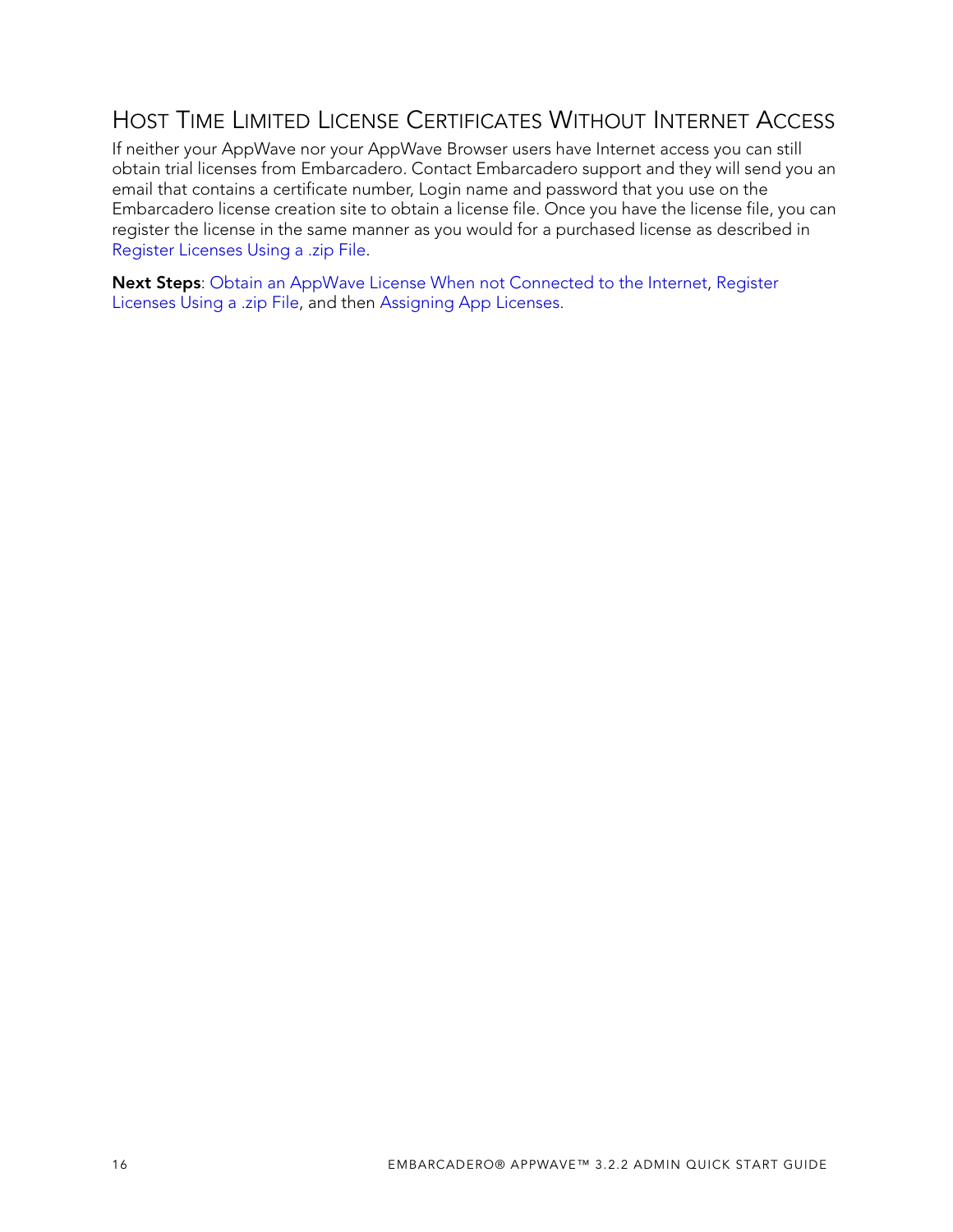### <span id="page-17-0"></span>HOST TIME LIMITED LICENSE CERTIFICATES WITHOUT INTERNET ACCESS

If neither your AppWave nor your AppWave Browser users have Internet access you can still obtain trial licenses from Embarcadero. Contact Embarcadero support and they will send you an email that contains a certificate number, Login name and password that you use on the Embarcadero license creation site to obtain a license file. Once you have the license file, you can register the license in the same manner as you would for a purchased license as described in [Register Licenses Using a .zip File](#page-23-0).

**Next Steps**: [Obtain an AppWave License When not Connected to the Internet,](#page-18-0) [Register](#page-23-0)  [Licenses Using a .zip File](#page-23-0), and then [Assigning App Licenses.](#page-24-0)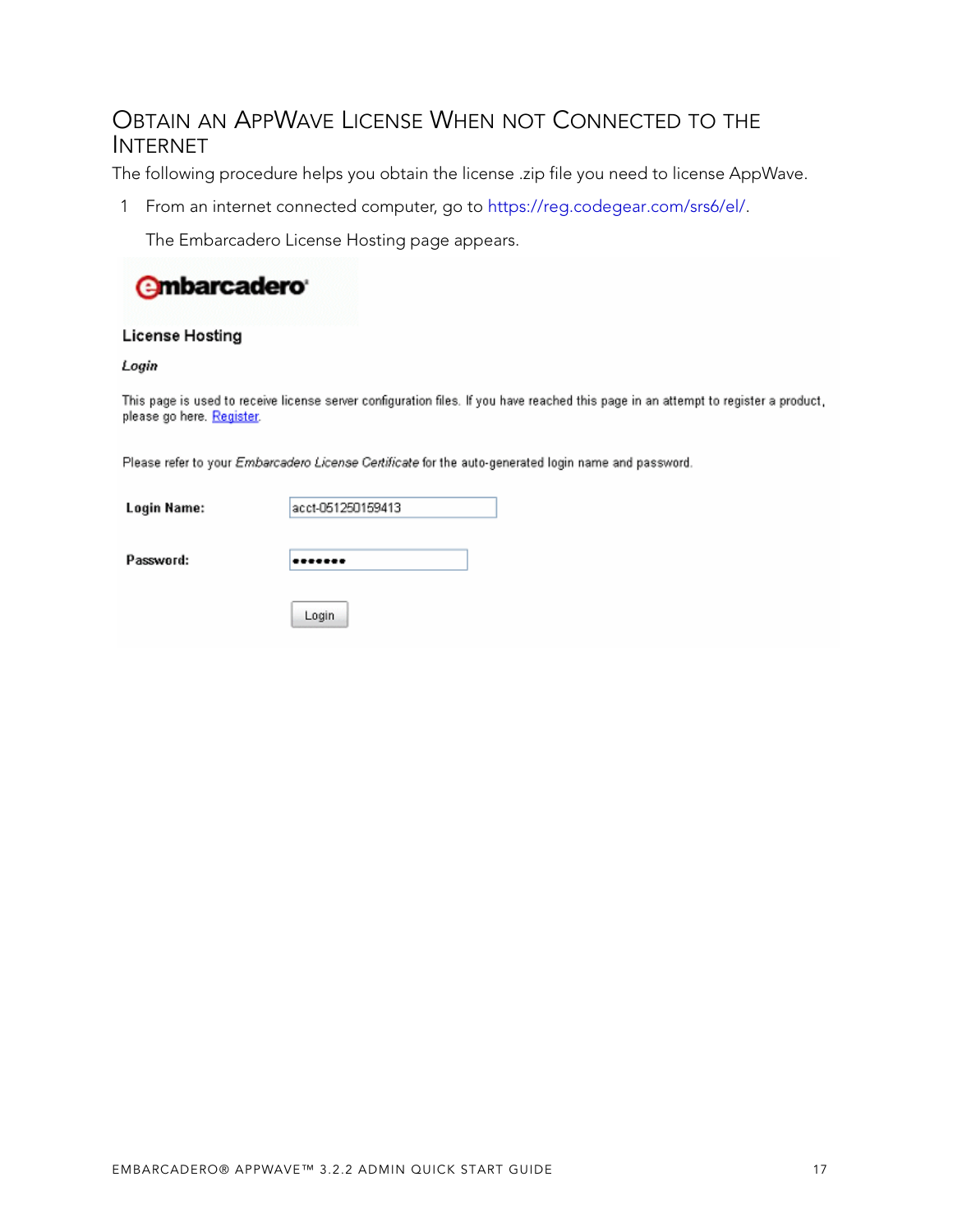### <span id="page-18-0"></span>OBTAIN AN APPWAVE LICENSE WHEN NOT CONNECTED TO THE INTERNET

The following procedure helps you obtain the license .zip file you need to license AppWave.

1 From an internet connected computer, go to <https://reg.codegear.com/srs6/el/>.

The Embarcadero License Hosting page appears.

### **Ombarcadero**

#### **License Hosting**

#### Login

This page is used to receive license server configuration files. If you have reached this page in an attempt to register a product, please go here. Register.

Please refer to your Embarcadero License Certificate for the auto-generated login name and password.

| Login Name: | acct-051250159413 |  |
|-------------|-------------------|--|
|             |                   |  |
| Password:   |                   |  |
|             | Login             |  |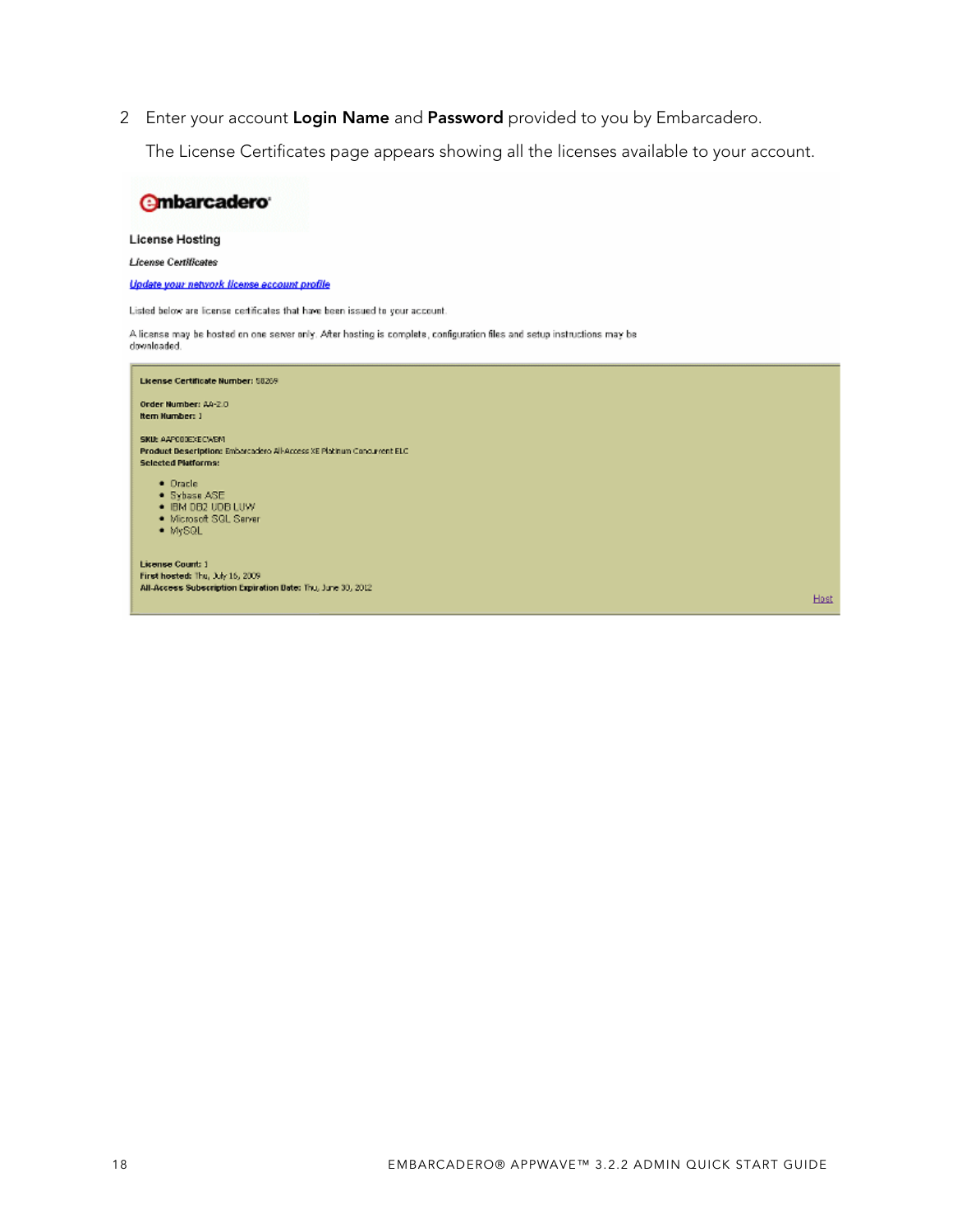2 Enter your account **Login Name** and **Password** provided to you by Embarcadero.

The License Certificates page appears showing all the licenses available to your account.



#### **License Hosting**

**License Certificates** 

Update your network license account profile

Listed below are license certificates that have been issued to your account.

A license may be hosted on one server only. After hosting is complete, configuration files and setup instructions may be downloaded.

| License Certificate Number: 58269                                                                                           |      |
|-----------------------------------------------------------------------------------------------------------------------------|------|
| Order Number: AA-2.0<br><b>Item Humber: 1</b>                                                                               |      |
| SKIJ: AAPODDEXECWEM<br>Product Description: Embarcadero All-Access XE Platinum Concurrent ELC<br><b>Sciected Platforms:</b> |      |
| · Dracle<br>· Sybase ASE<br>. IBM DB2 UDB LUW<br>· Microsoft SQL Server<br>~MySQL                                           |      |
| <b>License Count: 1</b><br>First hosted: Thu, July 16, 2009<br>All-Access Subscription Expiration Bate: Tru, June 30, 2012  | Host |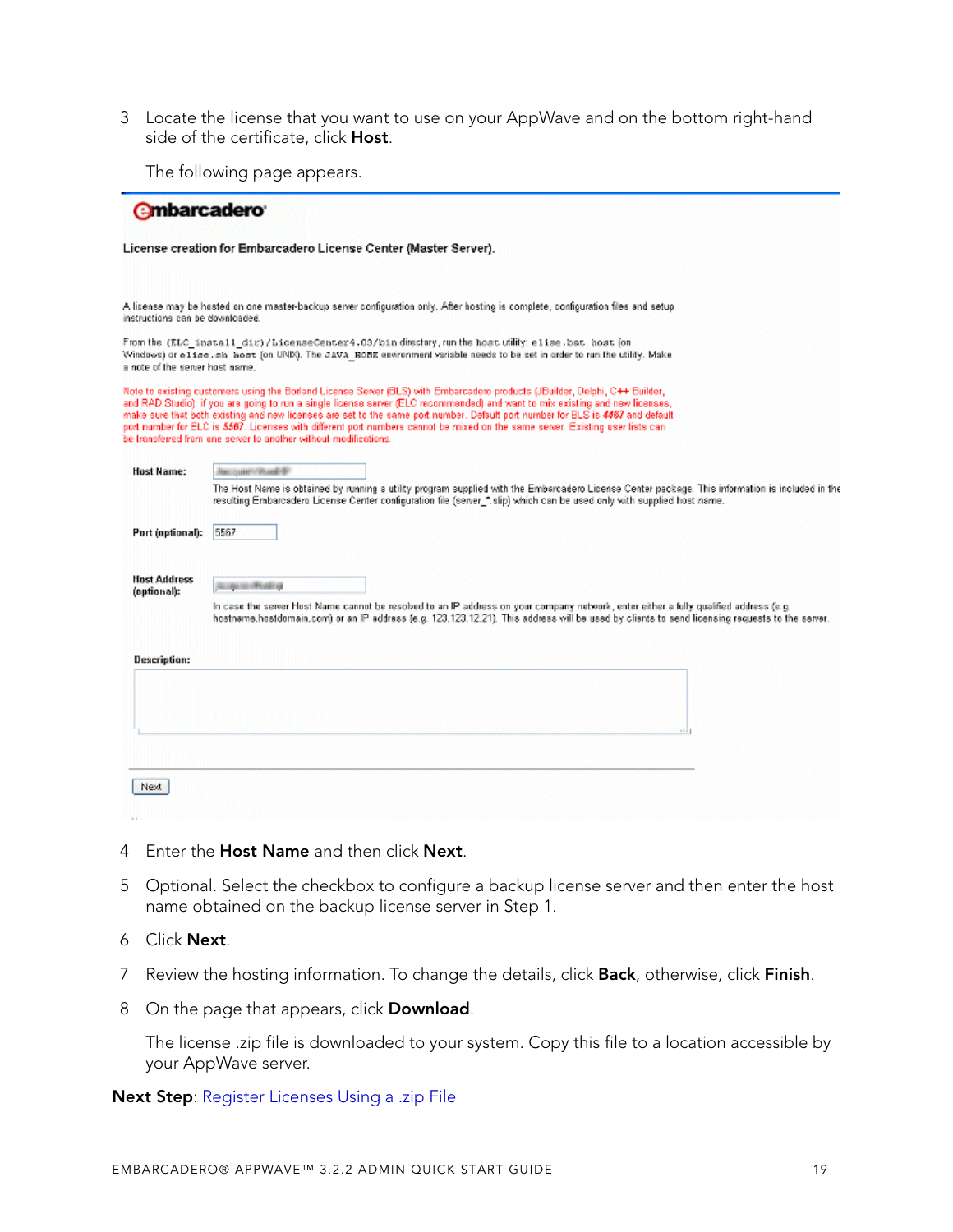3 Locate the license that you want to use on your AppWave and on the bottom right-hand side of the certificate, click **Host**.

The following page appears.

| <b>Ombarcadero</b>              |                                                                                                                                                                                                                                                                                                                                                                                                                                                                                                                                                                                                     |
|---------------------------------|-----------------------------------------------------------------------------------------------------------------------------------------------------------------------------------------------------------------------------------------------------------------------------------------------------------------------------------------------------------------------------------------------------------------------------------------------------------------------------------------------------------------------------------------------------------------------------------------------------|
|                                 | License creation for Embarcadero License Center (Master Server).                                                                                                                                                                                                                                                                                                                                                                                                                                                                                                                                    |
|                                 |                                                                                                                                                                                                                                                                                                                                                                                                                                                                                                                                                                                                     |
| instructions can be downloaded. | A license may be hosted on one master-backup server configuration only. After hosting is complete, configuration files and setup                                                                                                                                                                                                                                                                                                                                                                                                                                                                    |
| a note of the server host name. | From the (ELC_install_dir)/LicenseCenter4.03/bin directory, run the host utility: elise.bat host (on<br>Windows) or ellise. sh host [on UNIX). The JAVA BOBE environment variable needs to be set in order to run the utility. Make                                                                                                                                                                                                                                                                                                                                                                 |
|                                 | Note to existing customers using the Borland License Server (BLS) with Embarcadero products (JBuilder, Delphi, C++ Builder,<br>and RAD Studio); if you are going to run a single license server (ELC recommended) and want to mix existing and new licenses,<br>make sure that both existing and new licenses are set to the same port number. Default port number for BLS is 4467 and default<br>port number for ELC is 5567. Licenses with different port numbers cannot be mixed on the same server. Existing user lists can<br>be transferred from one server to another without modifications. |
| <b>Host Name:</b>               | Jacques (IluaDP)                                                                                                                                                                                                                                                                                                                                                                                                                                                                                                                                                                                    |
| Port (optional):                | The Host Name is obtained by running a utility program supplied with the Embarcadero License Center package. This information is included in the<br>resulting Embarcadera License Center configuration file (server_*.slip) which can be used only with supplied host name.<br>5567                                                                                                                                                                                                                                                                                                                 |
|                                 |                                                                                                                                                                                                                                                                                                                                                                                                                                                                                                                                                                                                     |
| <b>Host Address</b>             | <b>MALISSISTER LINES AN</b>                                                                                                                                                                                                                                                                                                                                                                                                                                                                                                                                                                         |
| (optional):                     | In case the server Host Name cannot be resolved to an IP address on your company network, enter either a fully qualified address (e.g.<br>hostname,hostdomain,com) or an IP address (e.g. 123.123.12.21). This address will be used by clients to send licensing requests to the server.                                                                                                                                                                                                                                                                                                            |
| <b>Description:</b>             |                                                                                                                                                                                                                                                                                                                                                                                                                                                                                                                                                                                                     |
|                                 |                                                                                                                                                                                                                                                                                                                                                                                                                                                                                                                                                                                                     |
|                                 |                                                                                                                                                                                                                                                                                                                                                                                                                                                                                                                                                                                                     |
| Next                            |                                                                                                                                                                                                                                                                                                                                                                                                                                                                                                                                                                                                     |

- 4 Enter the **Host Name** and then click **Next**.
- 5 Optional. Select the checkbox to configure a backup license server and then enter the host name obtained on the backup license server in Step 1.
- 6 Click **Next**.
- 7 Review the hosting information. To change the details, click **Back**, otherwise, click **Finish**.
- 8 On the page that appears, click **Download**.

The license .zip file is downloaded to your system. Copy this file to a location accessible by your AppWave server.

#### **Next Step**: [Register Licenses Using a .zip File](#page-23-0)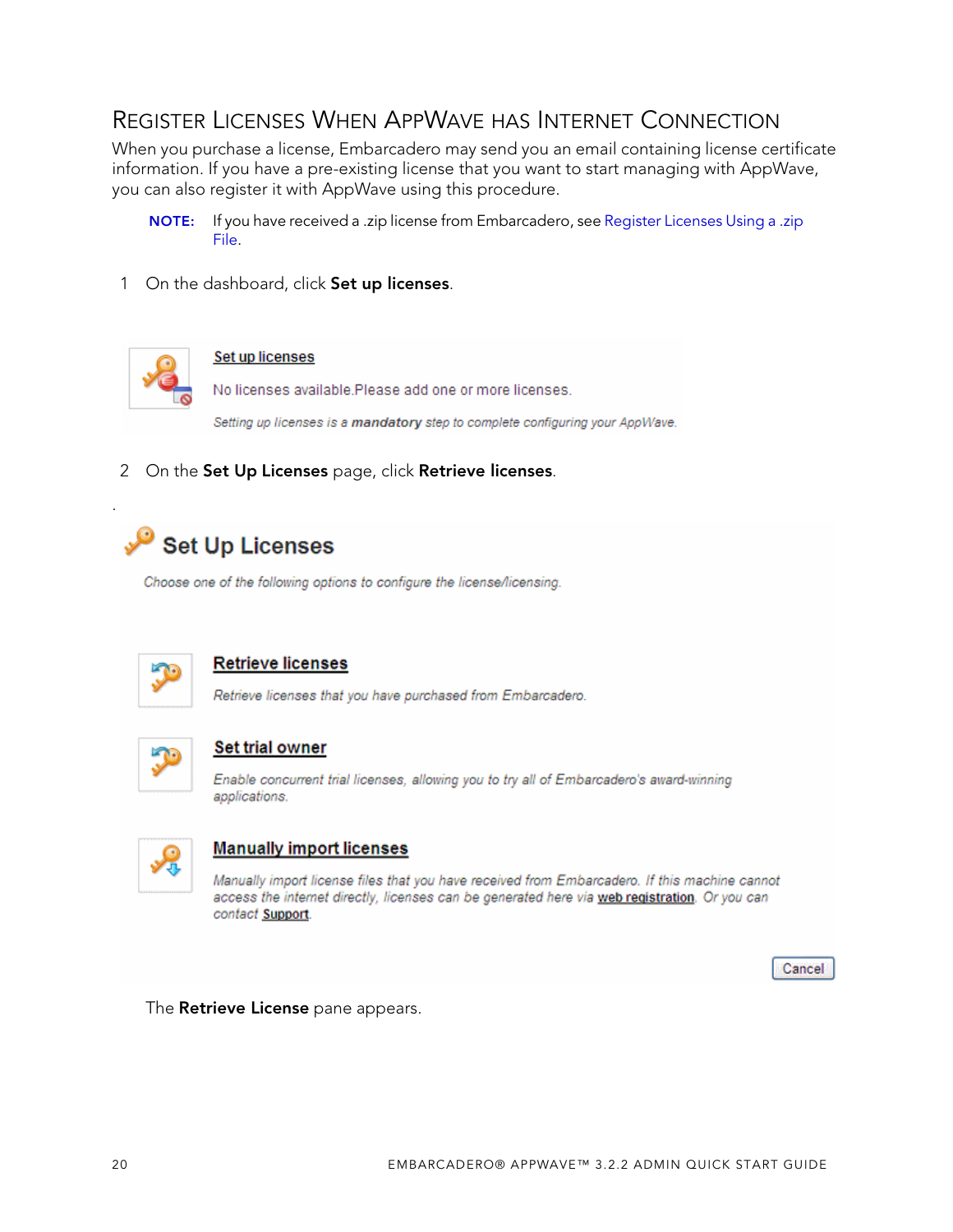### <span id="page-21-0"></span>REGISTER LICENSES WHEN APPWAVE HAS INTERNET CONNECTION

When you purchase a license, Embarcadero may send you an email containing license certificate information. If you have a pre-existing license that you want to start managing with AppWave, you can also register it with AppWave using this procedure.

1 On the dashboard, click **Set up licenses**.



.

#### Set up licenses

No licenses available.Please add one or more licenses.

Setting up licenses is a mandatory step to complete configuring your AppWave.

2 On the **Set Up Licenses** page, click **Retrieve licenses**.

# Set Up Licenses

Choose one of the following options to configure the license/licensing.



#### **Retrieve licenses**

Retrieve licenses that you have purchased from Embarcadero.

#### Set trial owner

Enable concurrent trial licenses, allowing you to try all of Embarcadero's award-winning applications.



#### **Manually import licenses**

Manually import license files that you have received from Embarcadero. If this machine cannot access the internet directly, licenses can be generated here via web registration. Or you can contact Support.

Cancel

The **Retrieve License** pane appears.

**NOTE:** If you have received a .zip license from Embarcadero, see [Register Licenses Using a .zip](#page-23-0)  [File.](#page-23-0)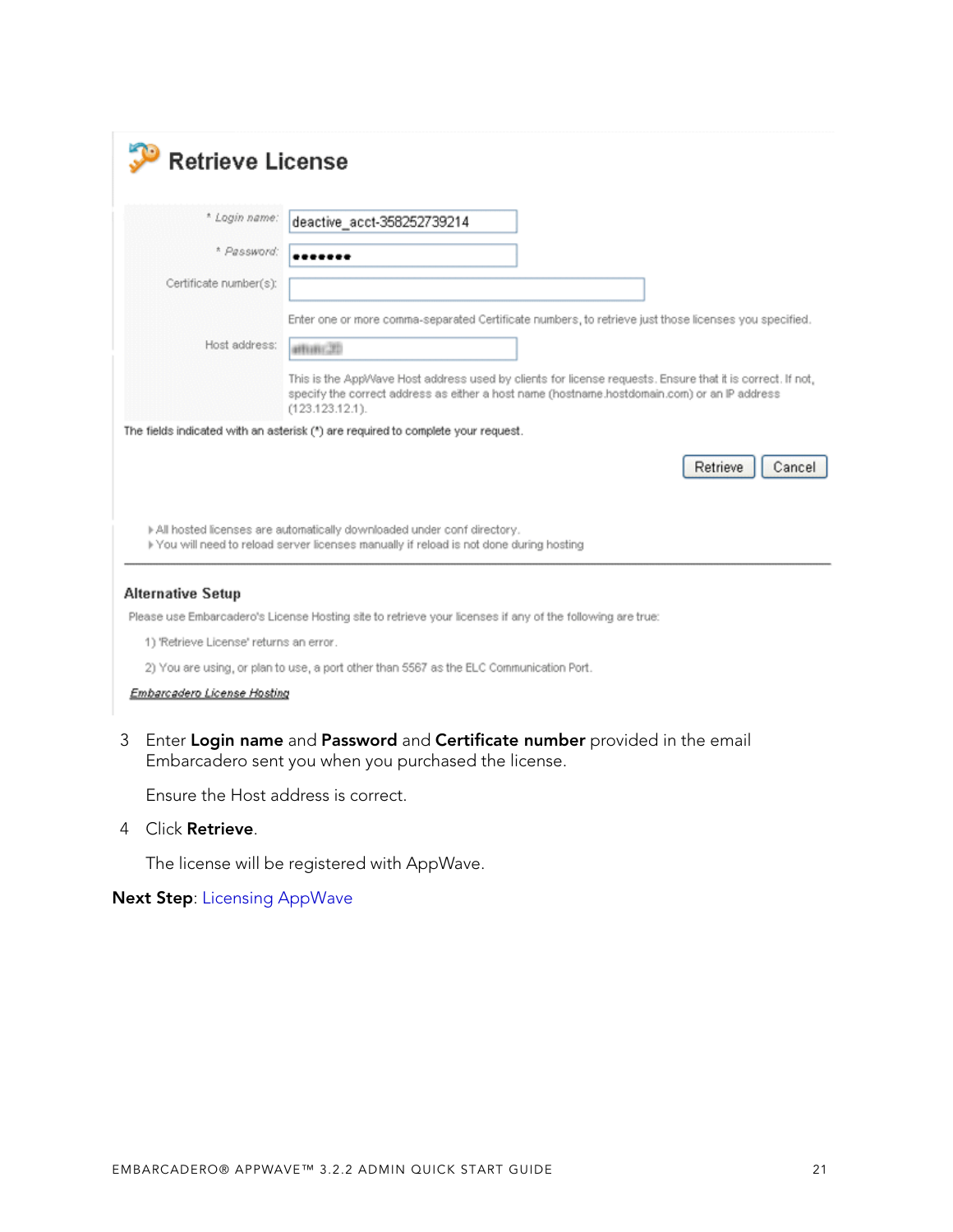| <b>Retrieve License</b>                 |                                                                                                                                                                   |                                                                                                                                                                                                             |
|-----------------------------------------|-------------------------------------------------------------------------------------------------------------------------------------------------------------------|-------------------------------------------------------------------------------------------------------------------------------------------------------------------------------------------------------------|
| * Login name:                           | deactive_acct-358252739214                                                                                                                                        |                                                                                                                                                                                                             |
| * Password:                             |                                                                                                                                                                   |                                                                                                                                                                                                             |
| Certificate number(s):                  |                                                                                                                                                                   |                                                                                                                                                                                                             |
|                                         |                                                                                                                                                                   | Enter one or more comma-separated Certificate numbers, to retrieve just those licenses you specified.                                                                                                       |
| Host address:                           | attunc20                                                                                                                                                          |                                                                                                                                                                                                             |
|                                         | $(123.123.12.1)$ .                                                                                                                                                | This is the Appl/Vave Host address used by clients for license requests. Ensure that it is correct. If not,<br>specify the correct address as either a host name (hostname.hostdomain.com) or an IP address |
|                                         | The fields indicated with an asterisk (*) are required to complete your request.                                                                                  |                                                                                                                                                                                                             |
|                                         |                                                                                                                                                                   | Retrieve<br>Cancel                                                                                                                                                                                          |
|                                         | All hosted licenses are automatically downloaded under conf directory.<br>▶ You will need to reload server licenses manually if reload is not done during hosting |                                                                                                                                                                                                             |
| <b>Alternative Setup</b>                |                                                                                                                                                                   |                                                                                                                                                                                                             |
|                                         | Please use Embarcadero's License Hosting site to retrieve your licenses if any of the following are true:                                                         |                                                                                                                                                                                                             |
| 1) 'Retrieve License' returns an error. |                                                                                                                                                                   |                                                                                                                                                                                                             |

2) You are using, or plan to use, a port other than 5567 as the ELC Communication Port.

#### Embarcadero License Hosting

3 Enter **Login name** and **Password** and **Certificate number** provided in the email Embarcadero sent you when you purchased the license.

Ensure the Host address is correct.

#### 4 Click **Retrieve**.

The license will be registered with AppWave.

#### **Next Step**: [Licensing AppWave](#page-13-0)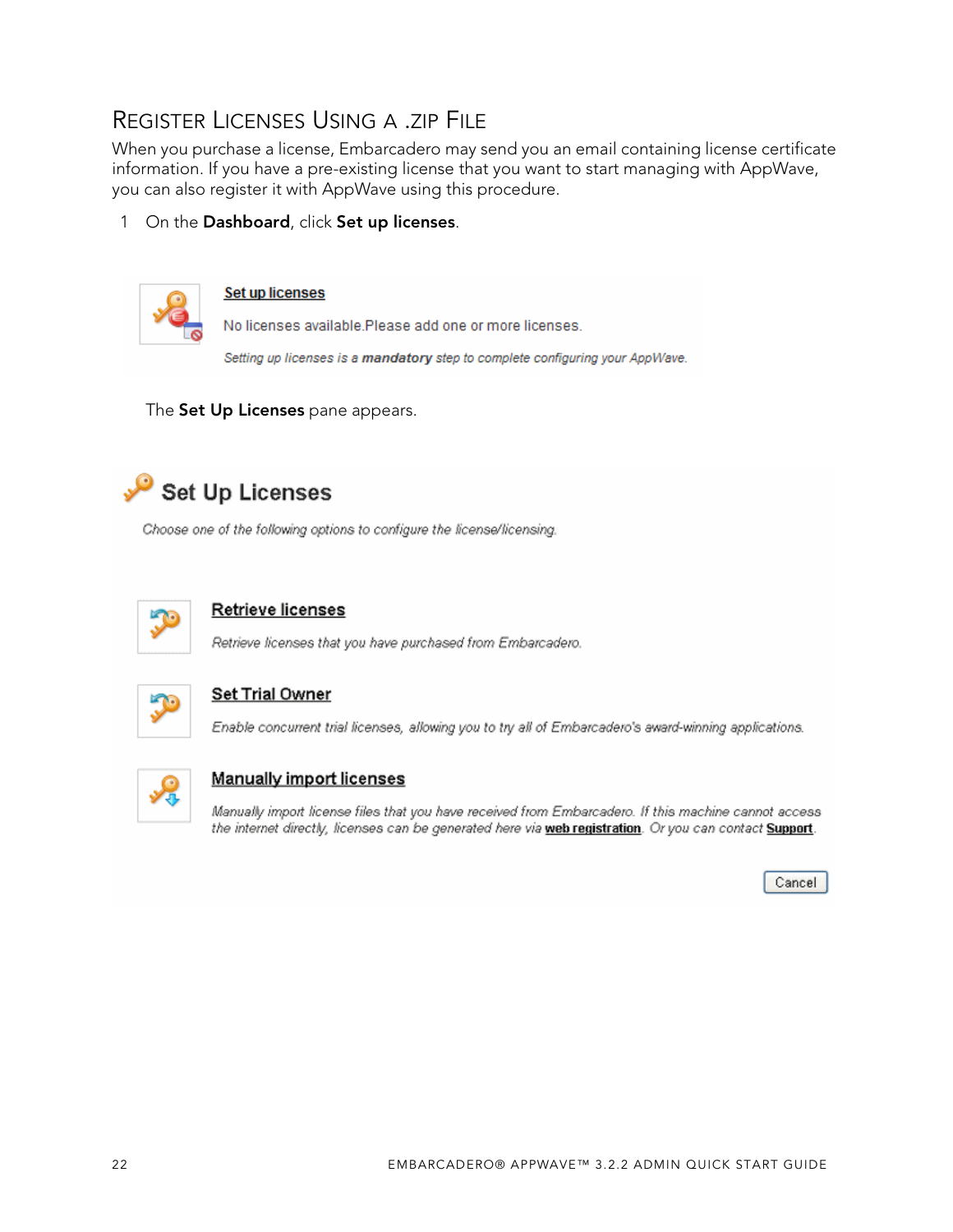### <span id="page-23-0"></span>REGISTER LICENSES USING A .ZIP FILE

When you purchase a license, Embarcadero may send you an email containing license certificate information. If you have a pre-existing license that you want to start managing with AppWave, you can also register it with AppWave using this procedure.

1 On the **Dashboard**, click **Set up licenses**.



#### **Set up licenses**

No licenses available.Please add one or more licenses.

Setting up licenses is a mandatory step to complete configuring your AppWave.

The **Set Up Licenses** pane appears.

# **Set Up Licenses**

Choose one of the following options to configure the license/licensing.



#### Retrieve licenses

Retrieve licenses that you have purchased from Embarcadero.



#### Set Trial Owner

Enable concurrent trial licenses, allowing you to try all of Embarcadero's award-winning applications.



#### Manually import licenses

Manually import license files that you have received from Embarcadero. If this machine cannot access the internet directly, licenses can be generated here via web registration. Or you can contact Support.

Cancel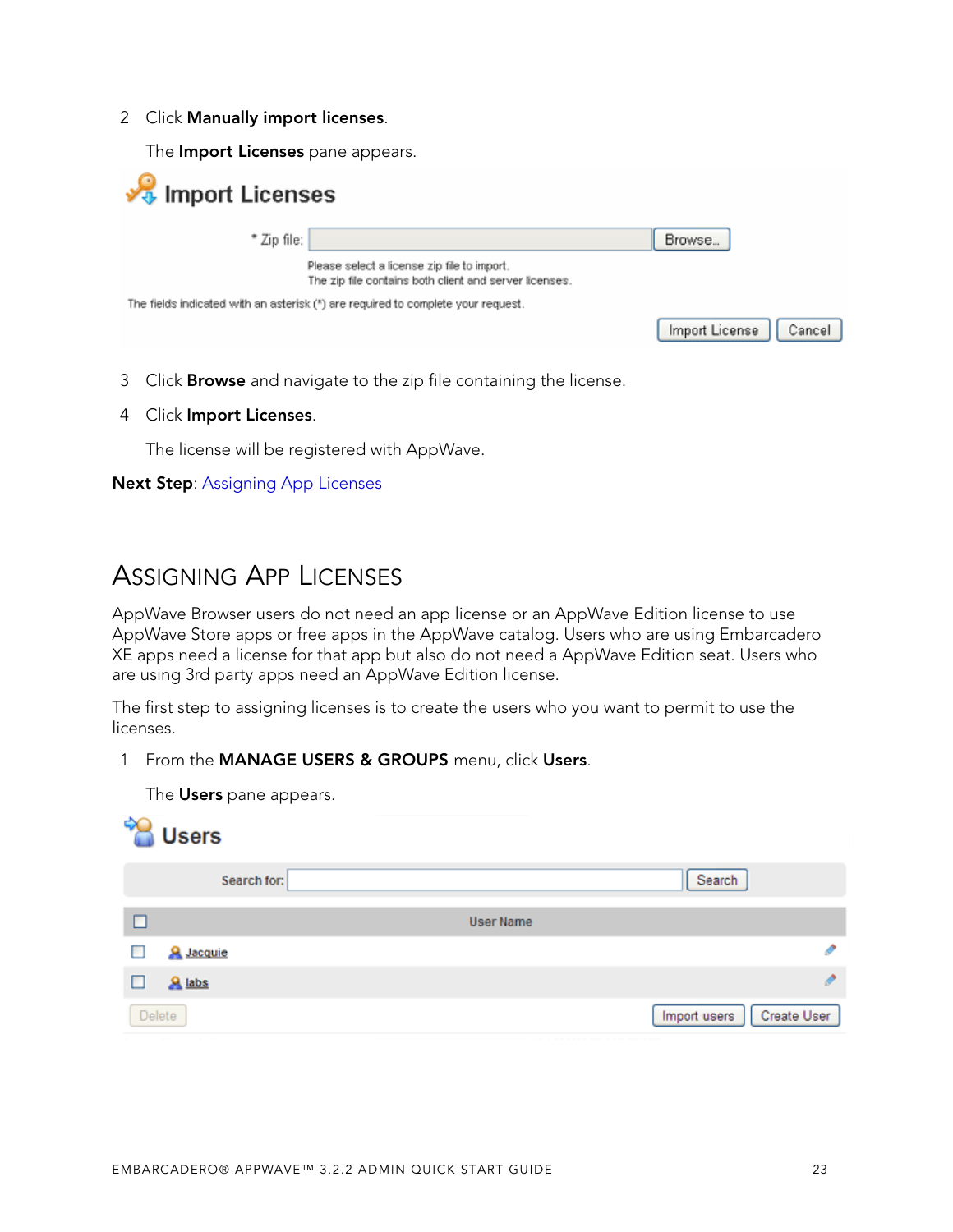#### 2 Click **Manually import licenses**.

The **Import Licenses** pane appears.



- 3 Click **Browse** and navigate to the zip file containing the license.
- 4 Click **Import Licenses**.

The license will be registered with AppWave.

**Next Step**: [Assigning App Licenses](#page-24-0)

### <span id="page-24-0"></span>ASSIGNING APP LICENSES

The **Users** pane appears.

AppWave Browser users do not need an app license or an AppWave Edition license to use AppWave Store apps or free apps in the AppWave catalog. Users who are using Embarcadero XE apps need a license for that app but also do not need a AppWave Edition seat. Users who are using 3rd party apps need an AppWave Edition license.

The first step to assigning licenses is to create the users who you want to permit to use the licenses.

1 From the **MANAGE USERS & GROUPS** menu, click **Users**.

| ≪<br><b>Users</b> |                  |                  |             |  |
|-------------------|------------------|------------------|-------------|--|
|                   | Search for:      | Search           |             |  |
| $\Box$            |                  | <b>User Name</b> |             |  |
|                   | <b>Q</b> Jacquie |                  |             |  |
| ∟                 | <b>A</b> labs    |                  |             |  |
| Delete            |                  | Import users     | Create User |  |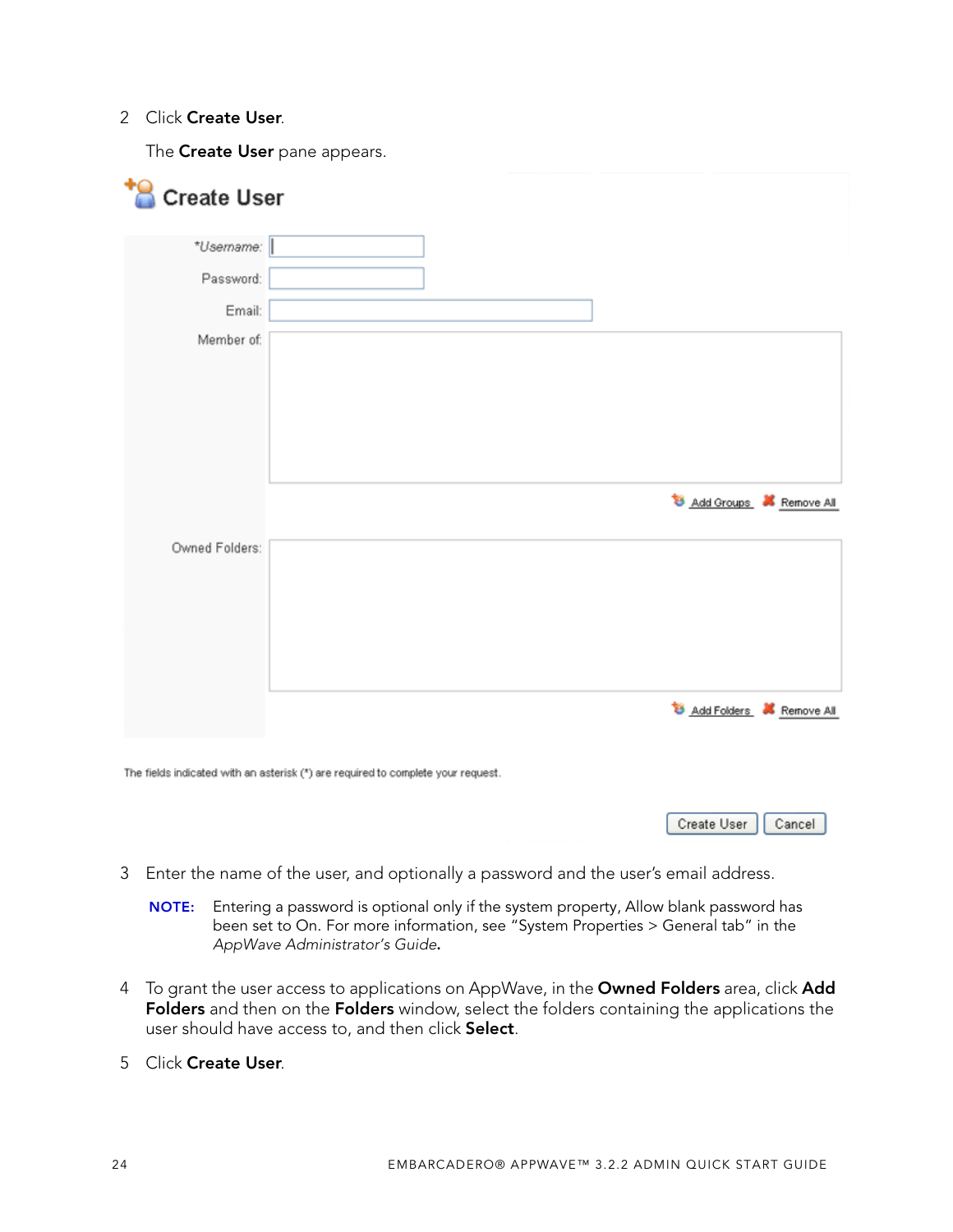#### 2 Click **Create User**.

The **Create User** pane appears.

| <b>Create User</b> |                                                                                  |
|--------------------|----------------------------------------------------------------------------------|
| *Username:         |                                                                                  |
| Password:          |                                                                                  |
| Email:             |                                                                                  |
| Member of:         |                                                                                  |
|                    |                                                                                  |
|                    |                                                                                  |
|                    |                                                                                  |
|                    |                                                                                  |
|                    | Add Groups K Remove All                                                          |
| Owned Folders:     |                                                                                  |
|                    |                                                                                  |
|                    |                                                                                  |
|                    |                                                                                  |
|                    |                                                                                  |
|                    | Add Folders & Remove All                                                         |
|                    |                                                                                  |
|                    | The fields indicated with an asterisk (*) are required to complete your request. |

Create User Cancel

- 3 Enter the name of the user, and optionally a password and the user's email address.
	- **NOTE:** Entering a password is optional only if the system property, Allow blank password has been set to On. For more information, see "System Properties > General tab" in the AppWave Administrator's Guide**.**
- 4 To grant the user access to applications on AppWave, in the **Owned Folders** area, click **Add Folders** and then on the **Folders** window, select the folders containing the applications the user should have access to, and then click **Select**.
- 5 Click **Create User**.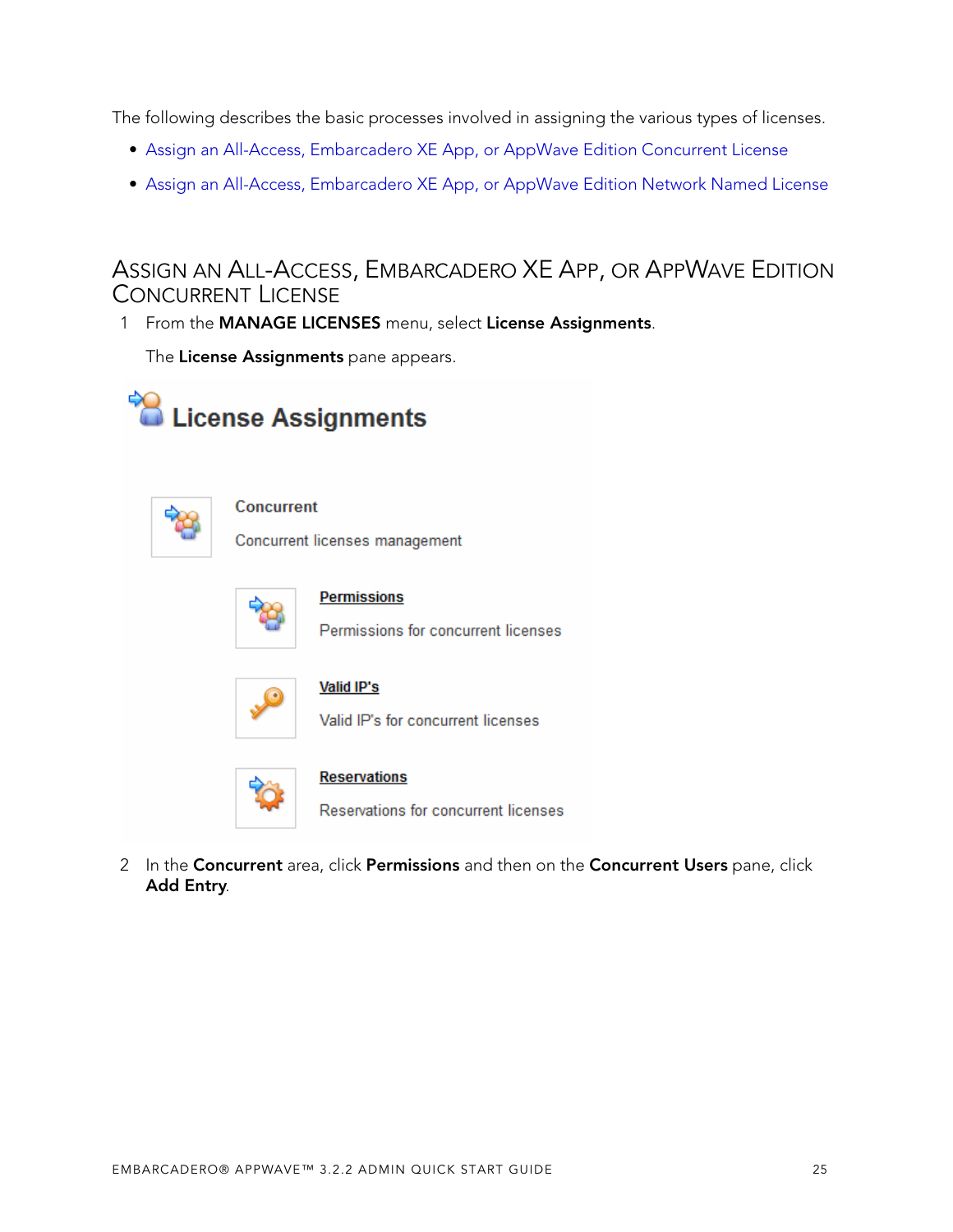The following describes the basic processes involved in assigning the various types of licenses.

- [Assign an All-Access, Embarcadero XE App, or AppWave Edition Concurrent License](#page-26-0)
- [Assign an All-Access, Embarcadero XE App, or AppWave Edition Network Named License](#page-32-0)

### <span id="page-26-0"></span>ASSIGN AN ALL-ACCESS, EMBARCADERO XE APP, OR APPWAVE EDITION CONCURRENT LICENSE

1 From the **MANAGE LICENSES** menu, select **License Assignments**.

The **License Assignments** pane appears.





#### **Concurrent**

Concurrent licenses management



#### **Permissions**

Permissions for concurrent licenses



#### Valid IP's

Valid IP's for concurrent licenses



#### Reservations

Reservations for concurrent licenses

2 In the **Concurrent** area, click **Permissions** and then on the **Concurrent Users** pane, click **Add Entry**.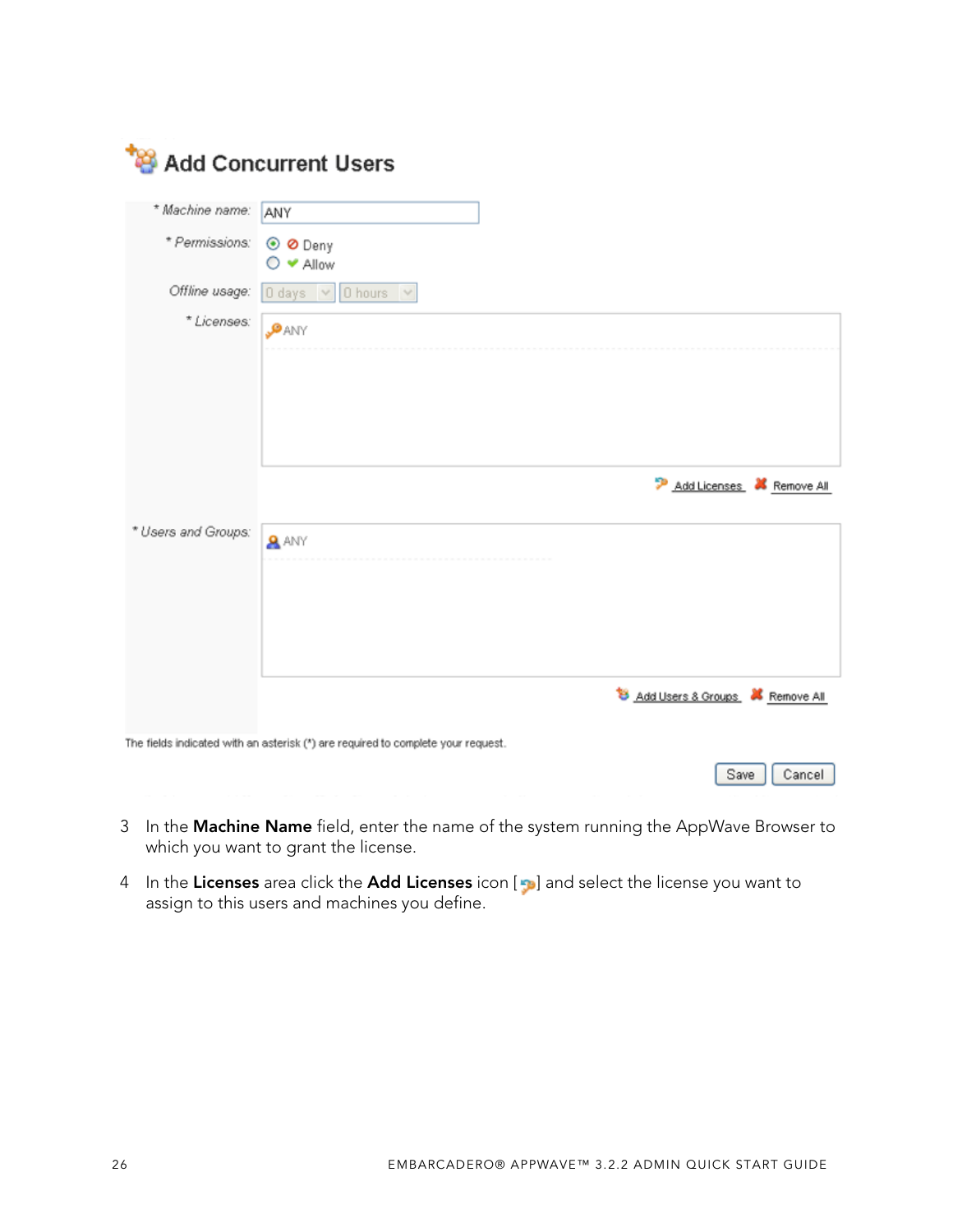|                         | Add Concurrent Users                                                             |        |
|-------------------------|----------------------------------------------------------------------------------|--------|
| * Machine name: ANY     |                                                                                  |        |
| * Permissions: © O Deny | ○ <del>▼</del> Allow                                                             |        |
| Offline usage:          | $\boxed{0 \text{ days}}$ $\vee$ $\boxed{0 \text{ hours}}$ $\vee$                 |        |
| * Licenses:             | $\mathcal{S}_{\text{ANY}}$                                                       |        |
|                         |                                                                                  |        |
|                         |                                                                                  |        |
|                         | Add Licenses & Remove All                                                        |        |
| * Users and Groups:     | <b>A</b> ANY                                                                     |        |
|                         | Add Users & Groups & Remove All                                                  |        |
|                         |                                                                                  |        |
|                         | The fields indicated with an asterisk (*) are required to complete your request. |        |
|                         | Save                                                                             | Cancel |

- 3 In the **Machine Name** field, enter the name of the system running the AppWave Browser to which you want to grant the license.
- 4 In the Licenses area click the Add Licenses icon [ $\bullet$ ] and select the license you want to assign to this users and machines you define.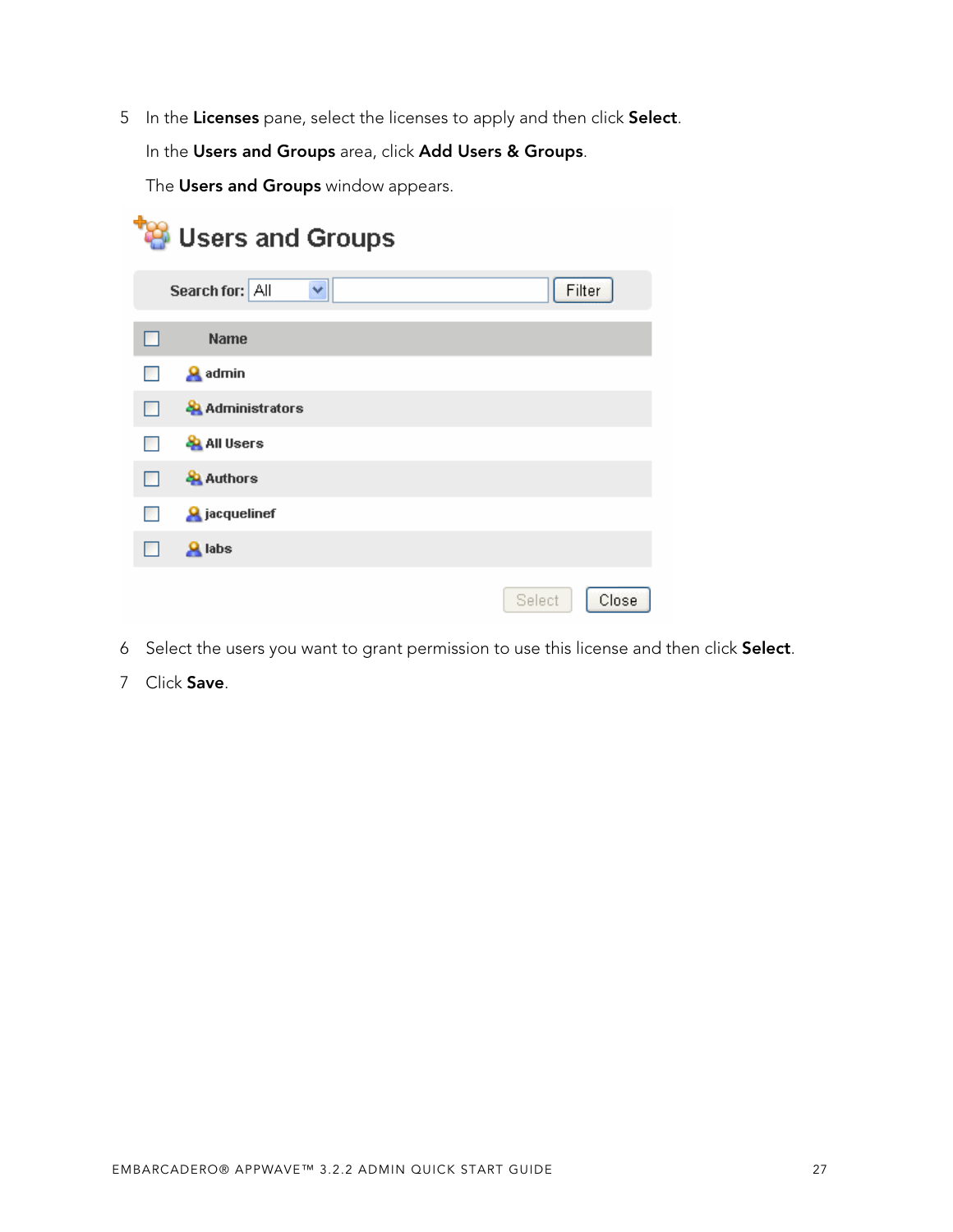5 In the **Licenses** pane, select the licenses to apply and then click **Select**.

In the **Users and Groups** area, click **Add Users & Groups**.

The **Users and Groups** window appears.

# Users and Groups

|    | Search for: All<br>v  | Filter          |
|----|-----------------------|-----------------|
| ы  | <b>Name</b>           |                 |
|    | <b>Q</b> admin        |                 |
|    | <b>Administrators</b> |                 |
|    | <b>A</b> All Users    |                 |
| k. | <b>Authors</b>        |                 |
|    | <b>A</b> jacquelinef  |                 |
| M  | <b>Q</b> labs         |                 |
|    |                       | Close<br>Select |

- 6 Select the users you want to grant permission to use this license and then click **Select**.
- 7 Click **Save**.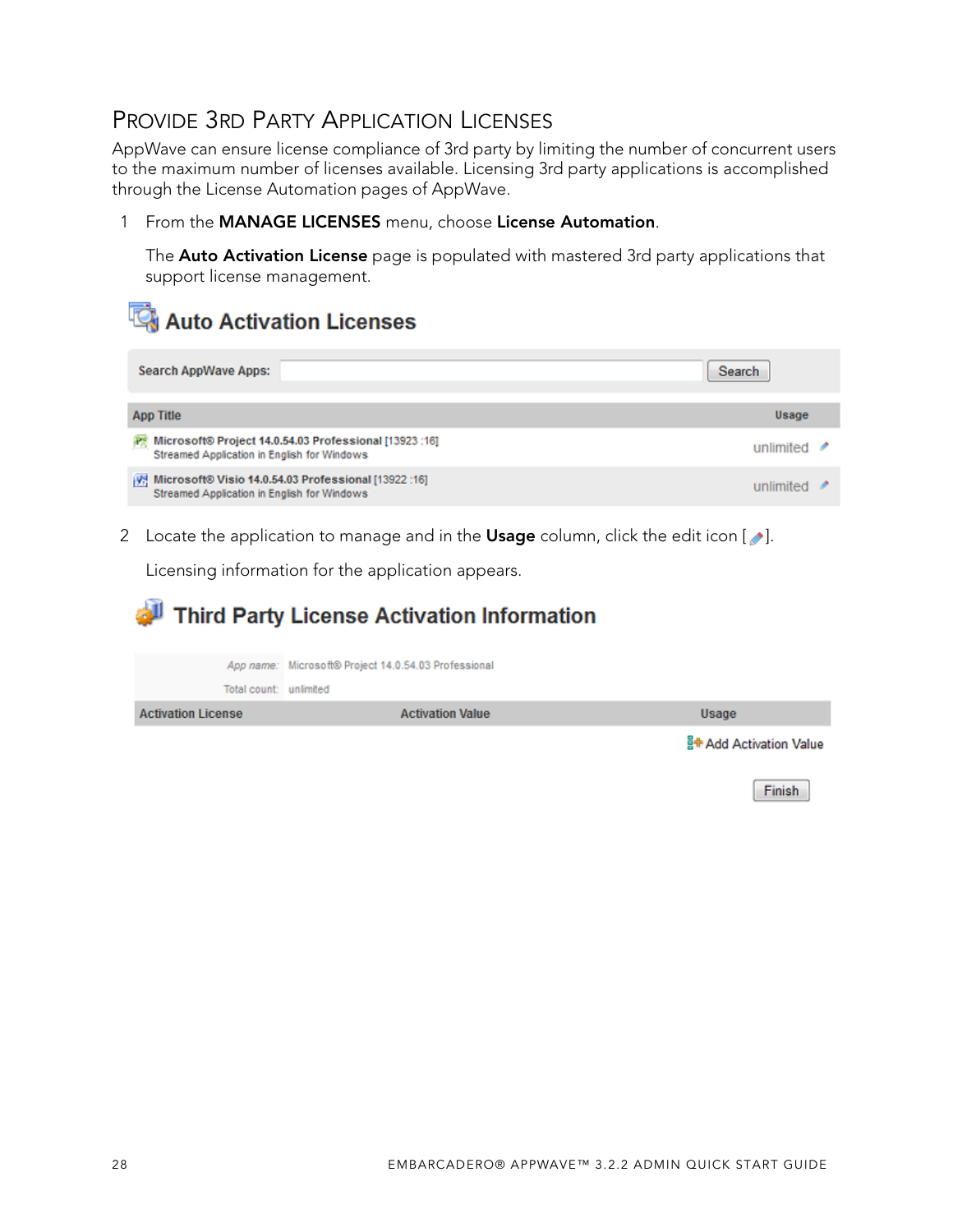### <span id="page-29-0"></span>PROVIDE 3RD PARTY APPLICATION LICENSES

AppWave can ensure license compliance of 3rd party by limiting the number of concurrent users to the maximum number of licenses available. Licensing 3rd party applications is accomplished through the License Automation pages of AppWave.

1 From the **MANAGE LICENSES** menu, choose **License Automation**.

The **Auto Activation License** page is populated with mastered 3rd party applications that support license management.

# Auto Activation Licenses

| Search AppWave Apps:                                                                                        | Search    |
|-------------------------------------------------------------------------------------------------------------|-----------|
| <b>App Title</b>                                                                                            | Usage     |
| Microsoft® Project 14.0.54.03 Professional [13923 :16]<br>天天<br>Streamed Application in English for Windows | unlimited |
| Microsoft® Visio 14.0.54.03 Professional [13922 :16]<br>IV.<br>Streamed Application in English for Windows  | unlimited |

2 Locate the application to manage and in the **Usage** column, click the edit icon  $[\bullet]$ .

Licensing information for the application appears.

### Third Party License Activation Information

|                           | App name: Microsoft® Project 14.0.54.03 Professional |              |
|---------------------------|------------------------------------------------------|--------------|
| Total count: unlimited    |                                                      |              |
| <b>Activation License</b> | <b>Activation Value</b>                              | <b>Usage</b> |
|                           |                                                      |              |

용+ Add Activation Value

Finish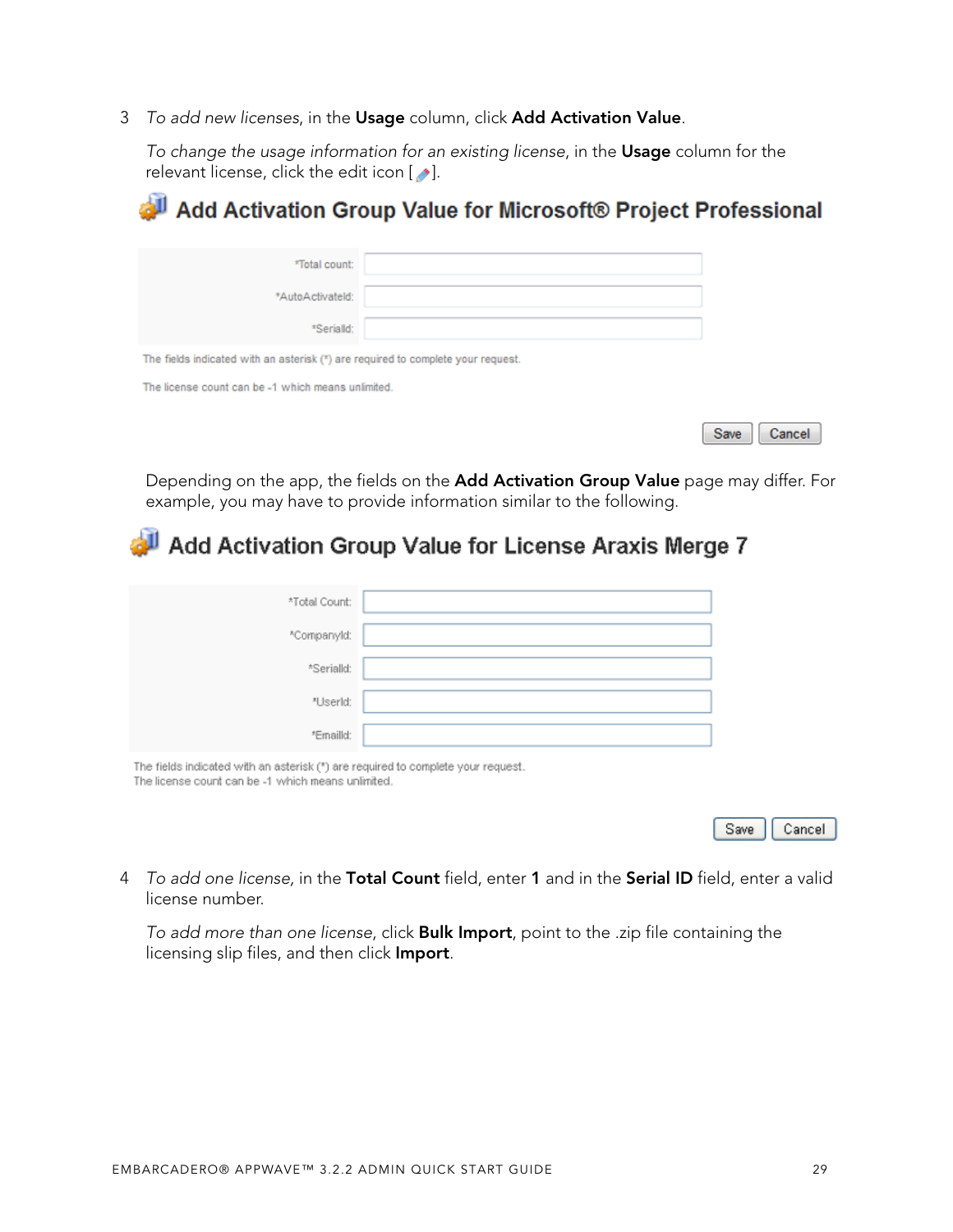3 To add new licenses, in the **Usage** column, click **Add Activation Value**.

To change the usage information for an existing license, in the **Usage** column for the relevant license, click the edit icon  $[$ .

### Add Activation Group Value for Microsoft® Project Professional

| *Total count:                                                                   |  |
|---------------------------------------------------------------------------------|--|
| *AutoActivateld:                                                                |  |
| *Serialld:                                                                      |  |
| The fields indicated with an asterisk (*) are required to complete your request |  |

The license count can be -1 which means unlimited.

|--|--|

Depending on the app, the fields on the **Add Activation Group Value** page may differ. For example, you may have to provide information similar to the following.

### Add Activation Group Value for License Araxis Merge 7

| *Total Count: |  |
|---------------|--|
| *CompanyId:   |  |
| *Serialld:    |  |
| *UserId:      |  |
| *Ernailld:    |  |

The fields indicated with an asterisk (\*) are required to complete your request. The license count can be -1 which means unlimited.



4 To add one license, in the **Total Count** field, enter **1** and in the **Serial ID** field, enter a valid license number.

To add more than one license, click **Bulk Import**, point to the .zip file containing the licensing slip files, and then click **Import**.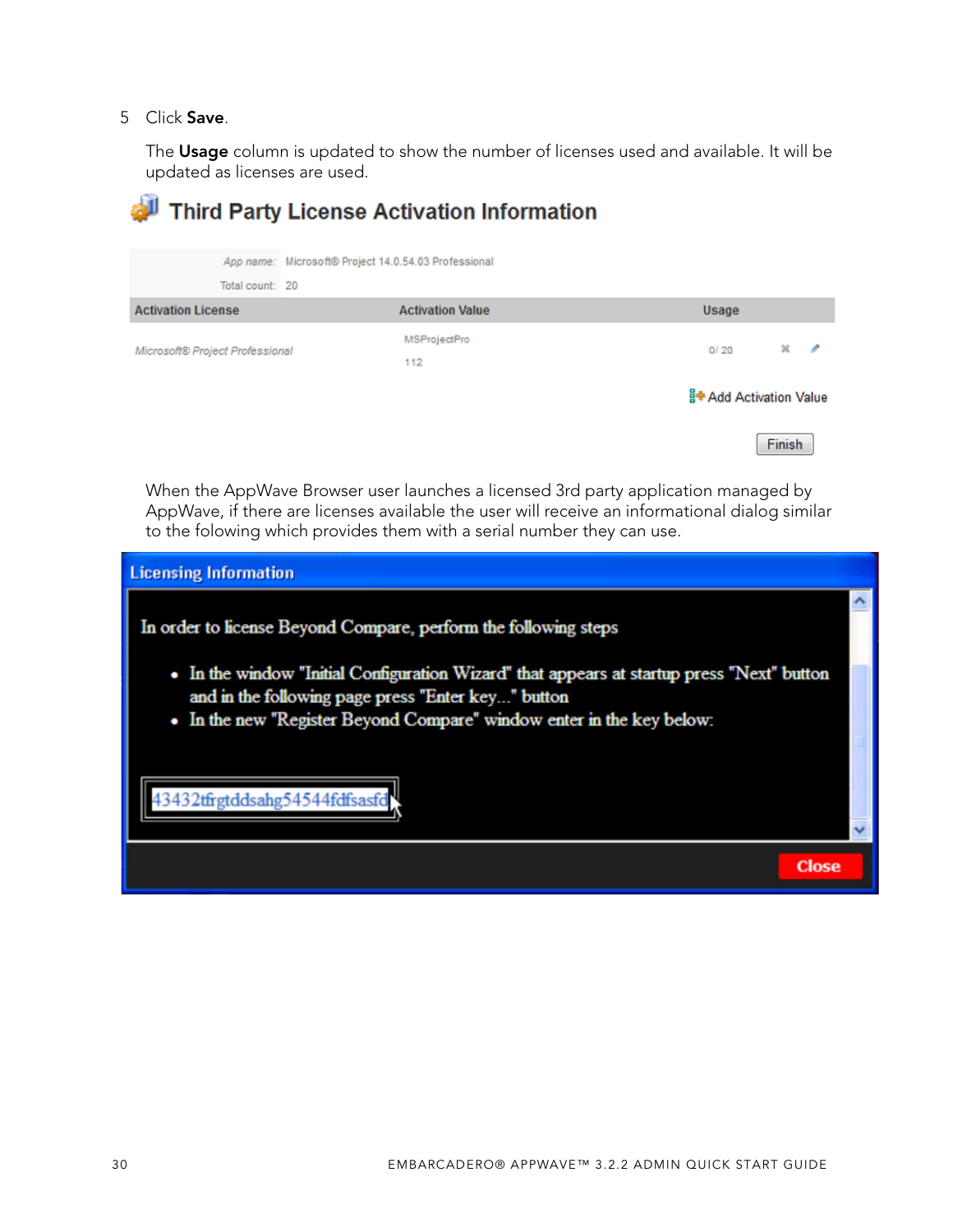#### 5 Click **Save**.

The **Usage** column is updated to show the number of licenses used and available. It will be updated as licenses are used.

### **Third Party License Activation Information**

|                                 | App name: Microsoft® Project 14.0.54.03 Professional |                                           |
|---------------------------------|------------------------------------------------------|-------------------------------------------|
| Total count: 20                 |                                                      |                                           |
| <b>Activation License</b>       | <b>Activation Value</b>                              | Usage                                     |
|                                 | MSProjectPro                                         | $\gg$<br>$\overline{\phantom{a}}$<br>0/20 |
| Microsoft® Project Professional | 112                                                  |                                           |
|                                 |                                                      | <sub>물</sub> ← Add Activation Value       |

When the AppWave Browser user launches a licensed 3rd party application managed by AppWave, if there are licenses available the user will receive an informational dialog similar to the folowing which provides them with a serial number they can use.

Finish

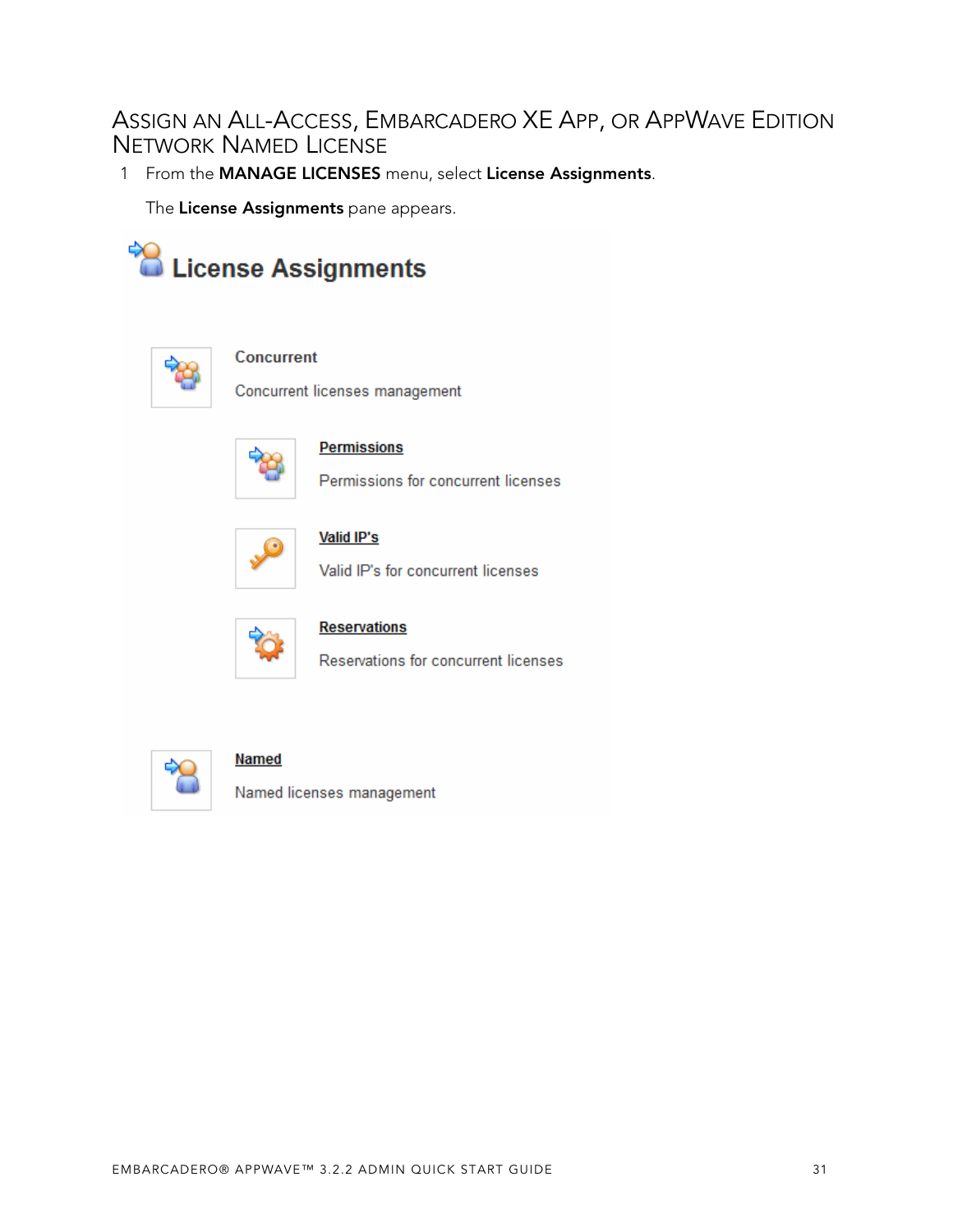### <span id="page-32-0"></span>ASSIGN AN ALL-ACCESS, EMBARCADERO XE APP, OR APPWAVE EDITION NETWORK NAMED LICENSE

1 From the **MANAGE LICENSES** menu, select **License Assignments**.

The **License Assignments** pane appears.



Permissions for concurrent licenses



#### Valid IP's

Valid IP's for concurrent licenses



#### Reservations

Reservations for concurrent licenses



#### **Named**

Named licenses management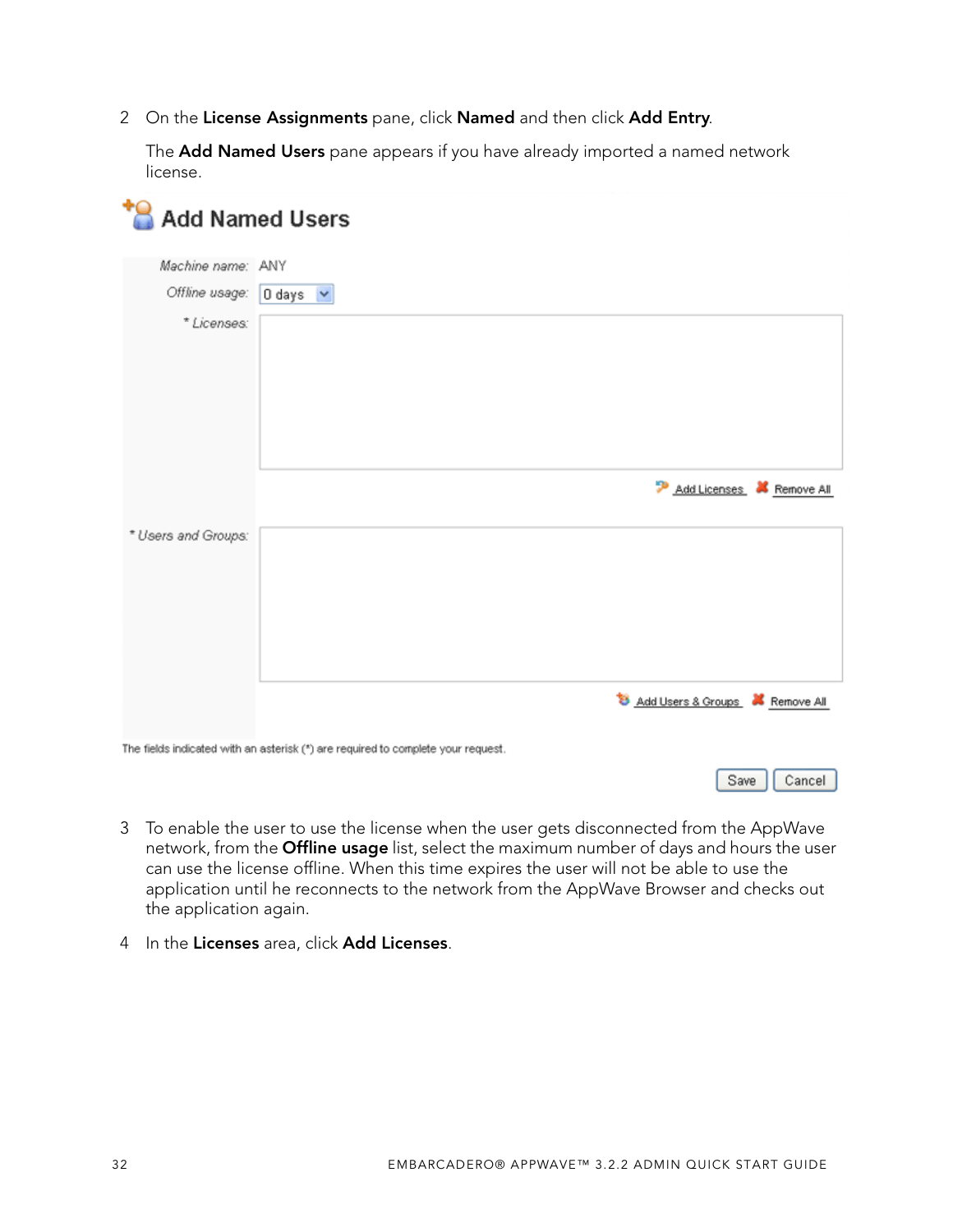2 On the **License Assignments** pane, click **Named** and then click **Add Entry**.

The **Add Named Users** pane appears if you have already imported a named network license.

| <b>Add Named Users</b>  |                                                                                  |
|-------------------------|----------------------------------------------------------------------------------|
| Machine name: ANY       |                                                                                  |
| Offline usage: 0 days v |                                                                                  |
| * Licenses:             | Add Licenses & Remove All                                                        |
|                         |                                                                                  |
| * Users and Groups:     | Add Users & Groups & Remove All                                                  |
|                         | The fields indicated with an asterisk (*) are required to complete your request. |

- 3 To enable the user to use the license when the user gets disconnected from the AppWave network, from the **Offline usage** list, select the maximum number of days and hours the user can use the license offline. When this time expires the user will not be able to use the application until he reconnects to the network from the AppWave Browser and checks out the application again.
- 4 In the **Licenses** area, click **Add Licenses**.

Cancel

Save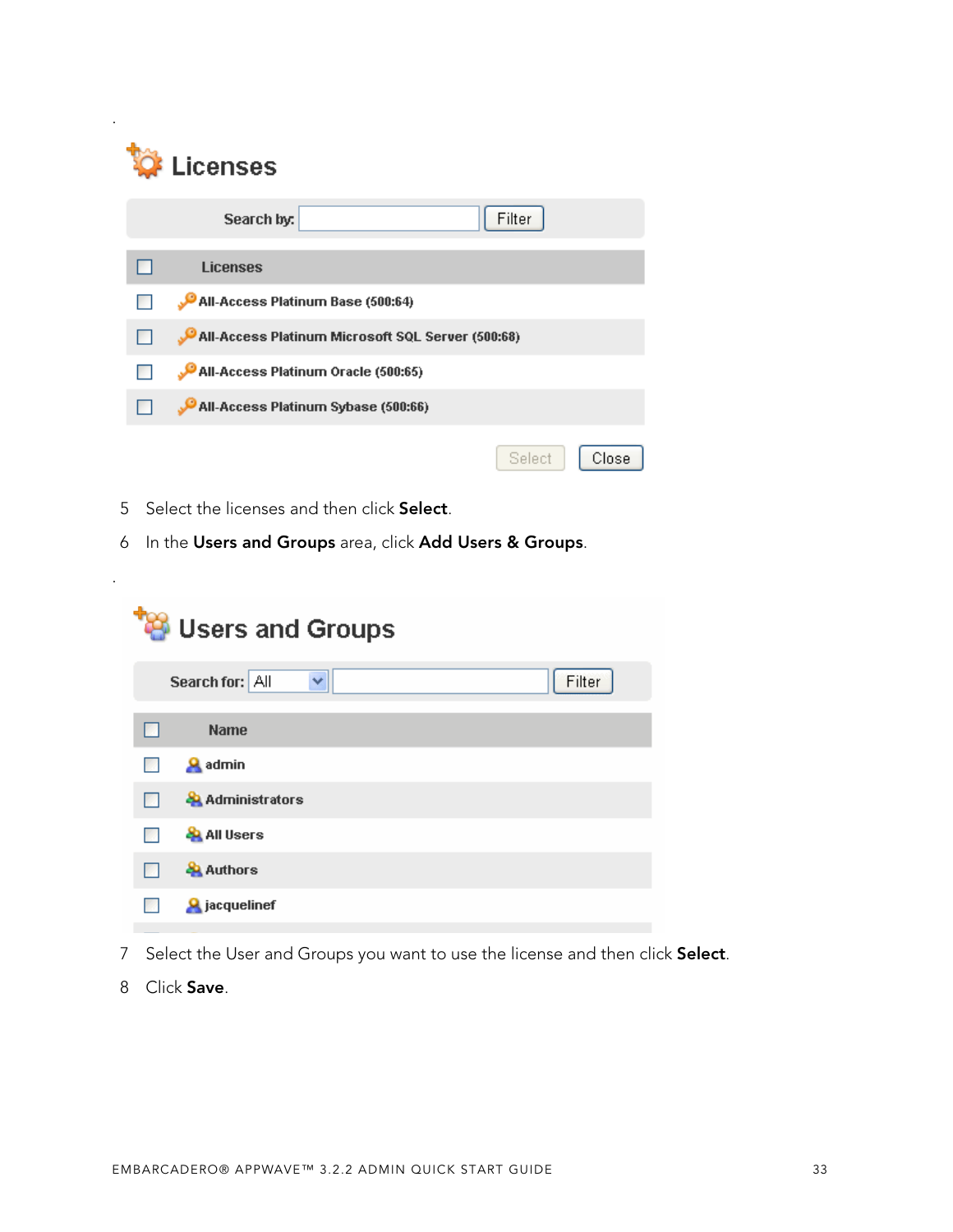| <b>Licenses</b>                                       |        |       |
|-------------------------------------------------------|--------|-------|
| Search by:                                            | Filter |       |
| <b>Licenses</b>                                       |        |       |
| All-Access Platinum Base (500:64)                     |        |       |
| All-Access Platinum Microsoft SQL Server (500:68) لکی |        |       |
| All-Access Platinum Oracle (500:65) هي                |        |       |
| All-Access Platinum Sybase (500:66)                   |        |       |
|                                                       | Select | Close |

- 5 Select the licenses and then click **Select**.
- 6 In the **Users and Groups** area, click **Add Users & Groups**.

| Users and Groups |                                |  |
|------------------|--------------------------------|--|
|                  | Filter<br>Search for: All<br>v |  |
| <b>College</b>   | <b>Name</b>                    |  |
|                  | <b>Q</b> admin                 |  |
|                  | <b>Administrators</b>          |  |
|                  | <b>A</b> All Users             |  |
|                  | <b>Authors</b>                 |  |
|                  | jacquelinef                    |  |

- 7 Select the User and Groups you want to use the license and then click **Select**.
- 8 Click **Save**.

.

.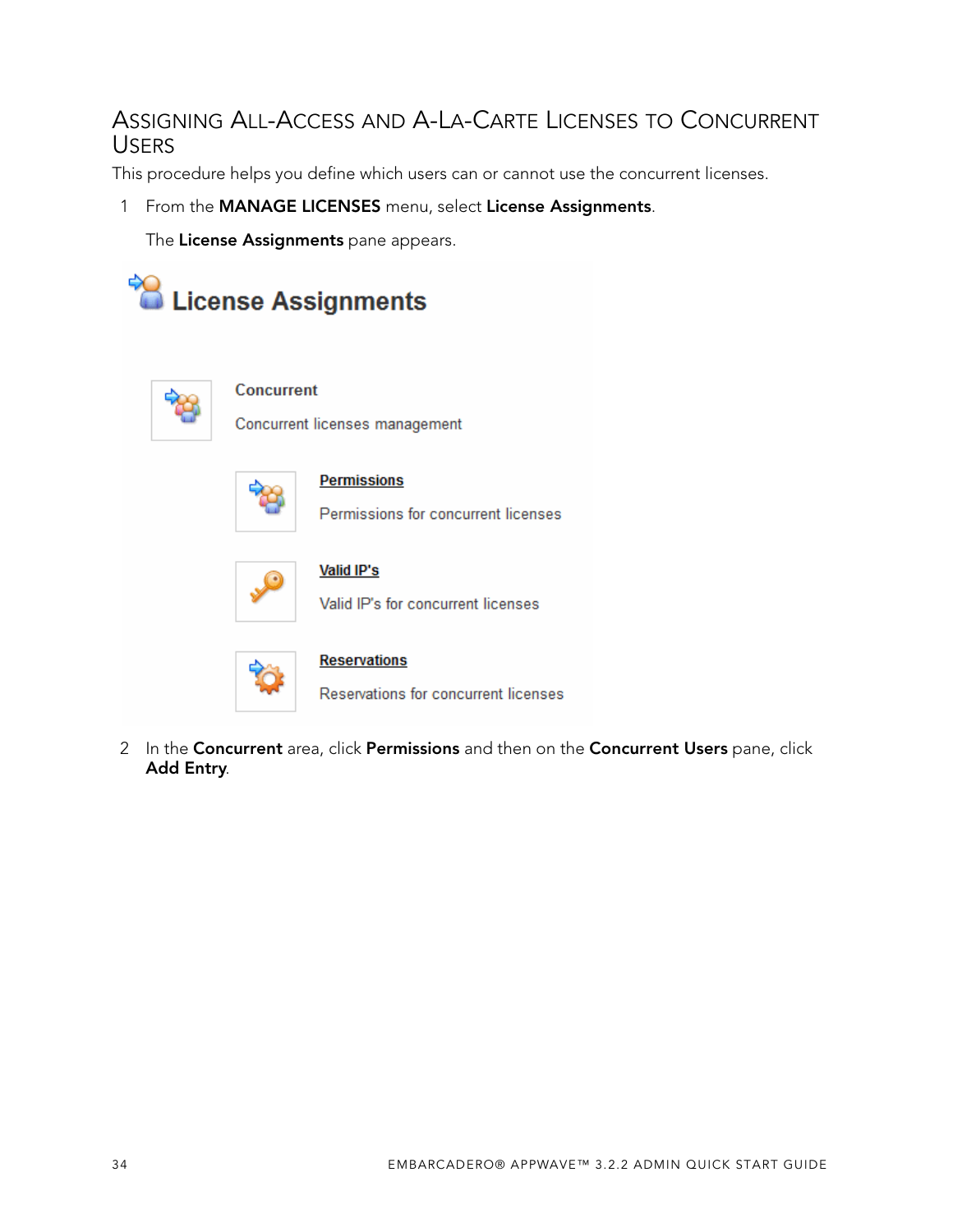### <span id="page-35-0"></span>ASSIGNING ALL-ACCESS AND A-LA-CARTE LICENSES TO CONCURRENT **USERS**

This procedure helps you define which users can or cannot use the concurrent licenses.

1 From the **MANAGE LICENSES** menu, select **License Assignments**.

The **License Assignments** pane appears.



2 In the **Concurrent** area, click **Permissions** and then on the **Concurrent Users** pane, click **Add Entry**.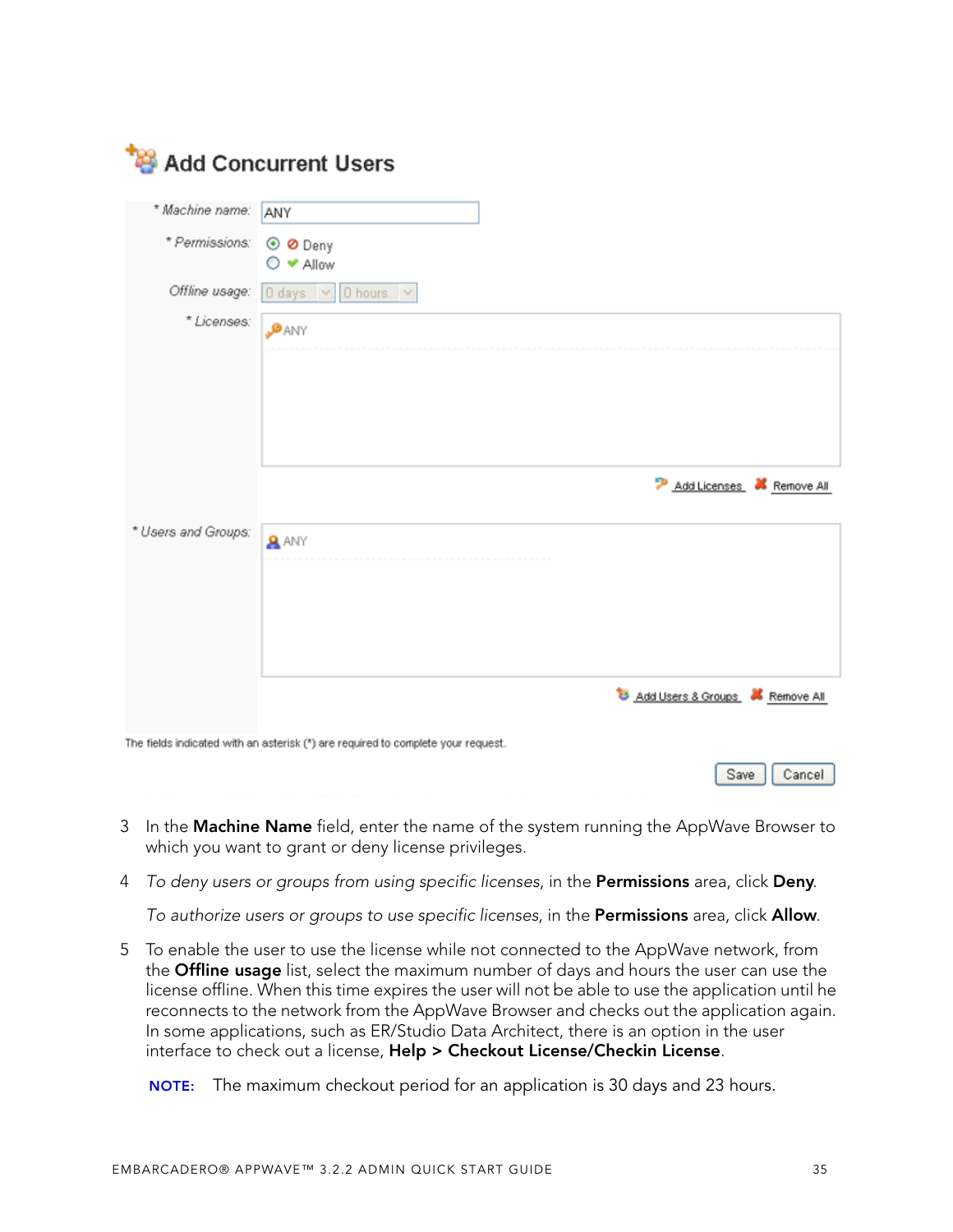|                     | Add Concurrent Users                                                             |
|---------------------|----------------------------------------------------------------------------------|
| * Machine name: ANY |                                                                                  |
| * Permissions:      | ⊙ Ø Deny<br>$\bigcirc \vee$ Allow                                                |
| Offline usage:      | $\boxed{0 \text{ days}}$ $\vee$ $\boxed{0 \text{ hours}}$ $\vee$                 |
| * Licenses:         | $\mathcal{S}_{\text{ANY}}$                                                       |
|                     |                                                                                  |
|                     | Add Licenses & Remove All                                                        |
| * Users and Groups: | <b>A</b> ANY                                                                     |
|                     | Add Users & Groups & Remove All                                                  |
|                     | The fields indicated with an asterisk (*) are required to complete your request. |
|                     | Cancel<br>Save                                                                   |

- 3 In the **Machine Name** field, enter the name of the system running the AppWave Browser to which you want to grant or deny license privileges.
- 4 To deny users or groups from using specific licenses, in the **Permissions** area, click **Deny**.

To authorize users or groups to use specific licenses, in the **Permissions** area, click **Allow**.

5 To enable the user to use the license while not connected to the AppWave network, from the **Offline usage** list, select the maximum number of days and hours the user can use the license offline. When this time expires the user will not be able to use the application until he reconnects to the network from the AppWave Browser and checks out the application again. In some applications, such as ER/Studio Data Architect, there is an option in the user interface to check out a license, **Help > Checkout License/Checkin License**.

**NOTE:** The maximum checkout period for an application is 30 days and 23 hours.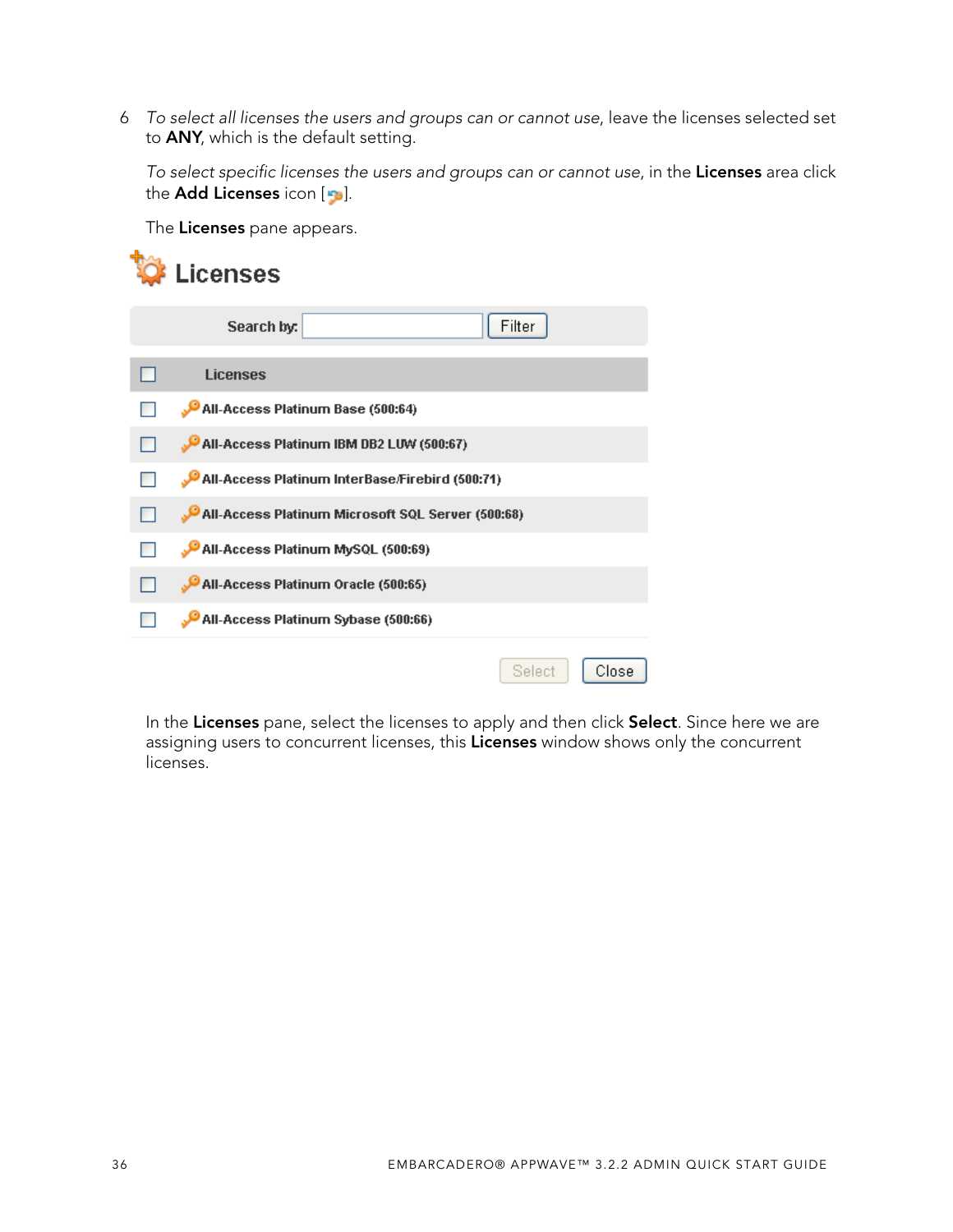6 To select all licenses the users and groups can or cannot use, leave the licenses selected set to **ANY**, which is the default setting.

To select specific licenses the users and groups can or cannot use, in the **Licenses** area click the **Add Licenses** icon [ $\cdot$ ].

The **Licenses** pane appears.

| <b>Licenses</b> |                                                    |  |
|-----------------|----------------------------------------------------|--|
|                 | Filter<br>Search by:                               |  |
|                 | <b>Licenses</b>                                    |  |
|                 | All-Access Platinum Base (500:64)                  |  |
|                 | All-Access Platinum IBM DB2 LUW (500:67)           |  |
|                 | All-Access Platinum InterBase/Firebird (500:71) هي |  |
|                 | All-Access Platinum Microsoft SQL Server (500:68)  |  |
|                 | All-Access Platinum MySQL (500:69)                 |  |
|                 | All-Access Platinum Oracle (500:65)                |  |
|                 | All-Access Platinum Sybase (500:66)                |  |
|                 | Select<br>Close                                    |  |

In the **Licenses** pane, select the licenses to apply and then click **Select**. Since here we are assigning users to concurrent licenses, this **Licenses** window shows only the concurrent licenses.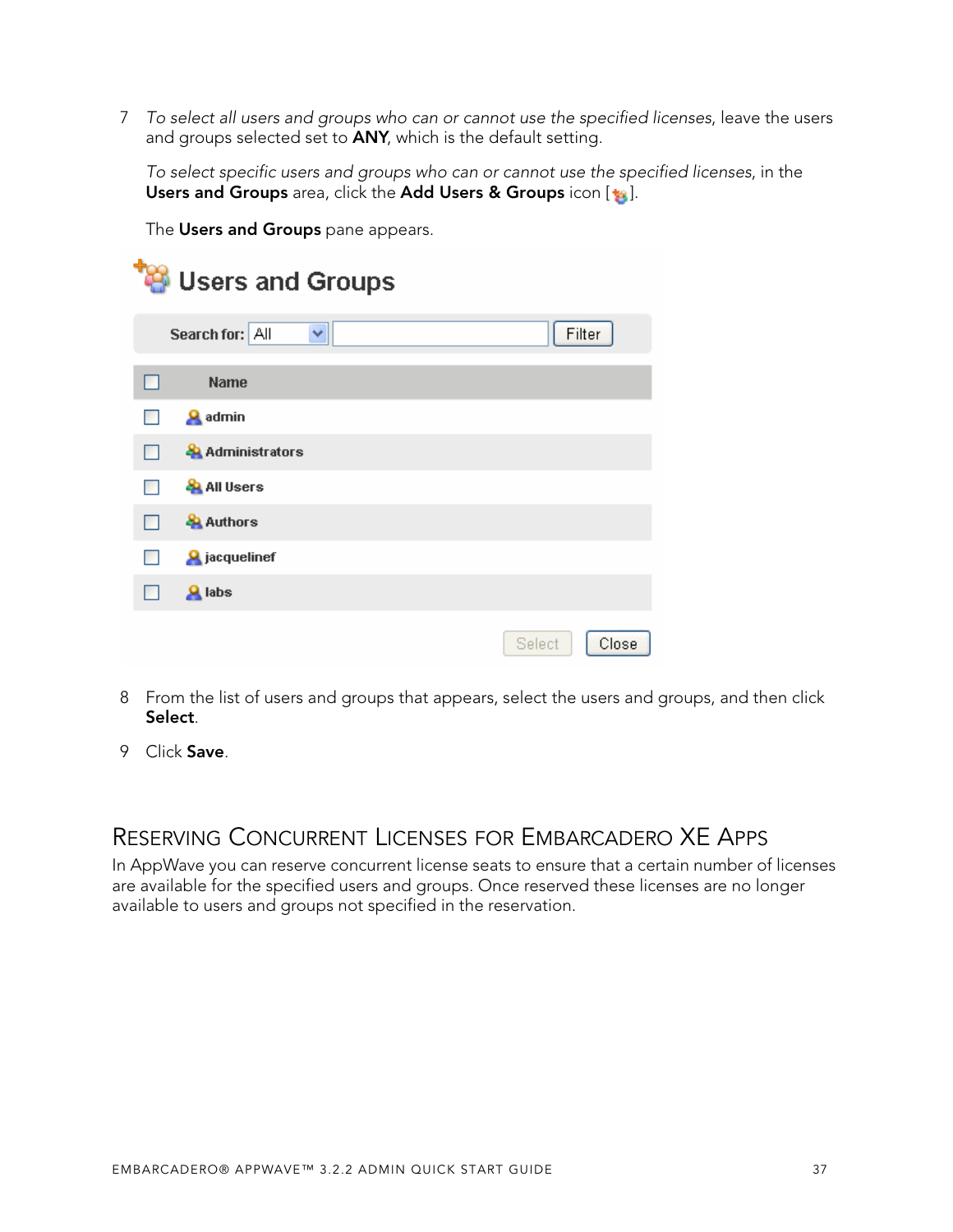7 To select all users and groups who can or cannot use the specified licenses, leave the users and groups selected set to **ANY**, which is the default setting.

To select specific users and groups who can or cannot use the specified licenses, in the **Users and Groups** area, click the **Add Users & Groups** icon [ $\frac{1}{26}$ ].

| <b>129 Users and Groups</b> |                 |  |
|-----------------------------|-----------------|--|
| Search for: All<br>×        | Filter          |  |
| <b>Name</b><br>н            |                 |  |
| <b>Q</b> admin              |                 |  |
| <b>Administrators</b>       |                 |  |
| <b>A</b> All Users          |                 |  |
| <b>Authors</b><br>- 1       |                 |  |
| <b>A</b> jacquelinef        |                 |  |
| <b>Q</b> labs<br>- 1        |                 |  |
|                             | Close<br>Select |  |

The **Users and Groups** pane appears.

- 8 From the list of users and groups that appears, select the users and groups, and then click **Select**.
- 9 Click **Save**.

### <span id="page-38-0"></span>RESERVING CONCURRENT LICENSES FOR EMBARCADERO XE APPS

In AppWave you can reserve concurrent license seats to ensure that a certain number of licenses are available for the specified users and groups. Once reserved these licenses are no longer available to users and groups not specified in the reservation.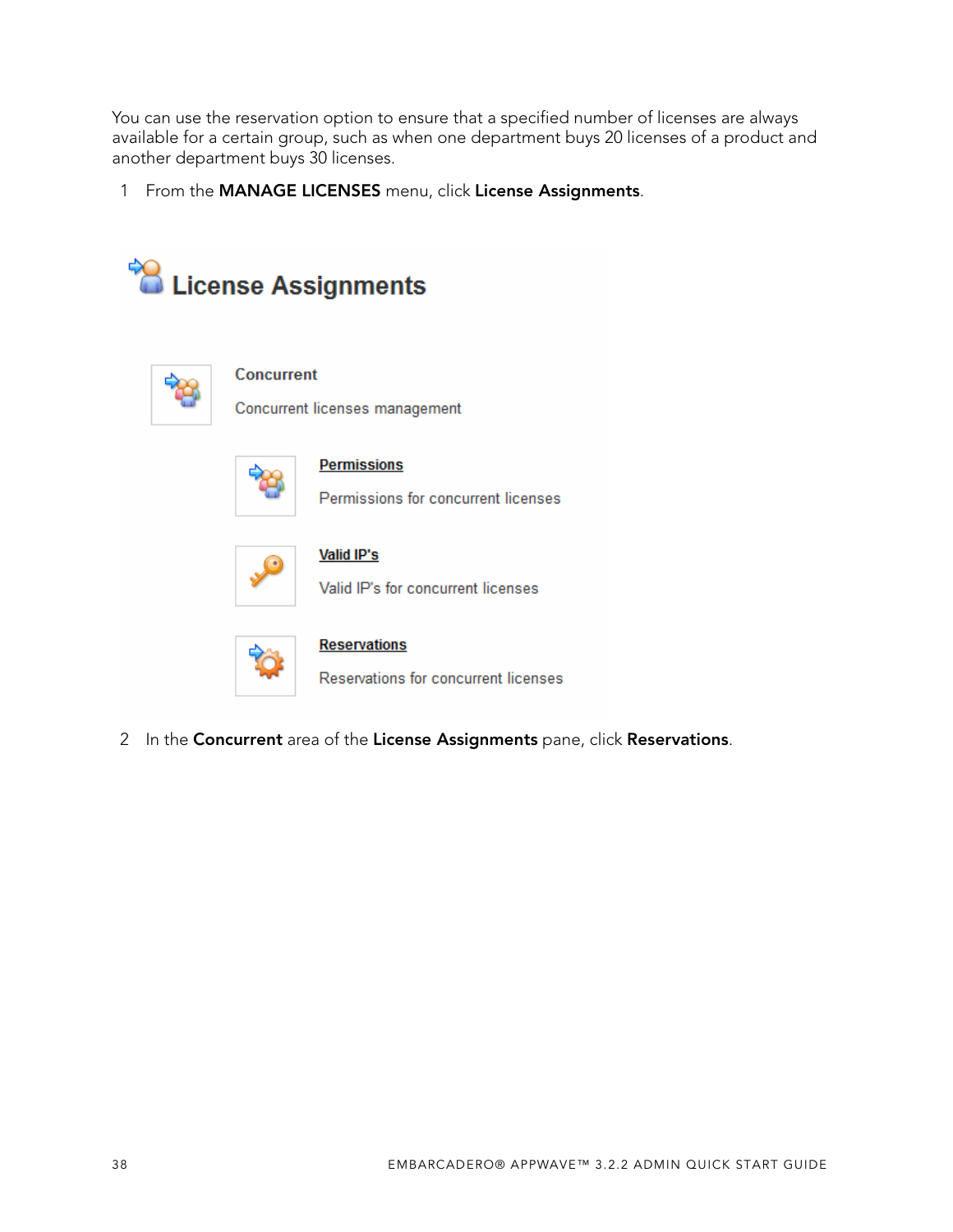You can use the reservation option to ensure that a specified number of licenses are always available for a certain group, such as when one department buys 20 licenses of a product and another department buys 30 licenses.

1 From the **MANAGE LICENSES** menu, click **License Assignments**.



2 In the **Concurrent** area of the **License Assignments** pane, click **Reservations**.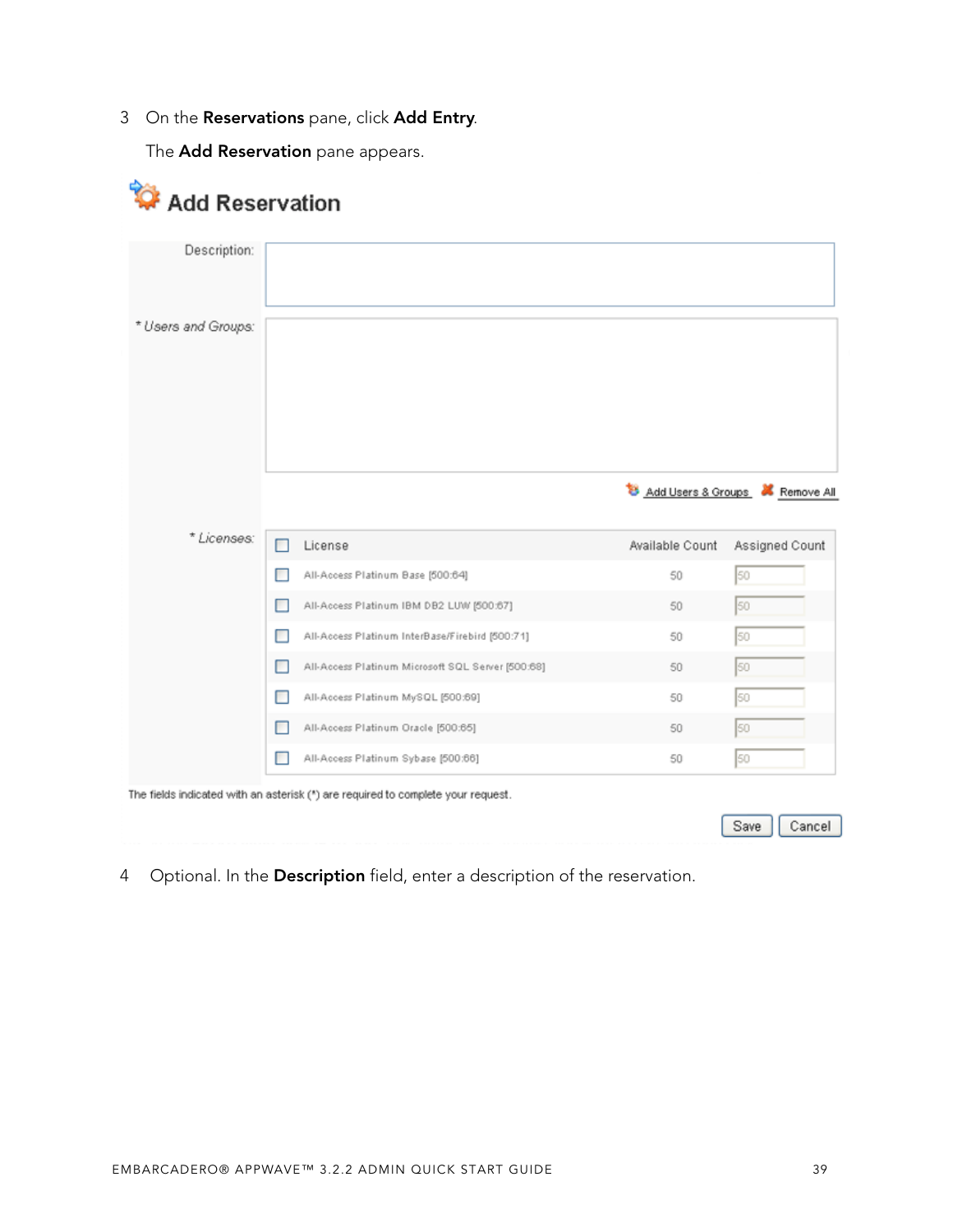#### 3 On the **Reservations** pane, click **Add Entry**.

The **Add Reservation** pane appears.

| Description:        |                                                   |                                 |                |
|---------------------|---------------------------------------------------|---------------------------------|----------------|
|                     |                                                   |                                 |                |
| * Users and Groups: |                                                   |                                 |                |
|                     |                                                   |                                 |                |
|                     |                                                   |                                 |                |
|                     |                                                   |                                 |                |
|                     |                                                   |                                 |                |
|                     |                                                   |                                 |                |
|                     |                                                   | Add Users & Groups & Remove All |                |
| * Licenses:         | License                                           | Available Count                 | Assigned Count |
|                     | All-Access Platinum Base [500:64]                 | 50                              | 50             |
|                     | All-Access Platinum IBM DB2 LUW [500:67]          | 50                              | 50             |
|                     | All-Access Platinum InterBase/Firebird [500:71]   | 50                              | 50             |
|                     | All-Access Platinum Microsoft SQL Server [500:68] | 50                              | 50             |
|                     | All-Access Platinum MySQL [500:69]                | 50                              | 50             |
|                     | All-Access Platinum Oracle [500:65]               | 50                              | 50             |

4 Optional. In the **Description** field, enter a description of the reservation.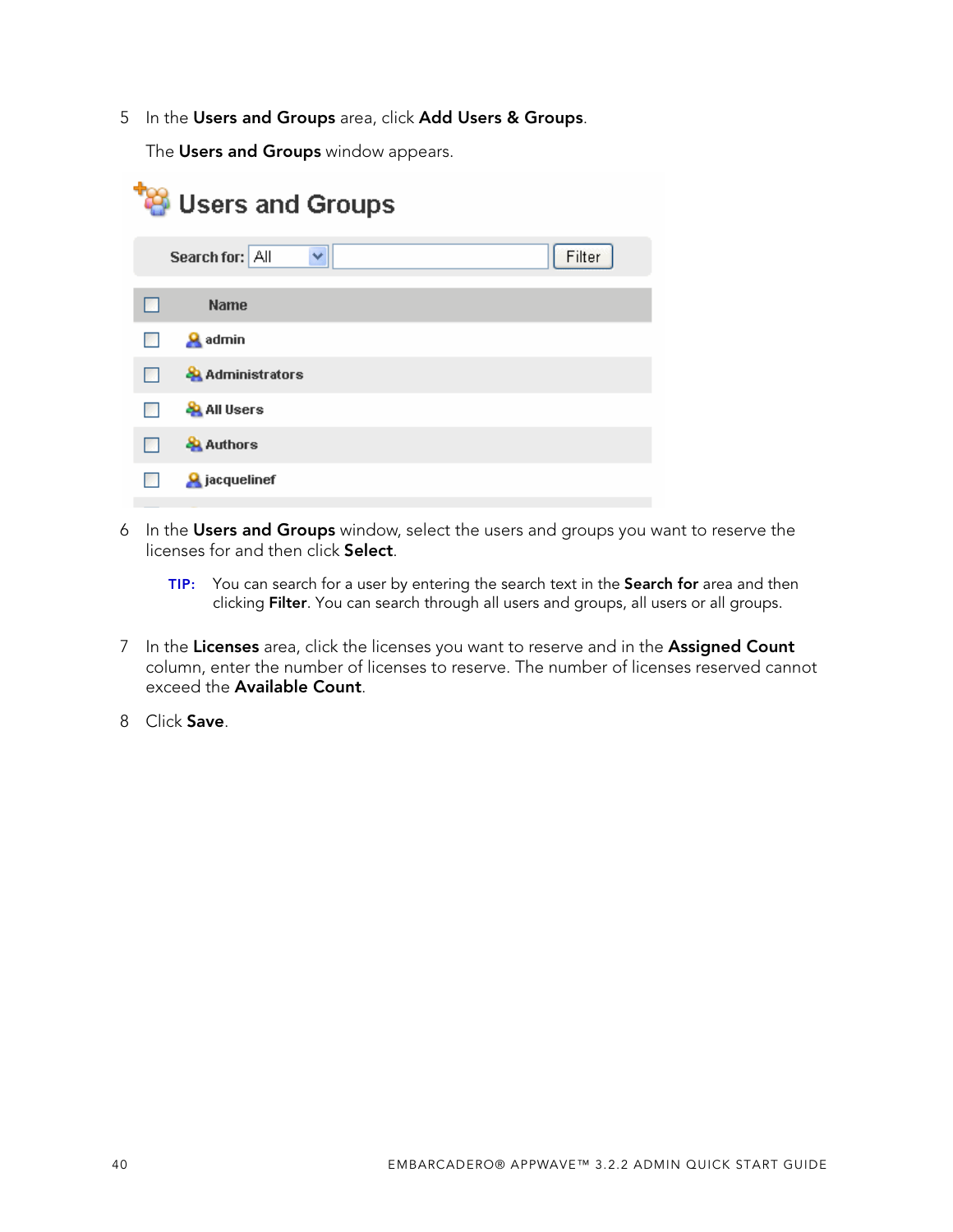5 In the **Users and Groups** area, click **Add Users & Groups**.

The **Users and Groups** window appears.

| Users and Groups |                                |  |
|------------------|--------------------------------|--|
|                  | Filter<br>Search for: All<br>v |  |
|                  | <b>Name</b>                    |  |
|                  | <b>Q</b> admin                 |  |
|                  | <b>Administrators</b>          |  |
|                  | <b>A</b> All Users             |  |
|                  | <b>Authors</b>                 |  |
|                  | jacquelinef                    |  |
|                  |                                |  |

- 6 In the **Users and Groups** window, select the users and groups you want to reserve the licenses for and then click **Select**.
	- **TIP:** You can search for a user by entering the search text in the **Search for** area and then clicking **Filter**. You can search through all users and groups, all users or all groups.
- 7 In the **Licenses** area, click the licenses you want to reserve and in the **Assigned Count**  column, enter the number of licenses to reserve. The number of licenses reserved cannot exceed the **Available Count**.
- 8 Click **Save**.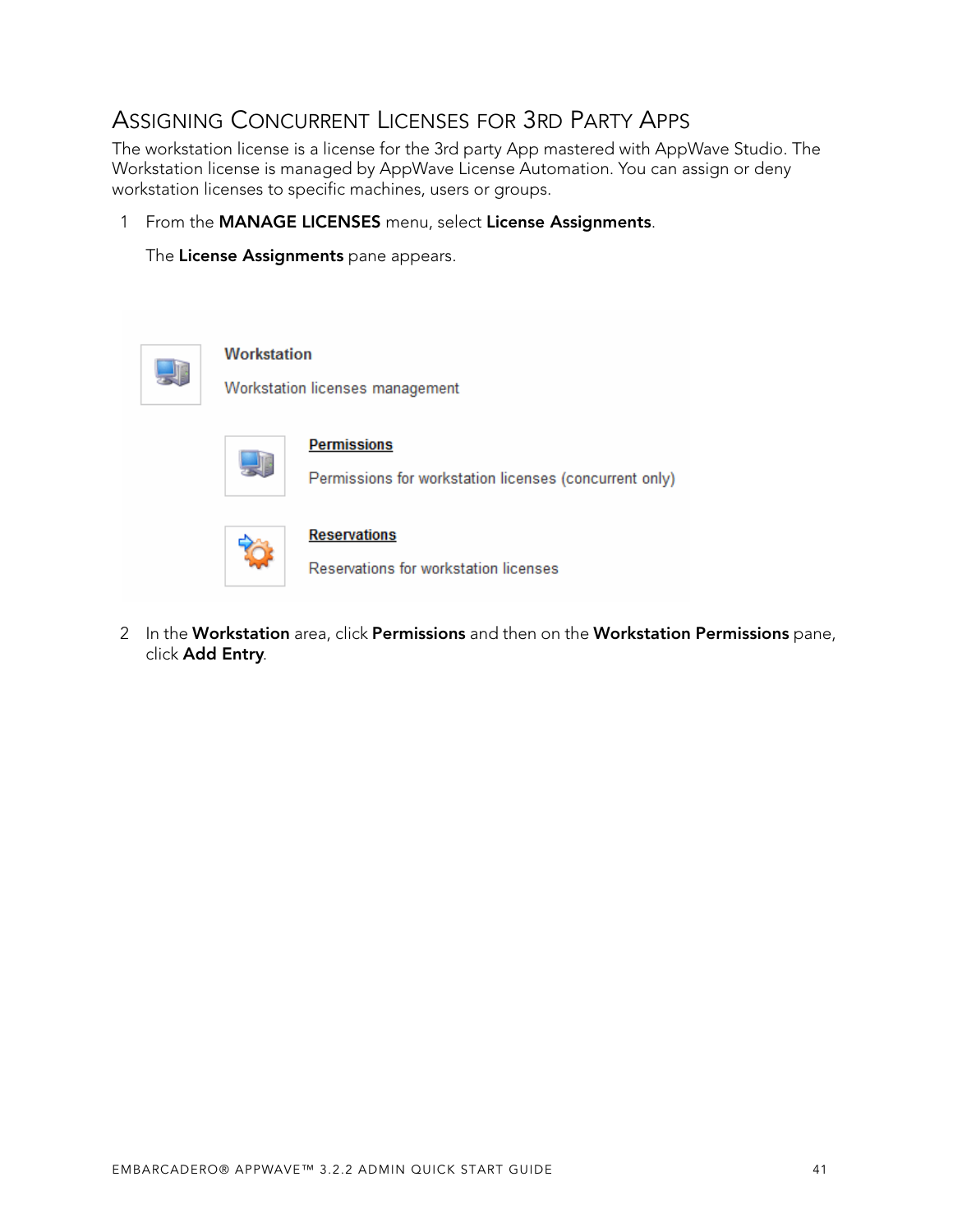### <span id="page-42-0"></span>ASSIGNING CONCURRENT LICENSES FOR 3RD PARTY APPS

The workstation license is a license for the 3rd party App mastered with AppWave Studio. The Workstation license is managed by AppWave License Automation. You can assign or deny workstation licenses to specific machines, users or groups.

1 From the **MANAGE LICENSES** menu, select **License Assignments**.

The **License Assignments** pane appears.



2 In the **Workstation** area, click **Permissions** and then on the **Workstation Permissions** pane, click **Add Entry**.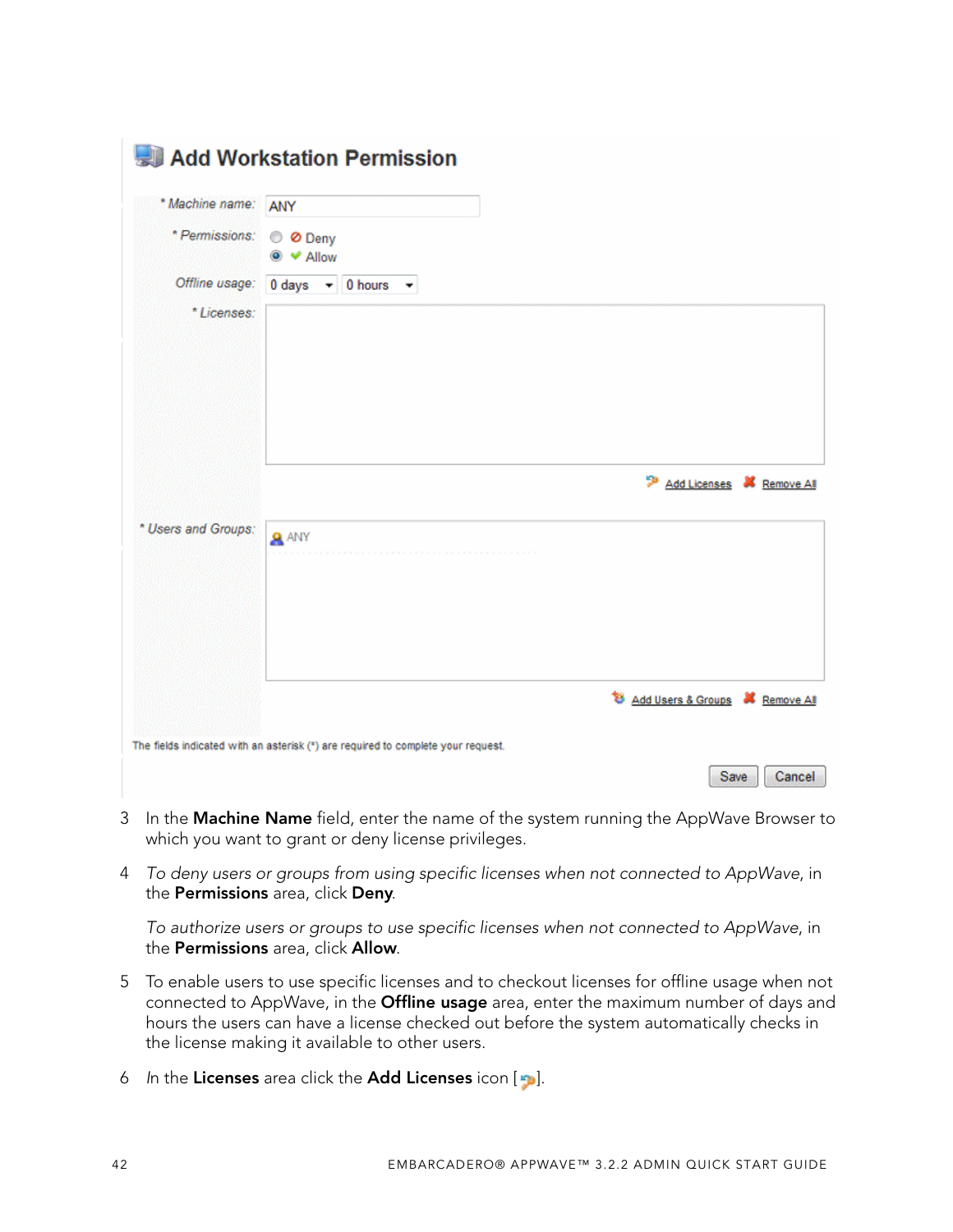|                         | Add Workstation Permission                                                       |                                 |
|-------------------------|----------------------------------------------------------------------------------|---------------------------------|
| * Machine name: ANY     |                                                                                  |                                 |
| * Permissions: © Ø Deny | <sup>◎</sup> ◆ Allow                                                             |                                 |
|                         | Offline usage: $0 \text{ days} \rightarrow 0 \text{ hours} \rightarrow$          |                                 |
| * Licenses:             |                                                                                  |                                 |
|                         |                                                                                  | Add Licenses & Remove All       |
| * Users and Groups:     | <b>Q</b> ANY                                                                     |                                 |
|                         |                                                                                  | Add Users & Groups & Remove All |
|                         | The fields indicated with an asterisk (*) are required to complete your request. | Save<br>Cancel                  |

- 3 In the **Machine Name** field, enter the name of the system running the AppWave Browser to which you want to grant or deny license privileges.
- 4 To deny users or groups from using specific licenses when not connected to AppWave, in the **Permissions** area, click **Deny**.

To authorize users or groups to use specific licenses when not connected to AppWave, in the **Permissions** area, click **Allow**.

- 5 To enable users to use specific licenses and to checkout licenses for offline usage when not connected to AppWave, in the **Offline usage** area, enter the maximum number of days and hours the users can have a license checked out before the system automatically checks in the license making it available to other users.
- 6 In the Licenses area click the Add Licenses icon [ $\bullet$ ].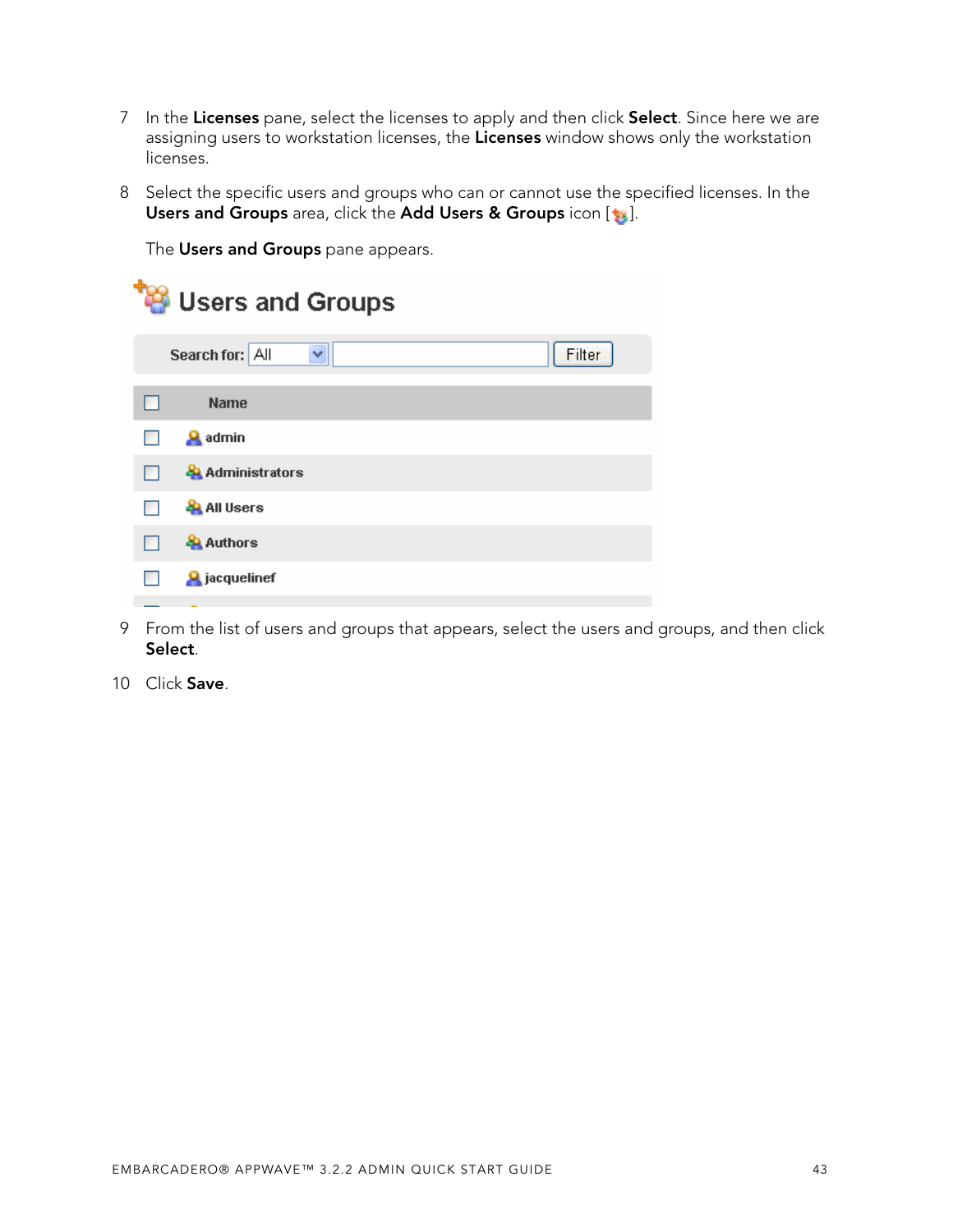- 7 In the **Licenses** pane, select the licenses to apply and then click **Select**. Since here we are assigning users to workstation licenses, the **Licenses** window shows only the workstation licenses.
- 8 Select the specific users and groups who can or cannot use the specified licenses. In the **Users and Groups** area, click the **Add Users & Groups** icon [ $\frac{1}{2}$ ].

Users and Groups Search for: All  $\checkmark$ Filter  $\Box$ **Name**  $\mathbb{R}^2$ **Q** admin **A** Administrators  $\Box$ **&** All Users  $\mathcal{L}$  $\Box$ **Authors Q** jacquelinef  $\mathcal{L}_{\mathcal{A}}$ 

The **Users and Groups** pane appears.

- 9 From the list of users and groups that appears, select the users and groups, and then click **Select**.
- 10 Click **Save**.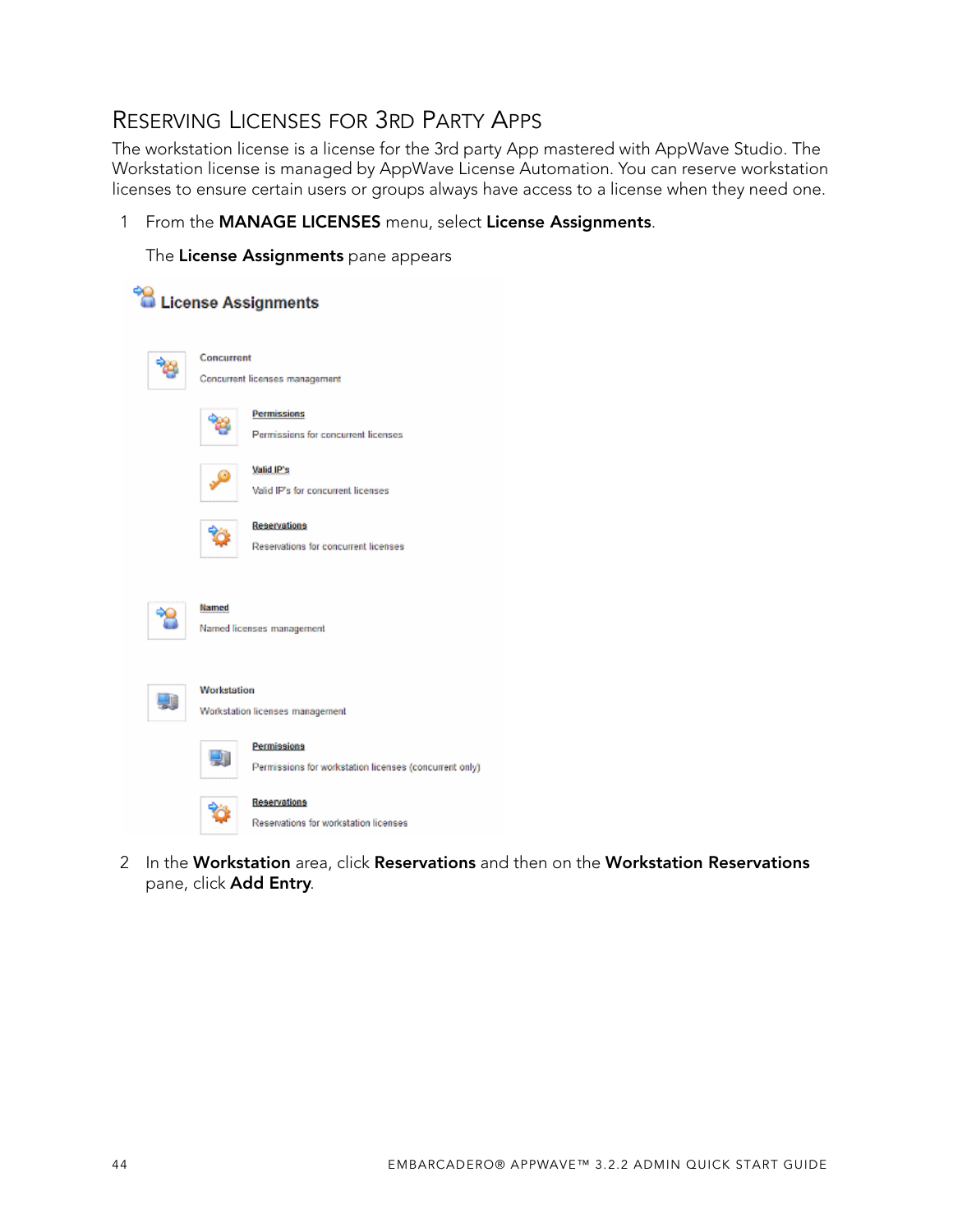### <span id="page-45-0"></span>RESERVING LICENSES FOR 3RD PARTY APPS

The workstation license is a license for the 3rd party App mastered with AppWave Studio. The Workstation license is managed by AppWave License Automation. You can reserve workstation licenses to ensure certain users or groups always have access to a license when they need one.

1 From the **MANAGE LICENSES** menu, select **License Assignments**.

The **License Assignments** pane appears

|             | <sup>3</sup> License Assignments                                             |
|-------------|------------------------------------------------------------------------------|
| Concurrent  | Concurrent licenses management                                               |
|             | Permissions<br>Permissions for concurrent licenses                           |
|             | Valid IP's<br>Valid IP's for concurrent licenses                             |
|             | Reservations<br>Reservations for concurrent licenses                         |
| Named       | Named licenses management                                                    |
| Workstation | Workstation licenses management                                              |
|             | <b>Permissions</b><br>Permissions for workstation licenses (concurrent only) |
|             | <b>Reservations</b><br>Reservations for workstation licenses                 |

2 In the **Workstation** area, click **Reservations** and then on the **Workstation Reservations** pane, click **Add Entry**.